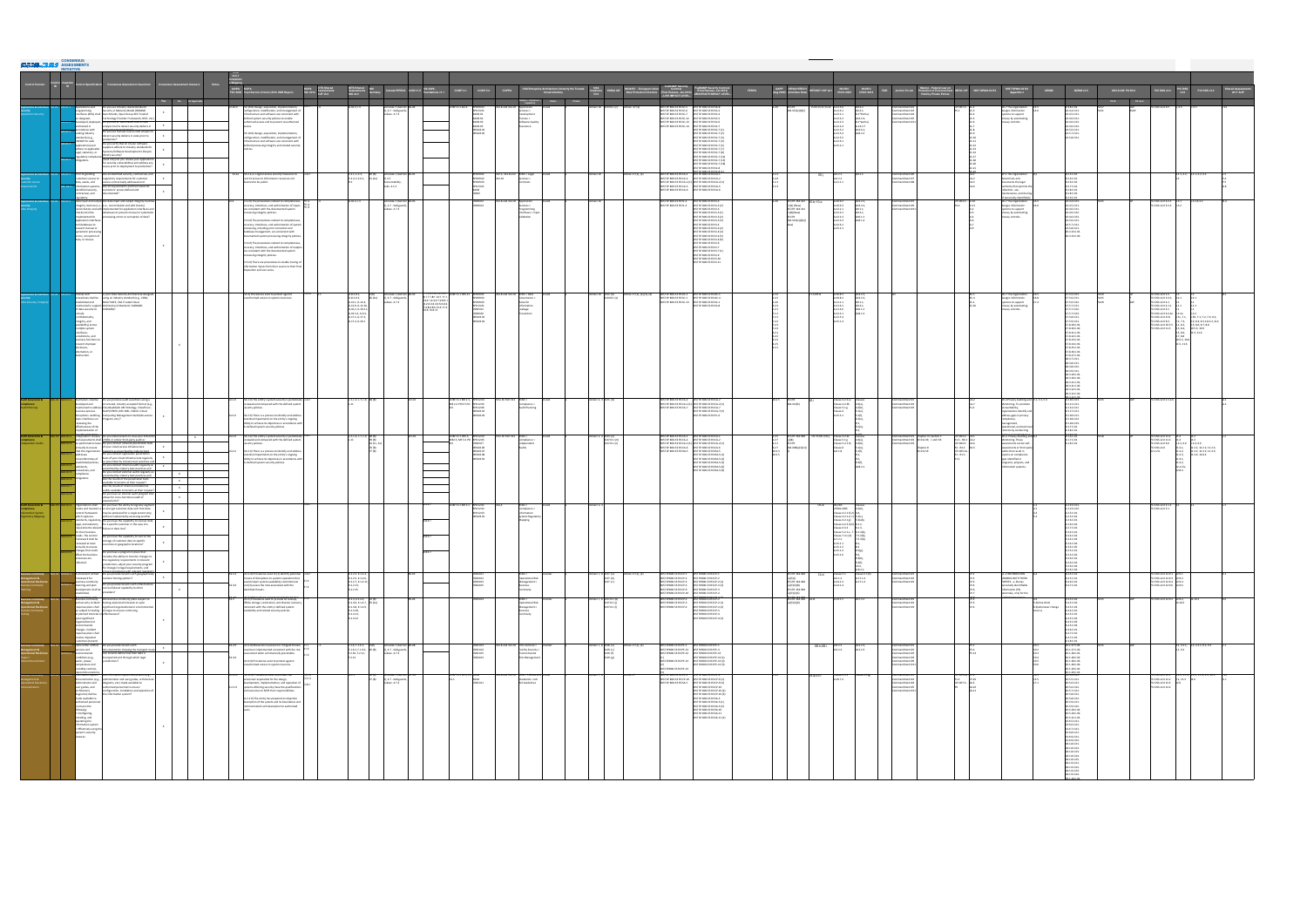| <b>CAIG-3.8.</b> ASSESSMENTS                 | <b>CONSENSU</b><br><b>INITIATIVE</b>                                                                                                                                                                                                                                     |                                                                                                                                                                                                                                                                                                                                                                                                                                                                                                                                                                                                                                                                                                                                                                                                                                                                                                                                                                                                                                                                                           |                                                                                                                                                                                                                                                                                                                                                                                                                                                                                                                                                                                                                                                                                                                                  |                                                                                                                                                                                   |                                                                                    |                                                                                                                                                                                                                                        |                                                                                                                                                                                                                                                                                                                                                                                                                                                                                                                                                                                                                                                                              |                                                                                     |                                                                                                                                                                                                                                                             |                                                                                                                                  |                                                                                                                                                                                                                                                                                                                                                                                                                                                                                                                                                        |                                                                                                                                                                                                                                                                                                                                                                                                                                                |
|----------------------------------------------|--------------------------------------------------------------------------------------------------------------------------------------------------------------------------------------------------------------------------------------------------------------------------|-------------------------------------------------------------------------------------------------------------------------------------------------------------------------------------------------------------------------------------------------------------------------------------------------------------------------------------------------------------------------------------------------------------------------------------------------------------------------------------------------------------------------------------------------------------------------------------------------------------------------------------------------------------------------------------------------------------------------------------------------------------------------------------------------------------------------------------------------------------------------------------------------------------------------------------------------------------------------------------------------------------------------------------------------------------------------------------------|----------------------------------------------------------------------------------------------------------------------------------------------------------------------------------------------------------------------------------------------------------------------------------------------------------------------------------------------------------------------------------------------------------------------------------------------------------------------------------------------------------------------------------------------------------------------------------------------------------------------------------------------------------------------------------------------------------------------------------|-----------------------------------------------------------------------------------------------------------------------------------------------------------------------------------|------------------------------------------------------------------------------------|----------------------------------------------------------------------------------------------------------------------------------------------------------------------------------------------------------------------------------------|------------------------------------------------------------------------------------------------------------------------------------------------------------------------------------------------------------------------------------------------------------------------------------------------------------------------------------------------------------------------------------------------------------------------------------------------------------------------------------------------------------------------------------------------------------------------------------------------------------------------------------------------------------------------------|-------------------------------------------------------------------------------------|-------------------------------------------------------------------------------------------------------------------------------------------------------------------------------------------------------------------------------------------------------------|----------------------------------------------------------------------------------------------------------------------------------|--------------------------------------------------------------------------------------------------------------------------------------------------------------------------------------------------------------------------------------------------------------------------------------------------------------------------------------------------------------------------------------------------------------------------------------------------------------------------------------------------------------------------------------------------------|------------------------------------------------------------------------------------------------------------------------------------------------------------------------------------------------------------------------------------------------------------------------------------------------------------------------------------------------------------------------------------------------------------------------------------------------|
|                                              | Control Question Control                                                                                                                                                                                                                                                 | Yes No Not Applicable                                                                                                                                                                                                                                                                                                                                                                                                                                                                                                                                                                                                                                                                                                                                                                                                                                                                                                                                                                                                                                                                     | $v3.0.1$<br>Compliance<br>e Mapping<br>AICPA AICPA<br>TSC 2009 Trust Service Criteria (SOC 2SM Report)                                                                                                                                                                                                                                                                                                                                                                                                                                                                                                                                                                                                                           | AICPA BITS Shared<br>TSC 2014 Assessments<br>BITS Shared<br>Assessments BSI<br>SIG v6.0 Germany Canada PIPEDA CCM V1.X Foundations v1.1                                           | COBIT41 COBIT50 COPPA                                                              | CSA<br>CSA Enterprise Architecture (formerly the Trusted City Counter ENISA IAF 95/46/EC - European Union<br>V3.0 V3.0 Data Protection Directive<br>Domain » Container » Public III Private » .<br>Casability — Public III Private » . | AP Security Control<br>Release, Jan 2012)<br>FERPA                                                                                                                                                                                                                                                                                                                                                                                                                                                                                                                                                                                                                           |                                                                                     | GAPP HIPAAHITECH HITRUST CSF v6.1 ISO.IEC ISO.IEC TAR Jericho Forum                                                                                                                                                                                         |                                                                                                                                  | Mexico - Federal Law on<br>Protection of Personal Data   NERC CIP   NIST SP800-53 R3   MIST SP800-53 R4<br>  Appendix J<br>NZISM<br>N2ISM v2.5                                                                                                                                                                                                                                                                                                                                                                                                         | Shared Assessment<br>2017 AUP<br>PCIDSS v2.0 PCIDSS PCIDSS v3.2<br>ODCA UM: PA R2.0<br>PAID PAINWI                                                                                                                                                                                                                                                                                                                                             |
|                                              | Applications and<br>amming<br>e designed,<br>reloped, deployed,<br>rdance with<br>ading industry<br>lards (e.g.,<br>WASP for web<br>ons) and<br>egal, statutory, or<br>ulatory complia                                                                                   | Do you use industry standards (Build<br>Security in Maturity Model [BSIMM]<br>is (APIs) shall benchmarks, Open Group ACS Trusted<br>Technology Provider Framework, NIST, e<br>Do you use an automated source code<br>analysis tool to detect security defects i<br>Do you use manual source-code analysis<br>detect security defects in code prior to<br>production?<br>Do you verify that all of your software<br>ications) and<br>are to applicable suppliers adhere to industry standards for<br>L. statutory, or Systems/Software Development Lifecycle<br>DLC) security?<br>.<br>SaaS only) Do you review your applicati<br>or security vulnerabilities and addres<br>es prior to deployment to produc                                                                                                                                                                                                                                                                                                                                                                               | (S3.10.0) Design, acquisition, impleme<br>configuration, modification, and management of<br>frastructure and software are consistent with<br>defined system security policies to enable<br>authorized access and to prevent unauthorize<br>33.10.0) Design, acquisition, implementatio<br>configuration, modification, and management of<br>infrastructure and software are consistent with<br>defined processing integrity and related securi                                                                                                                                                                                                                                                                                   | 5), 4.7 - Safeguards,<br>Subsec. 4.7.3                                                                                                                                            | 8A03.01<br>8A03.02<br>8A03.03<br>8A03.05<br>MEA03.01                               | ices ><br>lopment<br>cess ><br>Software Qualit<br>rance                                                                                                                                                                                | IIST SP 800-53 R3 SC-5<br>NIST SP 800-53 R3 SA-8<br>IIST SP 800-53 R3 SC-6 NIST SP 800-53 R3 SC-2<br>NIST SP 800-53 R3 SC-7<br>NIST SP 800-53 R3 SC-7<br>NIST SP 800-53 R3 SC-12 NIST SP 800-53 R3 SC-5<br>NIST SP 800-53 R3 SC-13 NIST SP 800-53 R3 SC-6<br>NIST SP 800-53 R3 SC-14 NIST SP 800-53 R3 SC-7<br>NIST SP 800-53 R3 SC-7 (1)<br>NIST SP 800-53 R3 SC-7 (2)<br>NIST SP 800-53 R3 SC-7 (3)<br>NIST SP 800-53 R3 SC-7 (4)<br>NIST SP 800-53 R3 SC-7 (5)<br>NIST SP 800-53 R3 SC-7 (7)<br>(8) C-26 ER E2-008 RS T2N<br>NIST SP 800-53 R3 SC-7 (12)<br>NIST SP 800-53 R3 SC-7 (13)<br>T SP 800-53 R3 SC-7 (18)<br>NIST SP 800-53 R3 SC-8<br>MIST SP 800-53 83 SC 871 | 10.b;10.c;10.e A.11.5.6<br>312(e)(2)                                                | 49.4.1<br>8.1*Partial,<br>A14.2.3,<br>8.1*partial,<br>A.14.2.7<br>A12.6.1,<br>A18.2.2<br>A 12.2.1<br>A 12.2.3<br>A 12.2.4<br>A 12.5.4<br>A 12.5.4<br>A 12.5.5<br>A.12.6.1<br>A 15.2.1                                                                       | indment #2<br>ment #4<br>ndment #5<br>SC-10<br>$SC-13$<br>$SC-18$                                                                | 7 The organizatio<br>signs information<br>4.4.4.C.01<br>systems to support<br>privacy by automating<br>14.4.5.C.01<br>14.4.6.C.01<br>wacy controls.<br>14.4.6.C.02<br>14.4.6.C.03.<br>14.5.6.C.01.<br>14.5.7.C.01<br>14.5.8 C.01                                                                                                                                                                                                                                                                                                                       |                                                                                                                                                                                                                                                                                                                                                                                                                                                |
|                                              | rior to granting<br>ified security,<br>ctual, and                                                                                                                                                                                                                        | Are all identified security, contractual, an<br>rs access to regulatory requirements for customer<br>assets, and access contractually addressed and<br>ormation systems, Are all requirements and trust levels fo<br>customers' access defined and<br>Sbatnamu                                                                                                                                                                                                                                                                                                                                                                                                                                                                                                                                                                                                                                                                                                                                                                                                                            | \$3.2a (\$3.2.a) a. Logical access security measures to<br>estrict access to information resources not<br>eemed to be public.                                                                                                                                                                                                                                                                                                                                                                                                                                                                                                                                                                                                    | $C$ 2.1, $C$ 2.3, $10$ (B)<br>$C$ 2.4, $C$ 2.6.1, $11$ (A+)<br>Schedule 1 (Secti<br>5) 4.1<br>Accountability,<br>Subs. 4.1.3                                                      | AP009.02<br>AP009.03<br>AP013.01<br>BAI02<br>312.10                                | omain 10<br>312.3, 312.8 and BOSS > Legal<br>shared                                                                                                                                                                                    | Article 17 (1), (2)<br>NIST SP 800-53 R3 CA-1<br>NUST SP 800-53 R3 CA-2<br>NUST SP 800-53 R3 CA-2<br>NUST SP 800-53 R3 CA-2 (1) NUST SP 800-53 R3 CA-2 (1)<br>NUST SP 800-53 R3 CA-5<br>NUST SP 800-53 R3 CA-5<br>IST SP 800-53 R3 CA-6 NIST SP 800-53 R3 CA-6                                                                                                                                                                                                                                                                                                                                                                                                               | 05 <sub>i</sub>                                                                     | A.6.2.2<br>A.11.1.1                                                                                                                                                                                                                                         | mandment<br>mandment #                                                                                                           | P-1 The organizatio<br>Setermines and<br>Socuments the legal<br>9.2.6.C.01.<br>9.2.6.C.02.<br>9.2.7.C.01.<br>uthority that permits<br>collection, use,<br>maintenance, and sh<br>9.2.8.0.01                                                                                                                                                                                                                                                                                                                                                            | 4.1.1, 4.2, 4.1.1; 4.2; 4.3                                                                                                                                                                                                                                                                                                                                                                                                                    |
|                                              | igulatory<br>hecks) shall be<br>inted for<br>ition interfa<br>databases to<br>natic processi<br>errors, corruption of<br>ta, or misuse.                                                                                                                                  | ut Are data input and output integrity re<br>verity routines (i.e., (i.e., reconciliation and edit checks)<br>nciliation and edit implemented for application interfaces<br>databases to prevent manual or systemati-<br>processing errors or corruption of data?                                                                                                                                                                                                                                                                                                                                                                                                                                                                                                                                                                                                                                                                                                                                                                                                                         | (13.2.0) The procedures related to comple<br>curacy, timeliness, and authorization of inputs<br>e consistent with the documented system<br>essing integrity policies.<br>8.3.0) The procedures related to comple<br>accuracy, timeliness, and authorization of system<br>processing, including error correction and<br>Itabase management, are consistent with<br>cumented system processing integrity policies<br>4.0) The procedures related to comple<br>accuracy, timeliness, and authorization of outputs<br>e consistent with the documented system<br>ocessing integrity policies.<br>3.5.01 There are procedures to enable tracing<br>information inputs from their source to their final<br>disposition and vice versa. | 3.163.13<br>chedule 1 (Secti<br>5), 4.7 - Safeguard<br>bsec. 4.7.3                                                                                                                | DSS06.02                                                                           | Application<br>Services ><br>Programming<br>Interfaces > Inp                                                                                                                                                                           | NIST SP 800-53 R3 SI-2<br>NIST SP 800-53 R3 SI-2<br>E-12 ER E2-008 92 T21<br>NIST SP 800-53 R3 Si-2 (2)<br>NIST SP 800-53 R3 SI-3<br>NIST SP 800-53 R3 SI-3 (1)<br>NST SP 800-53 R3 SI-3 (2)<br>NST SP 800-53 R3 SI-3 (3)<br>NIST SP 800-53 R3 SI-4<br>NGT SP 800-53 R3 SI-4 (2)<br>NGT SP 800-53 R3 SI-4 (4)<br>NIST SP 800-53 R3 SI-4 (5)<br>NST SP 800-53 R3 SI-4 (6)<br>NST SP 800-53 R3 SI-6<br>NIST SP 800-53 R3 SI-7<br>NST SP 800-53 R3 SI-7 (1)<br>NST SP 800-53 R3 SI-9<br>NIST SP 800-53 R3 SI-10<br>NIST SP 800-53 R3 SI-11                                                                                                                                      | 45 CFR 164.312<br>b:10.e<br>5 CFR 164.312<br>c)(2)(New)<br>iS CFR<br>64.312(e)(2)(i | A 10.9.2<br>A 10.9.3<br>A13.2.2,<br>A 12.2.1<br>49.1.1,<br>A9.4.1,<br>A10.1.1<br>A18.1.4<br>A 12.2.2<br>A 12.2.3<br>A 12.2.4<br>A 12.6.1<br>A 15.2.1                                                                                                        | CIP-003-3 - SI-1<br>mandment                                                                                                     | of personally identifiable<br>AR-7 The organization<br>designs information<br>14.4.4.C.01<br>14.4.5.C.01<br>14.4.6.C.01<br>stems to support<br>.<br>hivacy by automating<br>14.4.6.0.02<br>14.4.6.C.03.<br>acy controls.<br>14.5.6.C.01<br>14.5.7.0.01<br>14.5.8.C.01<br>20.3.13.C.01<br>20.3.13.C.02.                                                                                                                                                                                                                                                 | PCI DSS v2.0 6.3.1 6.3.1<br>PCI DSS v2.0 6.3.2 6.3.2<br>6.3.1;6.3.2                                                                                                                                                                                                                                                                                                                                                                            |
| ation & Interface   AIS-04                   | Policies and<br>of data security to CAESARS)?<br>enfidentiality,<br>integrity, and<br>ivailability) across<br>multiple system<br>nterfaces,<br>dictions, and<br>function<br>event improper<br>fisclosure,<br>ilternation, or<br>ruction.                                 | Is your Data Security Architecture desig<br>poedures shall be using an industry standard (e.g., CDSA,<br>stablished and MULITSAFE, CSA Trusted Cloud<br>maintained in support Architectural Standard, FedRAMP,                                                                                                                                                                                                                                                                                                                                                                                                                                                                                                                                                                                                                                                                                                                                                                                                                                                                            | 53.4) Procedures exist to protect against<br>thorized access to system resources                                                                                                                                                                                                                                                                                                                                                                                                                                                                                                                                                                                                                                                 | 6 (B)<br>26 (A)<br>G.8.2.0.3,<br>5], 4.7 - Safeguards,<br>Subsec. 4.7.3<br>12.1.6.12.4.<br>12.9, G.12.10,<br>G.16.2, G.19.2.1,<br>19.3.2, G.9.4.<br>17.2, G.17.3<br>.17.4, G.20.1 | APO09.03<br>18393.103.1<br>AP013.01<br>DSS05.02<br>DSS06.06<br>MEA03.01<br>EA03.02 | $6.02.$ (b)<br>BOSS > Data<br>04.03. (a)<br>Rules for<br>Information<br>Leakage                                                                                                                                                        | Article 17 (1), (2), (3), (4)<br>NIST SP 800-53 R3 AC-1<br>NIST SP 800-53 R3 AC<br>NIST SP 800-53 R3 SC-1 NIST SP 800-53 R3 AC-4<br>NIST SP 800-53 R3 SC-13 NIST SP 800-53 R3 SC-1<br>8-32 ER E2-008 92 T2                                                                                                                                                                                                                                                                                                                                                                                                                                                                   | t:09.s                                                                              | 4.10.8.2<br>A13.2.2<br>A11.1.1<br>49.1.1<br>49.4.1<br>410.1.1<br>418.1.4<br>A 11.6.1<br>A 11.4.6<br>A 12.3.1<br>A 12.5.4<br>A.15.1.4                                                                                                                        |                                                                                                                                  | 7 The organizatio<br>designs information<br>17.5.6.C.01<br>tems to support<br>175.6.002<br>privacy by automating<br>17.5.7.C.01<br>acy controls.<br>17.5.7.C.02<br>17.5.7.0.03<br>17.5.8.C.01<br>17.5.9.C.01<br>17.8.10.0.01<br>17.8.10.C.02.<br>17.8.11.C.01.<br>17.8.12.C.01.<br>17.8.13.C.01.<br>17.8.14.C.01.<br>17.8.15.C.01.<br>17.8.16.C.01.<br>17.8.17.C.01.<br>18.3.7.0.01<br>183.8.C.01<br>183.8.C.02<br>18.3.9.C.01<br>18.3.10.C.01.<br>18.3.10.C.02.<br>18.3.11.C.01.<br>18.3.11.C.02.<br>18.3.12.C.01.<br>18.3.12.C.02.                   | 1DSS v2.0 2.3 2.3<br>CIDSS v2.0 3.4.1 3.4.1<br>CIDSS v2.0 4.1 4.1<br>GIDSS v2.04.1.1 4.1.1<br>PCI DSS v2.0 6.1 6.1<br>Q DSS v2.0 6.3.2a 6.3.2a<br>$\text{CI DSS v2.0 6.5c} \qquad \text{6.5c, 7.1,} \qquad \text{6.5b; 7.1; 7.2; 7.3; 8.1;}$<br>PCI DSS v2.0 8.3 7.2, 7.3,<br>8.2; 8.3; 8.3.1; 8.3.2; 8<br>PCI DSS v2.0 10.5.5 8.1, 8.2,<br>PCI DSS v2.0 11.5 8.3, 8.4,<br>8.5, 8.6, 8.7, 8.8<br>8.5:8.6:8.7:8.8<br>10.5.5; 10.9<br>11.5; 11.6 |
|                                              | eveloped and<br>eviewing the<br>.<br>mess of the                                                                                                                                                                                                                         | Audit plans shall be   Do you produce audit assertions using<br>structured, industry accepted format (e<br>maintained to address CloudAudit/A6 URI Ontology, CloudTrus<br>business process SCAP/CYBEX, GRC XML, ISACA's Cloud<br>disruptions. Auditing Computing Management Audit/Assur<br>plans shall focus on Program, etc.)?                                                                                                                                                                                                                                                                                                                                                                                                                                                                                                                                                                                                                                                                                                                                                           | (S4.1.0) The entity's system security is periodic<br>ewed and compared with the defined system<br>y policies<br>(S4.2.0) There is a process to identify and addre<br>sal impairments to the entity's ongoing<br>ability to achieve its objectives in accordance<br>s defined system security policies.                                                                                                                                                                                                                                                                                                                                                                                                                           | 1.1.2.1.7.1.9.5818                                                                                                                                                                | BIT 4.1 ME 2.1<br>2 PO 9.5 PO APO12.05<br>MEA02.01<br>MEA02.02<br><b>S201141</b>   | omain 2, 4 6.01. (d)<br>16 Part 3:<br>it Planning                                                                                                                                                                                      | NIST SP 800-53 R3 CA-2 NIST SP 800-53 R3 CA-2<br>NIST SP 800-53 R3 CA-2 (1) NIST SP 800-53 R3 CA-2 (1)<br>NIST SP 800-53 R3 CA-7 NIST SP 800-53 R3 CA-7<br>NIST SP 800-53 R3 CA-7 (2)<br>NIST SP 800-53 R3 PL-6<br>ST SP 800-53 R3 CA-1 NIST SP 800-53 R3 CA                                                                                                                                                                                                                                                                                                                                                                                                                 | 64.312(b)<br>45 CFR 164.308                                                         | Clause 4.2.3b<br>Clause 5.1 g<br>Clause 5.1 g<br>Clause 6 5.1(e),<br>A.15.3.1 5.1(f),<br>6.2(e),<br>Clause 6<br>A 15.3.1<br>$9.1(e)$ ,                                                                                                                      | andment #2                                                                                                                       | 4 Privacy Auditing and<br>12.10.0.0<br>Monitoring. To promote<br>4.2.11.0.01<br>countability,<br>organizations identify and<br>4.5.17.C.01<br>ddress gaps in privacy<br>4.5.18.C.01<br>4.5.18.C.02<br>ompliance,<br>4.5.18 C.03<br>management,<br>perational, and techni<br>controls by conducting<br>4.3.7.C.01.<br>4.3.8.C.01.                                                                                                                                                                                                                       |                                                                                                                                                                                                                                                                                                                                                                                                                                                |
| <b>Audit Assurance &amp;</b>                 | addresses<br>honconformities of<br>standards,<br>procedures, and<br><b>AAC-02.6</b> compliance                                                                                                                                                                           | ndependent reviews Do you allow tenants to view your SO<br>nd assessments shall 22001 or similar third-party audit or<br>e performed at least Do you conduct network penetration to<br>nnually to ensure of your cloud service infrastructure<br>that the organization regularly as prescribed by industry best<br>tests of your cloud infrastructure regularly<br>$\mathbf x$<br>stablished policies, as prescribed by industry best practices and the policies of the policies and the industry of the state of the state of the state of the state of the state of the state of the state of the state of the<br>$\mathbf{x}$<br>prescribed by industry best practices and<br>Do you conduct external audits regularly a<br>$\mathbf{x}$<br>prescribed by industry best practices and<br>Are the results of the penetration tests<br>$-10$<br>available to tenants at their request?<br>Are the results of internal and external<br>$\mathbf{x}$ .<br>audits available to tenants at their reques<br>Do you have an internal audit program tha<br>allows for cross-functional audit of | 4.1.0) The entity's system security is periodic<br>iviewed and compared with the defined system<br>rity policies.<br>2.0) There is a process to identify and addres<br>potential impairments to the entity's orgoing<br>ability to achieve its objectives in accordance will<br>its defined system security policies.                                                                                                                                                                                                                                                                                                                                                                                                            | L4, L7, L9, 58 (B)<br>59 (B)<br>61 (C+, ,<br>76 (B)<br>77 (B)                                                                                                                     | E2.5, ME 3.1 PO APO12.05<br><b>DSS05.0</b><br>MEA02.06<br>MEA02.07<br>MEA02.08     | 6.03. (e)                                                                                                                                                                                                                              | 07.01. (m)<br>NIST SP 800-53 R3 CA-2 NIST SP 800-53 R3 CA-2<br>NIST SP 800-53 R3 CA-2 (1) NIST SP 800-53 R3 CA-2 (1)<br>NIST SP 800-53 R3 CA-2 (1) NIST SP 800-53 R3 CA-2 (1)<br>01. (n<br>NIST SP 800-53 R3 RA-5 NIST SP 800-53 R3 RA-5<br>10.2.3<br>NST SP 800-53 R3 RA-5 (1)<br>NST SP 800-53 R3 RA-5 (2)<br>NIST SP 800-53 R3 RA-5 (3)<br>NST SP 800-53 R3 RA-5 (6)<br>NST SP 800-53 R3 RA-5 (9)                                                                                                                                                                                                                                                                         | 05.h:06.i:08<br>(a)(8)<br>45 CFR<br>54.308(a)(1)(ii)                                | $\begin{array}{lllll} \text{with} & \text{with} & \text{with} \\ \text{use 5.1 g} & & 4.3 a , \\ \text{use 6} & & 5.1 a , \\ \text{use 6} & & 5.1 a , \\ \text{1.8} & & 5.1 l , \\ \end{array}$<br>Clause 6<br>A.6.1.8                                      | ndment #2 Article 39, 1. and VIII.<br>13-843 CA-2<br>CIP-004-3<br>R4 - R4.2 R4-5<br>CIP-005-3a<br>hapter 8<br>vticle 59<br>1.811 | R.4. Privacy Auditing<br>16.00<br>Monitoring. These<br>Issessments can be self<br>6.1.7.0.01.<br>6.1.8.0.01.<br>sessments or third p<br>audits that result in<br>ports on compliano<br>gaps identified in<br>programs, projects, and<br>ation systems.                                                                                                                                                                                                                                                                                                 | $0.055$ v2.0 11.3 $1.3$<br>PCI DSS V2.0 6.6<br>PCI DSS V2.0 6.6<br>12.1.2 b<br>6.3.2, 6.6<br>6.3.2; 6.6<br>11.2.1; 11.2.2; 11.2.3;<br>$\begin{array}{r} 11.2.1,\\ 11.2.2,\\ 11.2.3, \end{array}$<br>11.3.1; 11.3.2; 11.3.3;<br>3.4; 12.8.4                                                                                                                                                                                                     |
| <b>Audit Assurance &amp;</b><br>tory Mapping | for their business<br>nnually to ensure<br>es that could<br>affect the business<br>processes are<br>reflected.                                                                                                                                                           | you have the ability to logically seg<br>create and maintain a or encrypt customer data such that data<br>centrol framework may be produced for a single tenant only<br>which captures without inadvertently accessing another<br>standards, regulatory, Do you have the capability to recover da<br>legal, and statutory for a specific customer in the case of a<br>Fazol sasb to suits! Mikrains annot<br>13 needs. The control Do you have the capability to restrict th<br>framework shall be storage of customer data to specific<br>reviewed at least countries or geographic locations?<br>you have a program in place that<br>includes the ability to monitor changes to<br>he regulatory requirements in relevant<br>urisdictions, adjust your security program<br>r changes to legal requirements, and                                                                                                                                                                                                                                                                         |                                                                                                                                                                                                                                                                                                                                                                                                                                                                                                                                                                                                                                                                                                                                  |                                                                                                                                                                                   |                                                                                    | System Regula<br>Mapping                                                                                                                                                                                                               |                                                                                                                                                                                                                                                                                                                                                                                                                                                                                                                                                                                                                                                                              |                                                                                     | 27001:2005<br>Clause 4.2.1 g) 5.3(ab),<br>Clause 4.2.3 d) 6) 6.1.2<br>Clause 5.2.1 a - f 6.1.3(b),<br>Clause 7.3 c) 4)<br>$\begin{array}{r} 7.5.3(b), \\ 7.5.3(d), \\ 4.15.1.1 \end{array}$<br>A.15.1.3<br>A 15.1.4<br>A 15.1.6<br>$9.3(b)$ ,<br>$9.3(f)$ , |                                                                                                                                  | 2.13.0.02<br>2.2.5.C.02.<br>2.2.6.C.01.<br>226.002.<br>227.001.<br>3.3.4.C.01<br>3.3.4.C.02.<br>3.3.4.C.03.<br>3.3.4.C.04.<br>3.3.4.C.05.<br>S.C.01.<br>335.C.02.<br>336.C.01.<br>336.C.02.<br>3.3.6.C.03.<br>3.6.C.04                                                                                                                                                                                                                                                                                                                                 | CI DSS v2.0 3.1                                                                                                                                                                                                                                                                                                                                                                                                                                |
|                                              | nework for<br>business continuity<br>planning and plan                                                                                                                                                                                                                   | r Changes to reper very extensive count<br>noire commitence with relevant result<br>to you provide tenants with geograph<br><b>Sandigo grided treations</b><br>Do you provide tenants with infrastruct<br>nning and plan<br>velopment shall be service failover capability to other<br>ablished, providers?                                                                                                                                                                                                                                                                                                                                                                                                                                                                                                                                                                                                                                                                                                                                                                               | 1.0) Procedures exist to (1) identify potent<br>threats of disruptions to systems operation that<br>mreads or oneupcions to systems operation that<br>would impair system availability commitments<br>and (2) assess the risks associated with the<br>identified threats.                                                                                                                                                                                                                                                                                                                                                                                                                                                        | 25.0126<br>$\substack{1.2.5, \, k.1.2.6, \\ \times 1.2.7, \, K.1.2.11, \\ \times 1.2.13, \\ \times 1.2.15}$                                                                       | DSS04.02<br>DSS04.03<br>DSS04.05                                                   | main 7, 8 (6.07: (a)<br>6.07: (b)<br>6.07: (c)<br>Irational Ris<br>Management<br><b>Business</b><br>Continuity                                                                                                                         | Article 17 (1), (2)<br>NIST SP800-53 R3 CP-<br>NIST SP800-53 R3 CF<br>NIST SP800-53 R3 CP-2 NIST SP800-53 R3 CP-2<br>NIST SP800-53 R3 CP-3<br>NIST SP800-53 R3 CP-3<br>NIST SP800-53 R3 CP-4<br>NIST SP800-53 R3 CP-4<br>NIST SP800-53 R3 CP-4<br>NIST SP800-53 R3 CP-9 NIST SP800-53 R3 CP-3<br>ST SP800-53 R3 CP-10 NIST SP800-53 R3 CP-4                                                                                                                                                                                                                                                                                                                                  | CFR 164, 308<br>5 CFR 164.308<br>(a)(7)(ii)(B)<br>45 CFR 164.308                    | Clause 5.1(h<br>A 6.1.2<br>A.17.1.2<br>A.17.1.2<br>A 14.1.3<br>A 14.1.4                                                                                                                                                                                     | nandment #2                                                                                                                      | -2 INFORMATIO<br>6.4.4.C.01<br>SHARING WITH THIRD<br>6.4.5 C.01<br>PARTIES - a. Shares<br>personally identifiable<br>6.4.6.C.01.<br>6.4.7.C.01.<br>nformation (PID<br>ternally, only for the                                                                                                                                                                                                                                                                                                                                                           | CI DSS v2.0 12.9.3 12.9.3<br>CI DSS v2.0 12.9.4<br>CI DSS v2.0 12.9.4<br>CI DSS v2.0 12.9.6 12.9.6                                                                                                                                                                                                                                                                                                                                             |
|                                              | at planned intervals or ef<br>on significant<br>cational or<br>streams<br>se plans shal<br>e impacted                                                                                                                                                                    | Are business continuity plans subject to<br>and security incident testing at planned intervals or upon<br>response plans shall significant organizational or environm<br>be subject to testing changes to ensure continuing<br>stiveness?<br>$\mathbf{x}$                                                                                                                                                                                                                                                                                                                                                                                                                                                                                                                                                                                                                                                                                                                                                                                                                                 | 3.3) Procedures exist to provide for backup,<br>offsite storage, restoration, and disaster recover<br>consistent with the entity's defined system<br>vailability and related security policies.                                                                                                                                                                                                                                                                                                                                                                                                                                                                                                                                  | K.13, K.143, S2(B)<br>K.146, K.147, S5(A+)<br>K.148, K.149,<br>K.1.4.10,<br>K.1.4.11,<br>K.1.4.12                                                                                 |                                                                                    | main 7, 8 6.07.01. (b)<br><b>Inational Risk</b><br>6.07.01. (i)<br>Management ><br><b>Business</b>                                                                                                                                     | NIST SP800-53 R3 CP-2 NIST SP800-53 R3 CP-2<br>NIST SP800-53 R3 CP-3 NIST SP800-53 R3 CP-2 (1)<br>NIST SP800-53 R3 CP-4 NIST SP800-53 R3 CP-2 (2)<br>(7.01, ())<br>NIST SP800-53 R3 CP-3<br>NIST SP800-53 R3 CP-4<br>SP800-53 R3 CP-4 (1)                                                                                                                                                                                                                                                                                                                                                                                                                                    | 45 CFR 164.308 12.e<br>(Children                                                    | 14.1.5                                                                                                                                                                                                                                                      | mandment #2                                                                                                                      | 5.2(time limit)<br>6.3(whenever change<br>5.4.5.0.02<br>5.4.5.C.03.<br>4.4.4.C.01.<br>4.4.5.C.01<br>4.4.5.C.03.<br>44.5.C.04.<br>44.6.C.01.<br>4.4.7.C.01.<br>4.4.7.C.02.<br>44800                                                                                                                                                                                                                                                                                                                                                                     | iSS v2.0 12.9.2 12.9.2                                                                                                                                                                                                                                                                                                                                                                                                                         |
| BCR-03                                       | Data center utilities<br>ervices and<br>environmental<br>conditions (e.g.,<br>water, power,<br>temperature and<br>midity controls.                                                                                                                                       | provide tenants with<br>$-30$<br>documentation showing the transport ro<br>Can tenants define how their data is<br>transported and through which legal<br>risdictions?                                                                                                                                                                                                                                                                                                                                                                                                                                                                                                                                                                                                                                                                                                                                                                                                                                                                                                                    | (A3.2.0) Measures to prevent or mitigate threats<br>have been implemented consistent with the risk<br>sessment when commercially practicable.<br>4.0) Procedures exist to protect against<br>nauthorized access to system resource.                                                                                                                                                                                                                                                                                                                                                                                                                                                                                              | :1.6, F.1.6.1, 9 (B)<br>:1.6.2, F.1.9.2, 10 (B)<br>Schedule 1 (Section RS-0)<br>SJ, 4.7 - Safeguards,<br>Subsec. 4.7.3<br>F.2.10, F.2.11,<br>F.2.12                               | DSS01.03<br>DSS01.04<br>DSS01.05<br>DSS04.03                                       | 7, 8 6.08. (a)<br>6.09. (c)<br>ity Security<br>pnental<br>6.09. (f)<br>Managem<br>6.09. (g)                                                                                                                                            | NIST SP800-53 R3 PE-1 NIST SP800-53 R3 PE-1<br>NIST SP800-53 R3 PE-13 NIST SP800-53 R3 PE-4<br>Article 17 (1), (2)<br>NIST SP800-53 R3 PE-13 NIST SP800-53 R3 PE-13<br>NIST SP800-53 R3 PE-13 (1)<br>IST SP800-53 R3 PE-13 NIST SP800-53 R3 PE-13 (2)<br>NIST SP800-S3 R3 PE-13 (3)<br><br>NIST SP800-53 R3 PE-13                                                                                                                                                                                                                                                                                                                                                            | 08.h;08.i A.9.2.2                                                                   | ч1.22,<br>ч1.23                                                                                                                                                                                                                                             | ndment i<br>ndment #3<br>dment #4<br>e# Insmbn<br>indment                                                                        | 10.1.17.C.01.<br>10.1.17.C.02.<br>10.1.18.C.01.<br>10.1.18.C.02.<br>10.1.18.C.03.<br>10.1.18.C.04.<br>10.1.19.C.01.                                                                                                                                                                                                                                                                                                                                                                                                                                    | 4.1, 4.1.1, 4.1, 4.1.1, 9.1, 9.2                                                                                                                                                                                                                                                                                                                                                                                                               |
|                                              | telecommunication<br>Information system<br>user guides, and<br>architecture<br>authorized personnel<br>to ensure the<br>following:<br>Configuring,<br>installing, and<br>operating the<br>information system<br>· Effectively using the<br>system's security<br>features | information system Are information system documents (e.g.,<br>documentation (e.g., administrator and user guides, architectu<br>administrator and diagrams, etc.) made available to<br>authorized personnel to ensure<br>configuration, installation and operation<br>diagrams) shall be the information system?<br>made available to                                                                                                                                                                                                                                                                                                                                                                                                                                                                                                                                                                                                                                                                                                                                                     | (S3.11.0) Procedures exist to provide that<br>personnel responsible for the design,<br>development, implementation, and operation<br>systems affecting security have the qualification<br>d resources to fulfill their responsibilities.<br>(A.2.1.0) The entity has prepared an objective<br>escription of the system and its boundaries and<br>mmunicated such description to authorized                                                                                                                                                                                                                                                                                                                                       | 56 (B)<br>57 (B)<br>$\begin{tabular}{ll} \bf 5; hedule 1 (3e), \\ \bf 5; 4.7 - Salegwards, \\ Subsec. 4.7.3 \\ \end{tabular}$                                                     | COBIT 4.1 DS 9, DS BAIDS<br>13.1 BAI10<br>DSS01.01                                 | M > Policies<br>nmain'<br>Standards > Job<br>Guidelines                                                                                                                                                                                | NIST SP 800-53 R3 CP-9 NIST SP 800-53 R3 CP-9<br>Article 1<br>NIST SP 800-53 R3 CP-10 NIST SP 800-53 R3 CP-9 (1)<br>NIST SP 800-53 R3 SA-5 NIST SP 800-53 R3 CP-9 (3)<br>NIST SP 800-53 R3 CP-10<br>NIST SP 800-53 R3 CP-10 (2)<br>NIST SP 800-53 R3 CP-10 (3)<br>NIST SP 800-53 R3 SA-5<br>NIST SP 800-53 R3 SA-5 (1)<br>NIST SP 800-53 R3 SA-5 (3)<br>NIST SP 800-53 R3 SA-10<br>ST SP 800-53 R3 SA-11<br>NIST SP 800-53 R3 SA-11 (1)                                                                                                                                                                                                                                      | 09.a:09.r                                                                           | Clause 4.3.3<br>A 10.7.4<br>Clause 9.2(g)                                                                                                                                                                                                                   | CIP-005-3a -CP-9<br>R1.3 09-10<br>CIP-007-3 - SA-5<br>R9 5A-10<br>SA-11<br>andment #<br>indment #4<br>ndment #5                  | $\begin{array}{r} \color{red}{101.20\, \ell\, 01} \\ \color{red}{10.5.4\, \ell\, 01} \\ \color{red}{10.5.5\, \ell\, 01} \\ \color{red}{10.5.6\, \ell\, 01} \end{array}$<br>10.5.6.0.02<br>10.5.7.C.01<br>10.5.8.0.01<br>10.5.8.0.02<br>10.5.9.C.01<br>10.5.9.C.02<br>10.5.10.C.01<br>10.5.10.C.02.<br>10.5.11.C.01.<br>13.6.5.C.01.<br>13.6.6.C.01.<br>13.6.7.C.01<br>13.6.8.C.01<br>13.6.9.C.01<br>13.6.9.C.02<br>18.1.8 C.01<br>18.1.8.C.02<br>18.1.8.C.03<br>18.1.8.C.04<br>18.1.8.C.05.<br>18.1.9.C.01.<br>18.1.9.C.02<br>8.1.9.0.03<br>8.1.9.0.04 | PCI DSS v2.0 12.1<br>PCI DSS v2.0 12.2<br>$2.2, 12.3$<br>$2.2, 12.3$<br>$2.6$<br>$2.2, 2.2, 2.3$<br>$2.6$<br>PCI DSS v2.0 12.3 12.6<br>DSS v2.0 12.4                                                                                                                                                                                                                                                                                           |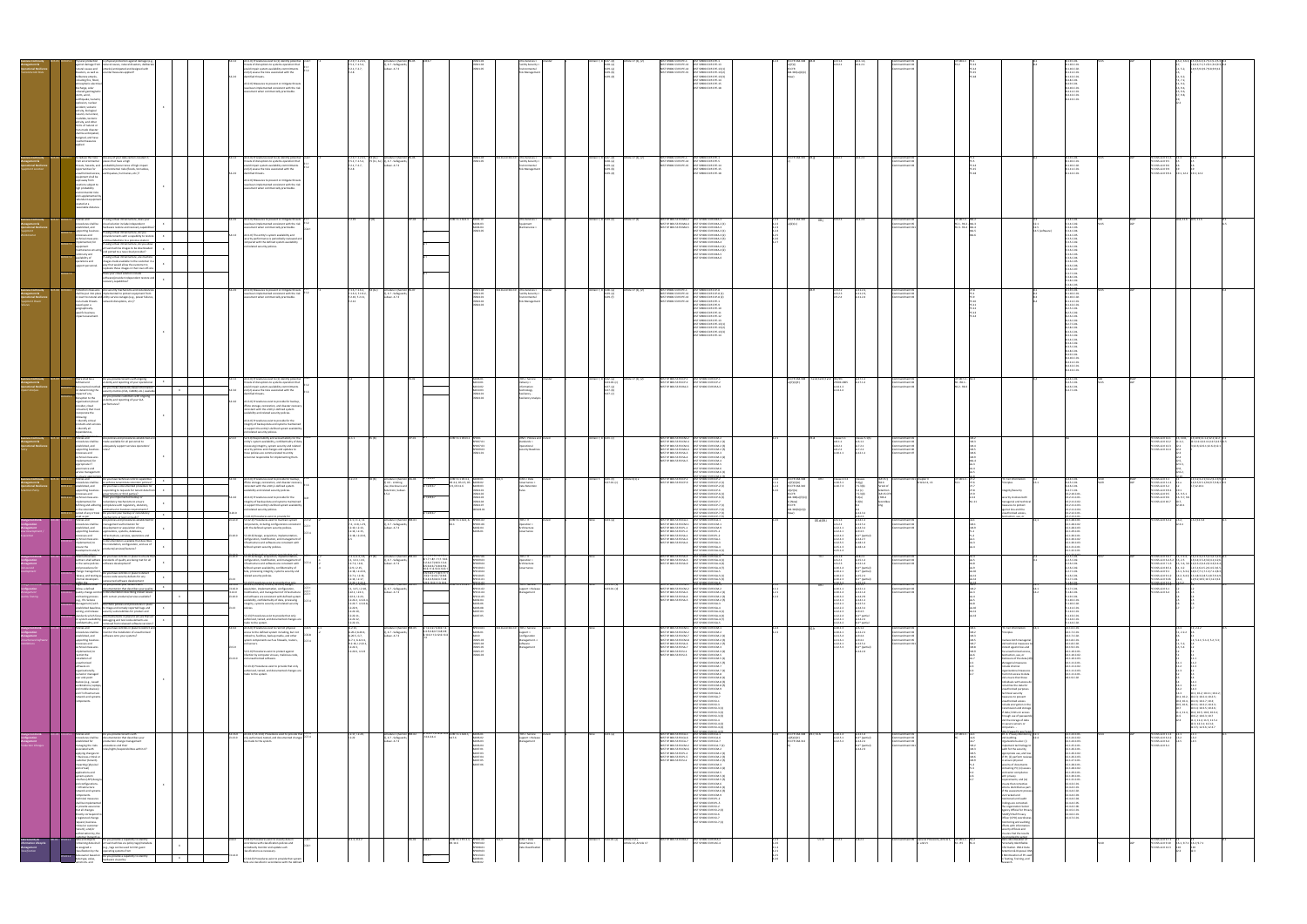**Business Continuity Management & Operational Resilience***Environmental Risks*

**Business Continuity Management & Operational Resilience***Equipment Location*

**Business Continuity Management & Operational Resilience***Equipment Power* 

**Business Continuity Management & Operational Resilience**

**Change Control & Configuration** *Unauthorized Software* 

**Change Control & Configuration Management***Production Changes*

| Physical protection is physical protection against damage (e.g.,<br>against damage from natural causes, natural disasters, deliberate<br>anticipated and designed with<br>Floorings assures<br>isasters, as well as<br>deliberate attacks,<br>including fire, flood,<br>maspheric electris<br>discharge, solar<br>encrurge, sour<br>induced geomagneti<br>storm, wind,<br>storth, wind,<br>explosion, nuclear<br>accident, volcanic<br>activity, biological<br>hazard, civil unrest,<br>musico, civil universitation<br>mudslide, tectoric<br>activity, and other<br>forms of natural or<br>man-made disaster<br>shall be anticipated,<br>designed, and have<br>puntermeasures<br>applied.                                                                                                                                                                                                                                                                                                                                                                                                                                    | Procedures exist to (1) identify potent<br>reats of disruptions to systems operation that<br>ould impair system availability commitments<br>nd (2) assess the risks associated with the<br>cified threats.<br>3.2.0) Measures to prevent or mitigate threa<br>have been implemented consistent with the risk<br>ent when commercially practicable                                                                                                                                                                                                                                                                                                  | i.1, F.1.5.2,<br>!.1, F.2.7,<br>5), 4.7 - Safeguards,<br>Subsec. 4.7.3<br>DSS01.04                                                                                                                                                                                                                                                                                                                                                                                                                    | 7, 8 6.07.<br>Se 17 (1), (2)<br>6.08. (a)<br>6.09. (a)<br>6.09. (b)<br>ility Security:<br>Manageme<br>6.09.10                                   | (IST SP800-53 R3 PE-1 NIST SP800-53 R3 PE-<br>NIST SP800-53 R3 PE-13 NIST SP800-53 R3 PE-13<br>4151 SP800-53 R3 PE-13<br>415T SP800-53 R3 PE-14 NIST SP800-53 R3 PE-13 (1)<br>415T SP800-53 R3 PE-15 NIST SP800-53 R3 PE-13 (2)<br>NIST SP800-53 R3 PE-13 (3)<br>NUT SP800-53 R3 PE-14<br>NIST SP800-53 R3 PE-14<br>NIST SP800-53 R3 PE-15<br>NIST SP800-53 R3 PE-18                                                                                                                                                                                                                                                                                                                                                                                                                                                                                                                                                                                                                                                                               | CFR 164.308<br>A11.2.1<br>andment #2<br>164.310(a)(2)[ii]                                                                                                                                                                                                                                                                                                                 | 8110.01<br>8110.02<br>8111.01<br>6.1:6.2:7.1:7.2-9.1-9.2:9.3:1<br>10.6,9.7,9.8,9.<br>81120.01<br>848.C.01.<br>849.C.01.<br>8410.C.01.<br>8411.C.01.<br>8412.C.01.<br>8.4.13.C.01.                                                                                                                                                                                                                                                                                                                                                                                                                                                                                                                                                                                                                                                                                                                                                                                                                                                                                                                                                                                                                                                                                                                                                                                                                                                                                                                        |
|-------------------------------------------------------------------------------------------------------------------------------------------------------------------------------------------------------------------------------------------------------------------------------------------------------------------------------------------------------------------------------------------------------------------------------------------------------------------------------------------------------------------------------------------------------------------------------------------------------------------------------------------------------------------------------------------------------------------------------------------------------------------------------------------------------------------------------------------------------------------------------------------------------------------------------------------------------------------------------------------------------------------------------------------------------------------------------------------------------------------------------|----------------------------------------------------------------------------------------------------------------------------------------------------------------------------------------------------------------------------------------------------------------------------------------------------------------------------------------------------------------------------------------------------------------------------------------------------------------------------------------------------------------------------------------------------------------------------------------------------------------------------------------------------|-------------------------------------------------------------------------------------------------------------------------------------------------------------------------------------------------------------------------------------------------------------------------------------------------------------------------------------------------------------------------------------------------------------------------------------------------------------------------------------------------------|-------------------------------------------------------------------------------------------------------------------------------------------------|----------------------------------------------------------------------------------------------------------------------------------------------------------------------------------------------------------------------------------------------------------------------------------------------------------------------------------------------------------------------------------------------------------------------------------------------------------------------------------------------------------------------------------------------------------------------------------------------------------------------------------------------------------------------------------------------------------------------------------------------------------------------------------------------------------------------------------------------------------------------------------------------------------------------------------------------------------------------------------------------------------------------------------------------------|---------------------------------------------------------------------------------------------------------------------------------------------------------------------------------------------------------------------------------------------------------------------------------------------------------------------------------------------------------------------------|----------------------------------------------------------------------------------------------------------------------------------------------------------------------------------------------------------------------------------------------------------------------------------------------------------------------------------------------------------------------------------------------------------------------------------------------------------------------------------------------------------------------------------------------------------------------------------------------------------------------------------------------------------------------------------------------------------------------------------------------------------------------------------------------------------------------------------------------------------------------------------------------------------------------------------------------------------------------------------------------------------------------------------------------------------------------------------------------------------------------------------------------------------------------------------------------------------------------------------------------------------------------------------------------------------------------------------------------------------------------------------------------------------------------------------------------------------------------------------------------------------|
| To reduce the risks<br>Are any of your data centers<br>rom environmental places that have a high<br>threats, hazards, and probability/occurrence of high-impact<br>opportunities for environmental risks (floods, tornadoes,<br>nauthorized access, earthquakes, hurricanes, etc.)?<br>equipment shall be<br>kept away from<br>cations subject to<br>high probability<br>environmental risks<br>d supplemented b<br>fundant equip<br>cated at a<br>sonable distance                                                                                                                                                                                                                                                                                                                                                                                                                                                                                                                                                                                                                                                           | Procedures exist to (1) identify<br>hreats of disruptions to systems operation that<br>Id impair system availability commitments<br>and (2) assess the risks associated with the<br>dified threats.<br>.0) Measures to prevent or mitigate threat<br>have been implemented consistent with the risk<br>sment when commercially practicable.                                                                                                                                                                                                                                                                                                        | 75 (C+, A+) 5), 4.7 - Safeguards,<br>1, F.1.5.2,<br>DSS01.05<br>2.1.6.2.7.<br>Subsec. 4.7.3                                                                                                                                                                                                                                                                                                                                                                                                           | ra Services ><br>cle 17 (1), (2)<br>6.08. (a)<br>acility Security<br>6.09.6<br>$6.09.$ (b)<br>k Manageme<br>6.09.1dl                            | NIST SP800-53 R3 PE-1 NIST SP800-53 R3 PE-1<br>NIST SP800-53 R3 PE-14 NIST SP800-53 R3 PE-5<br>ST SPB00-53 R3 PE-15 NIST SPB00-53 R3 PE-14<br>NIST SP800-53 R3 PE-15<br>NIST SP800-53 R3 PE-18                                                                                                                                                                                                                                                                                                                                                                                                                                                                                                                                                                                                                                                                                                                                                                                                                                                     | GFR 164.310<br>nmandment #2<br>andment #3                                                                                                                                                                                                                                                                                                                                 | 8.1.10.C.01.<br>CIDSS v2.0 9.5 9.5<br>8110.02.<br>8111.03.<br>G.0.05 V2.0<br>0.05 0.0.0 220 13<br>CI DSS v2.0 9.9.1 9.9.1, 12.2 9.9.1; 12.2<br>8.1.12 C.01.                                                                                                                                                                                                                                                                                                                                                                                                                                                                                                                                                                                                                                                                                                                                                                                                                                                                                                                                                                                                                                                                                                                                                                                                                                                                                                                                              |
| Policies and<br>.<br>If using virtual infrastructure, does you<br>procedures shall be<br>cloud solution include independent<br>established, and<br>hardware restore and recovery capabi<br>orting business<br>esses and<br>f using virtual infrastructure, do you<br>wide tenants with a capability to res<br>Inical measures<br>a Virtual Machine to a previous state in<br>If using virtual infrastructure, do you allow<br>virtual machine images to be downloaded<br>lemented, for<br>quipment<br>intenance en<br>Stabivora buolo wen & of best port<br>tinuity and<br>If using virtual infrastructure, are machine<br>images made available to the customer in<br>way that would allow the customer to<br>availability of<br>operations and<br>poort personnel.<br>replicate those images in their own off-site<br>Does your cloud solution include<br>software/provider independent restore<br>covery capabilities?                                                                                                                                                                                                     | (A3.2.0) Measures to prevent or mitigate threats<br>ave been implemented consistent with the risk<br>isment when commercially practicable.<br>1.0) The entity's system availability and<br>ecurity performance is periodically reviewed<br>mpared with the defined system availability<br>viated security policies.                                                                                                                                                                                                                                                                                                                                | COBIT 4.1 A13.3 BAIO3.10<br>1 (R)<br>BAID4.03<br>BAID4.04<br>DSS03.05                                                                                                                                                                                                                                                                                                                                                                                                                                 | Infra Services > arovider<br>Domain 7, 8 6.09, (h)<br>Article 17(1)<br>quipment                                                                 | NIST SP 800-53 R3 MA-2 NIST SP 800-53 R3 MA-2<br>(IST SP 800-53 R3 MA-4 NIST SP 800-53 R3 MA-2 (1)<br>NIST SP 800-53 R3 MA-5 NIST SP 800-53 R3 MA-3<br>8.2.3<br>NIST SP 800-53 R3 MA-3 (1)<br>NIST SP 800-53 R3 MA-3 (2)<br>NIST SP 800-53 R3 MA-3 (3)<br>$\frac{8.2.6}{8.2.7}$<br>NIST SP 800-53 R3 MA-4<br>IST SP 800-53 R3 MA-4 (1)<br>NIST SP 800-53 R3 MA-4 (2)<br>NIST SP 800-53 R3 MA-5<br>NIST SP 800-53 R3 MA-6                                                                                                                                                                                                                                                                                                                                                                                                                                                                                                                                                                                                                           | 45 OFR 164.310<br>ommandment #2<br>4.9.2.4<br>A11.2.4<br>IP-007-3 - MA<br>R6.1 - R6.2 - MA-3<br>R6.3 - R6.4 - MA-4<br>nmandment #5<br>(2)(iv)<br>andment #1                                                                                                                                                                                                               | 10.8, 11.6 10.9; 11.6<br>3.3.4.C.01<br>3.3.4.C.02<br>3.3.4.C.03<br>3.3.4.C.04<br>3.4.C.OS<br>3.3.5.C.01.<br>3.3.5.C.02.<br>3.3.6.C.01.<br>3.3.6.C.02<br>3.3.6.C.03<br>3.3.6.C.04.<br>3.3.6.C.05.<br>3.3.6.C.06.<br>3.3.6.C.07.<br>3.3.7.C.01.<br>3.3.8.C.01<br>3.3.8.CO2<br>3.3.8.CO3                                                                                                                                                                                                                                                                                                                                                                                                                                                                                                                                                                                                                                                                                                                                                                                                                                                                                                                                                                                                                                                                                                                                                                                                                    |
| Protection measures Are security mechanisms and redunda<br>shall be put into place implemented to protect equipment from<br>to react to natural and utility service outages (e.g., power failures,<br>man-made threats metwork disruptions, etc.)?<br>s noqu basd<br>severaphically<br>specific business<br>impact assessmen                                                                                                                                                                                                                                                                                                                                                                                                                                                                                                                                                                                                                                                                                                                                                                                                  | (A3.2.0) Measures to prevent or mitigate threat<br>have been implemented consistent with the risk<br>assessment when commercially practicable.                                                                                                                                                                                                                                                                                                                                                                                                                                                                                                     | hedule 1 (Section<br>SS01.04<br>L6.2, F.1.9.2<br>5), 4.7 - Safeguards,<br>Subsec. 4.7.3<br>DSS01.05<br>10, F.2.11,<br>DSS04.01<br>DSS04.02<br>DSS04.03                                                                                                                                                                                                                                                                                                                                                | 2.8 and 312.10 Infra Services ><br>omain 7, 8 6.08. (a)<br>ticle 17 (1), (2)<br>ility Securi<br>$6.09. (e)$<br>$6.09. (f)$<br>k Manager         | NIST SP800-53 R3 PE-1 NIST SP800-53 R3 CP-8<br>NIST SP800-53 R3 PE-12<br>NIST SP800-53 R3 PE-12<br>NIST SP800-53 R3 PE-13<br>NIST SP800-53 R3 PE-14<br>NIST SP800-53 R3 PE-14<br>NIST SP800-53 R3 PE-14<br>0-34 ER ES-00837 T2W<br>NET SP800-53 R3 PE-30<br>NIST SP800-53 R3 PE-10<br>NIST SP800-53 R3 PE-11<br>NIST SP800-53 R3 PE-12<br>NGT SP800-53 R3 PE-13<br>NIST SP800-53 R3 PE-13<br>NIST SP800-53 R3 PE-13 (1)<br>NIST SP800-53 R3 PE-13 (2)<br>NIST SP800-53 R3 PE-13 (3)<br>NIST SP800-53 R3 PE-14                                                                                                                                                                                                                                                                                                                                                                                                                                                                                                                                      | nmandment #<br>A.11.2.3,<br>A.11.2.4<br>andment #2                                                                                                                                                                                                                                                                                                                        | R19.C01<br>8.1.10.C.01<br>8110.02.<br>8111.03.<br>8112.C.01<br>825.C.01<br>825.C.02<br>8.2.6.C.01<br>R26.C02<br>R27.C01<br>8.2.8.C.01.<br>833.C.01.<br>833.C.02.<br>8.3.4.C.01<br>834.C02.<br>835.C01.<br>848.COL<br>849.COL<br>8410.01<br>8.4.11.C.01.<br>84.12.0.01<br>8413.0.01                                                                                                                                                                                                                                                                                                                                                                                                                                                                                                                                                                                                                                                                                                                                                                                                                                                                                                                                                                                                                                                                                                                                                                                                                       |
| 09 BCR-09.1 Barreshall ber<br>Do you provide tenants with ongoing<br>defined and<br>visibility and reporting of your operational<br>mented method<br>o you make standards-based inform<br>or determining the<br>arity metrics (CSA, CAMM, etc.) av.<br>pact of any<br>Do you provide customers with ongoing<br>isruption to the<br>visibility and reporting of your SLA<br>organization (cloud<br>performance?<br>provider, cloud<br>consumer) that must<br>corporate the<br>following:<br>• Identify critical<br>roducts and service<br>· Identify all<br>encies,                                                                                                                                                                                                                                                                                                                                                                                                                                                                                                                                                            | 3.1.0) Procedures exist to (1) identify poten<br>hreats of disruptions to systems operation that<br>suld impair system availability commitments<br>$\mathbf{x}$ .<br>and (2) assess the risks associated with the<br>cified threats.<br>3.0) Procedures exist to provide for backup<br>offsite storage, restoration, and disaster recordistent with the entity's defined system<br>ailability and related security policies.<br>(4.0) Procedures exist to provide for the<br>integrity of backup data and systems maintai<br>upport the entity's defined system availab<br>lated security policies.                                                | BAI10.01<br>8A110.02<br>8A110.03<br>DSS04.01<br>SSD4.02                                                                                                                                                                                                                                                                                                                                                                                                                                               | S > Service<br>main 7, 8 6.02 (a)<br>icle 17 (1), (2)<br>6.03.03.00<br>6.07. (a)<br><b>Iformation</b><br>Technology<br>$6.07.$ (b)<br>siliency- | NIST SP 800-53 R3 CP-1 NIST SP 800-53 R3 CP-<br>NIST SP 800-53 R3 CP-2 NIST SP 800-53 R3 CP-2<br>NIST SP 800-53 R3 RA-3 NIST SP 800-53 R3 RA-3                                                                                                                                                                                                                                                                                                                                                                                                                                                                                                                                                                                                                                                                                                                                                                                                                                                                                                     | CFR 164.308<br>12.a:12.b:12.c SO/IE<br>nandment #<br>27001-2005<br>A.17.1.2<br>nandment #2<br>$18 - R8.1$<br>(7)(ii)(E)<br>$82 - 88.3$<br>4.14.1.2                                                                                                                                                                                                                        | 44.CD<br>645.C01<br>6.4.6.C.01.<br>647.C01                                                                                                                                                                                                                                                                                                                                                                                                                                                                                                                                                                                                                                                                                                                                                                                                                                                                                                                                                                                                                                                                                                                                                                                                                                                                                                                                                                                                                                                               |
| blicies and<br>ed lists zerobeon<br>nade available for all personnel to<br>tablished, and<br>adequately support services operation<br>upporting business<br>cesses and<br>splemented, for<br>Ti stisingong<br>ance and<br>rvice management                                                                                                                                                                                                                                                                                                                                                                                                                                                                                                                                                                                                                                                                                                                                                                                                                                                                                    | (0) Responsibility and accounta<br>y's system availability, confidentiality of da<br>essing integrity, system security and relate<br>curity policies and changes and updates to<br>those policies are communicated to entity<br>personnel responsible for implementing the                                                                                                                                                                                                                                                                                                                                                                         | AP007.01<br>AP007.03<br>AP009.03<br>DSS01.01                                                                                                                                                                                                                                                                                                                                                                                                                                                          | andards :<br>perational<br>curity Baselin                                                                                                       | NIST SP 800-53 R3 CM-2<br>NIST SP 800-53 R3 CM-<br>NIST SP 800-53 R3 CM-4 NIST SP 800-53 R3 CM-2 (1)<br>(IST SP 800-53 R3 CM-6 NIST SP 800-53 R3 CM-2 (3)<br>NIST SP 800-53 R3 MA-4 NIST SP 800-53 R3 CM-2 (5)<br>NIST SP 800-53 R3 SA-3 NIST SP 800-53 R3 CM-3<br>ST SP 800-53 R3 SA-4<br>NIST SP 800-53 R3 CM-3 (2)<br>NIST SP 800-53 R3 SA-5 NIST SP 800-53 R3 CM-4<br>NIST SP 800-53 R3 CM-5<br>NIST SP 800-53 R3 CM-6<br>NIST SP 800-53 R3 CM-6 (1)<br>NHCT 50 800-53 83 CM-6 P                                                                                                                                                                                                                                                                                                                                                                                                                                                                                                                                                               | andment #2<br>andment #3<br>A.7.2.2<br>nmandment #6<br>1.10.1.1<br>A.12.1.1<br>andment #7<br>CM-6<br>CM-9<br>MA-4                                                                                                                                                                                                                                                         | DSS v2.0 12<br>CI DSS v2.0 12.2<br>3;12.4;12.4.1;12.5;12.5 G<br>3 DSS v2.0 12.3 12.1<br>6:12.6.1:12.6.2:12<br>CI DSS v2.0 12.4 12.2                                                                                                                                                                                                                                                                                                                                                                                                                                                                                                                                                                                                                                                                                                                                                                                                                                                                                                                                                                                                                                                                                                                                                                                                                                                                                                                                                                      |
| encure anno<br>licies and<br>$ -$<br>cedures shall be to enforce tenant data retention policies?<br>ablished, and<br>bo you have a documented procedure for<br>responding to requests for tenant data fro<br>porting business<br>esses and<br>governments or third parties?<br>Have you implemented backup or<br>redundancy mechanisms to ensure<br>Inical measures<br>mplemented, for<br>defining and adhering compliance with regulatory, statutory,<br>the retention<br>contractual or business requirements<br>period of any critical Do you test your backup or redundancy<br>merhanisms at least annually?<br>Are policies and procedures establ<br>at as par                                                                                                                                                                                                                                                                                                                                                                                                                                                           | offsite storage, restoration, and disaster recovery<br>tent with the entity's defined system<br>ilability and related security policies.<br>00 Procedures exist to provide for the<br>integrity of backup data and systems maintaine<br>support the entity's defined system availabili<br>related security policies.<br>Procedures exist to provide for                                                                                                                                                                                                                                                                                            | 5) 4.5 - Limiting<br>DS 4.2, DS 4.5, DS BAID9.02<br>21283<br>4.9, DS 11.6<br>8AI09.03<br>DSS04.01<br>DSS04.02<br>DSS04.03<br>ttion, Subset<br>1285<br>DSS04.04<br>DSS04.07<br>MEA03.01                                                                                                                                                                                                                                                                                                                | S > Data<br>6.07.01. (c)<br>iovernance ><br>ata Retention                                                                                       | IST SP 800-53 R3 CI<br>NIST SP 800-53 R3 CP-9 NIST SP 800-53 R3 CP-2 (1)<br>NIST SP 800-53 R3 CP-2 (2)<br>NIST SP 800-53 R3 CP-6<br>NIST SP 800-53 R3 CP-6 (1)<br>NIST SP 800-53 R3 CP-6 (3)<br>NIST SP 800-53 R3 CP-7<br>NIST SP 800-53 R3 CP-7 (1)<br>NIST SP 800-53 R3 CP-7 (2)<br>IST SP 800-53 R3 CP-7 (3)<br>NIST SP 800-53 R3 CP-7 (5)                                                                                                                                                                                                                                                                                                                                                                                                                                                                                                                                                                                                                                                                                                      | (a)(7)(ii)(A)<br>A.10.5.1<br>9.2(g)<br>7.5.3(b)<br>5.2 (c)<br>Article 11, 13<br>S CFR 164.310<br>4.10.7.3<br>Retention<br>EAR 15 CF<br>(d)(2)(iv)<br>45 CFR<br>7.5.3(d)<br>5786.2<br>164.308(a)(7)(ii<br>5.3(a)<br>5.3(b)<br>8.1<br>$$1-12$<br>Recordiee<br>Ping<br>AU-11<br>D) (New)<br>45 CFR<br>164.316(b)(2)(i)<br>A.12.3.1                                           | C Fair Informatio<br>vinciples<br>6.4.5.C.01.<br>CIDSS v2.0 3.1.1 3.1.a<br>9.1;9.5;9.5.1;9.6;9.7;9.8;1<br>6.4.6.C.01.<br>6.4.7.C.01.<br>PCI DSS v2.0 3.2 3.2<br>PCI DSS v2.0 9.9.1 9.9.1<br>7;12.10.1<br>tegrity/Security<br>13.2.10.C.01<br>ACI DSS v2.0 9.5 9.5.9.5.1<br>curity involves both<br>3.2.11.C.01<br>0.0 0.5 v2.0 9.6<br>2.11.0.02.<br>CI DSS v2.0 10.7<br>managerial and technical<br>measures to protect<br>13.2.11.C.03.<br>gainst loss and the<br>3.2.11.0.04<br>12.C.01<br>rized access,<br>tion, use, or<br>13 2.13 C 01<br>12 1.28 C 01                                                                                                                                                                                                                                                                                                                                                                                                                                                                                                                                                                                                                                                                                                                                                                                                                                                                                                                                              |
| ocedures shall be<br>nazement authorization for<br>stablished, and<br>levelopment or acquisition of new<br>supporting business applications, systems, databases,<br>cesses and<br>infrastructure, services, operations and<br>is documentation available that describe<br>splemented, to<br>the installation, configuration, and use of<br>ensure the<br>products/services/features?<br>ernal business<br>Do you have controls in place to ensu<br>artners shall adhere<br>standards of quality are being met for all<br>software development?<br>o the same policies<br>d procedures for<br>ange management                                                                                                                                                                                                                                                                                                                                                                                                                                                                                                                  | 3.12.0) Procedures exist to maintain system<br>ponents, including configurations consist<br>the defined system security policies.<br>3.10.0 Design, acquisition, implementatio<br>rifiguration, modification, and management o<br>structure and software are consistent with<br>defined system security policies.<br>3.10.0) Design, acquisition, implementation<br>configuration, modification, and management o<br>nfrastructure and software are consistent with<br>defined system availability, confidentiality of<br>data, processing integrity, systems security and<br>ed security policies.<br>(A3.13.0, C3.16.0, 13.14.0, S3.10.0) Design | AP001.06<br>12.8, 1.2.9<br>4.7 - Safeguards,<br>Isec. 4.7.3<br>10, 1.2.13,<br>$12.14, 12.15,$ $12.18, 12.22.6,$<br>BAI06.01<br>A, G.4, G6<br>AP007.06<br>AP009.03<br>AP009.04<br>AP010.04<br>AP010.05<br>AP011.01<br>, 1.4.4, 1.4.5,<br>.7.2, 1.2.8,<br>5), 4.7 - Safeguards,<br>Subsec. 4.7.3<br>1.7;1.8;1.11;1.13<br>2.4;2.7;2.8;3.1;3.<br>2.9, 1.2.15,<br>10;3.11;3.12;3.13;3<br>1.5;1.6;1.7;1.8;1.11<br>2.18, 12.22.6<br>1.7.1, 1.2.13,<br>1.14, 1.2.17,<br>2.1:242.728;<br>AP01101<br>2, 61, 66, | vernance<br>peration ><br>irchitecture<br>iovernance                                                                                            | (IST SP 800-53 R3 CA-1<br>NIST SP 800-53 R3 CM-1 NIST SP 800-53 R3 CM-1<br>ST SP 800-53 R3 PL-1 NIST SP 800-53 R3 CM-9<br>NIST SP 800-53 R3 PL-2 NIST SP 800-53 R3 PL-1<br>NIST SP 800-53 R3 SA-1 NIST SP 800-53 R3 PL-2<br>E-A2 ER E2-008 92 T2<br>IST SP 800-53 R3 SA-1<br>NIST SP 800-53 R3 SA-4 NIST SP 800-53 R3 SA-3<br>NIST SP 800-53 R3 SA-4<br>NIST SP 800-53 R3 SA-4 NIST SP 800-53 R3 SA-4<br>NIST SP 800-53 R3 SA-5 NIST SP 800-53 R3 SA-4 (1)<br>ST SP 800-53 R3 SA-9 NIST SP 800-53 R3 SA-4 (4)<br>NIST SP 800-53 R3 SA-4 (7)<br>NIST SP 800-53 R3 SA-5<br>NGT SP 800-53 R3 SA-5 (1)<br>NIST SP 800-53 R3 SA-5 (1)<br>NIST SP 800-53 R3 SA-5 (3)<br>NIST SP 800-53 R3 CM-1 NIST SP 800-53 R3 CM-1                                                                                                                                                                                                                                                                                                                                    | 05.d:09<br>A.12.5.1<br>andment #2<br>A14.3.1<br>A9.4.5<br>A.12.4.1<br>A.12.4.2<br>A.12.4.3<br>A.12.5.5<br>A.15.1.3<br>8.1* (partial)<br>A.14.2.7<br>A.18.1.3<br>A.18.1.4<br>A.15.1.2<br>A.12.1.4<br>andment #2<br>A.6.2.3<br>A.10.1.4<br>ndment #3<br>SA-9<br>SA-10<br>8.1" (partial)<br>A.10.2.1<br>A.10.2.2<br>A.10.2.3<br>8.1* (partial)<br>A.15.2.1<br>8.1" (partial) | 1DSS v2.0 6.3.2 6.3.2, 6.3.2;12.3.4<br>1.28C02<br>2.1.28.C.03<br>12.1.29.C.01<br>12.1.30.C.01<br>1.30.C.02<br>12.1.30.C.03<br>1.31.0.01<br>25.C.01<br>DSS v2.0 3.6.7<br>2.2.5.C.02<br>CIDSS v2.0 6.4.5.2 2.3.2.5<br>3334354364142<br>226C01<br>226C02<br>227C01<br>516C01<br>517C01<br>DSS v2.0 7.1.3 3.3, 3.4, 3.6 3.1<br>1326426436<br>CIDSS v2.0 8.5.1 4.1.4.2 6.4.5.1:6.4.5.2:6.4.5.3:6.5<br>CIDSS v2.0 9.1 6.3.1.6.3.2. 4.4:6.7:7.1:7.1.3:7.1.4:8.3:<br>$PQ$ DSS $v2.0$ 9.1.2 6.4.2, 6.4.3, 8.3.1, 8.3.2, 8.5.1, 8.7, 9.1, 9.4.2 6.4.2, 6.4.3, 8.3.1, 8.3.2, 8.5.1, 8.7, 9.1, 9.4.2<br>1601<br>0006020111 61                                                                                                                                                                                                                                                                                                                                                                                                                                                                                                                                                                                                                                                                                                                                                                                                                                                                                        |
| $x -$<br>w a defined<br>documentation that describes your qualit<br>Is documentation describing known issue<br>uality change control<br>and testing process with certain products/services available?<br>[e.g., ITIL Service<br>Are there policies and procedures in place<br>džiw (Insensgeni<br>blished baselines.<br>triage and remedy reported bugs and<br>ting, and release<br>security vulnerabilities for product and<br>standards which focus Are mechanisms in place to ensure that al<br>on system availability, debugging and test code elements are<br>indentiality, and removed from released software version                                                                                                                                                                                                                                                                                                                                                                                                                                                                                                   | 3.16.0<br>acquisition, implementation, configuration,<br>modification, and management of infrastructure<br>insurrounce, and management or minimized<br>and software are consistent with defined system<br>wailability, confidentiality of data, processing<br>integrity, systems security and related security<br>3.13) Procedures exist to provide that only<br>authorized, tested, and documented changes a<br>made to the system.                                                                                                                                                                                                               | edule 1 (Section<br>AP011.02<br>AP011.04<br>AP011.05<br>AP011.05<br>BAI02.06<br>BAI02.08<br>BAI07.05<br>1.4.5, 1.2.18,<br> , 4.7 - Safeguards,<br>absec. 4.7.3<br>1.22.1, 1.22.3,<br>1.22.6, 1.2.23,<br>1.2.22.2, 1.2.22.4,<br>222.7.1.2.22.8<br>.2.22.9,<br>.2.22.10,<br>1, 2, 22, 11,<br>2.22.12,<br>22.13                                                                                                                                                                                          | FOS > Service<br>6.03.01.0<br>6.03.01. (d)<br>upport > Release<br>Insmiginal                                                                    | (IST SP 800-53 R3 CM-2 NIST SP 800-53 R3 CM-2<br>NIST SP 800-53 R3 SA-3 NIST SP 800-53 R3 CM-2 (1)<br>NIST SP 800-53 R3 SA-4 NIST SP 800-53 R3 CM-2 (3)<br>9.2.1<br>NIST SP 800-53 R3 SA-5 NIST SP 800-53 R3 CM-2 (5)<br>NIST SP 800-53 R3 SA-3<br>NIST SP 800-53 R3 SA-4<br>NIST SP 800-53 R3 SA-4 (1)<br>NIST SP 800-53 R3 SA-4 (4)<br>NIST SP 800-53 R3 SA-4 (7)<br>NIST SP 800-53 R3 SA-5                                                                                                                                                                                                                                                                                                                                                                                                                                                                                                                                                                                                                                                      | 513<br>mandment #<br>A.12.1.1<br>andment #2<br>A.10.1.4<br>A.12.1.4<br>A.14.2.9<br>andment #3<br>A.10.3.2<br>A 1032<br>A 1233<br>A 1223<br>A 1223<br>A 1223<br>A 14.1.1<br>A 12.5.1<br>A 14.3.1<br>A 9.4.5<br>SA-5<br>SA-8<br>SA-10<br>8.1* partial<br>A.14.2.2<br>8.1* partial                                                                                           | 5.1.7.0.01.<br>CI DSS v2.0 6.1 6.<br>518C01<br>519C01<br>5110C01<br>5110C01<br>51112C01<br>5113C01<br>5113C01<br>CI DSS v2.0 6.4 6.3<br>1.14.0.02                                                                                                                                                                                                                                                                                                                                                                                                                                                                                                                                                                                                                                                                                                                                                                                                                                                                                                                                                                                                                                                                                                                                                                                                                                                                                                                                                        |
| blicies and<br>Do you have controls in place to restrict a<br>monitor the installation of unauthorized<br>procedures shall be<br>established, and<br>software onto your systems?<br>supporting business<br>processes and<br>technical measurer<br>Icennical measure<br>implemented, to<br>restrict the<br>installation of<br>unauthorized<br>software on<br>organizationally<br>owned or managed<br>owned or managed<br>user end-point<br>devices (e.g., issued<br>workstations, laptop<br>and mobile devices)<br>and IT infrastructure<br>network and system<br>components.                                                                                                                                                                                                                                                                                                                                                                                                                                                                                                                                                  | rocedures exist to restrict physica<br>access to the defined system including, but not<br>limited to, facilities, backup media, and other<br>system components such as firewalls, routers,<br>and servers.<br>3.5.0) Procedures exist to protect against<br>infection by computer viruses, malicious code.<br>and unauthorized software.<br>3.13.0) Procedures exist to provide that only<br>authorized, tested, and documented changes<br>made to the system.                                                                                                                                                                                     | 43536373839<br>3.103.11;3.123.13;<br>BAI06.01<br>G.20.2, G.20.4,<br>5), 4.7 - Safeguards,<br>Subsec. 4.7.3<br>G.20.5, G.7,<br>BAI10<br>DSS05.03<br>DSS05.04<br>DSS05.07<br>DSS06.03<br>3.7.1, 6.12.11<br>H.2.16, I.2.22.1<br>2 22 3,<br>2 22 6, 1 2 23                                                                                                                                                                                                                                                | S > Service<br>Configuration<br>Management -<br>Software<br>Aanagement                                                                          | NIST SP 800-53 R3 CM-1<br>(IST SP 800-53<br>NIST SP 800-53 R3 CM-2 NIST SP 800-53 R3 CM-2<br>NET SP 800-53 R3 CM-7 NET SP 800-53 R3 CM-2 (1)<br>NET SP 800-53 R3 CM-7 NET SP 800-53 R3 CM-2 (1)<br>NET SP 800-53 R3 CM-8 NET SP 800-53 R3 CM-2 (3)<br>NIST SP 800-53 R3 SA-6 NIST SP 800-53 R3 CM-2 (5)<br>NIST SP 800-53 R3 SA-7 NIST SP 800-53 R3 CM-3<br>415T SP 800-53 R3 SI-1<br>NIST SP 800-53 R3 CM-3 (2)<br>NIST SP 800-53 R3 SI-3 NIST SP 800-53 R3 CM-5<br>NIST SP 800-53 R3 CM-5 (1)<br>NIST SP 800-53 R3 CM-5 (5)<br>NIST SP 800-53 R3 CM-7<br>NIST SP 800-53 R3 CM-7 (1)<br>NIST SP 800-53 R3 CM-8<br>NIST SP 800-53 R3 CM-8 (1)<br>NIST SP 800-53 R3 CM-8 (3)<br>NIST SP 800-53 R3 CM-8 (5)<br>NIST SP 800-53 R3 CM-9<br>NIST SP 800-53 R3 SA-6<br>NST SP 800-53 R3 SA-7<br>NIST SP 800-53 R3 SA-7<br>NIST SP 800-53 R3 SI-3<br>NUT SP 800-53 R3 SI-3 (1)<br>NIST SP 800-53 R3 SI-3 (2)<br>NIST SP 800-53 R3 SI-3 (3)<br>NGT SP 800-53 R3 SI-4<br>NIST SP 800-53 R3 SI-4<br>NIST SP 800-53 R3 SI-4 (2)<br>NIST SP 800-53 R3 SI-4 (4) | A.10.4.1<br>A.12.2.1<br>nandment #2<br>A.115.4<br>A.116.1<br>A.12.4.1<br>A.12.5.3<br>A.14.4<br>A.9.4.4<br>A.9.4.1<br>A.14.2.4<br>A.14.2.4<br>andment #3<br>CM-3<br>CM-5<br>CM-7<br>CM-8<br>andment #5<br>andment #                                                                                                                                                        | 4.1.6.0.01<br>nciples<br>14.1.7.C.01.<br>14.1.7.C.02.<br>14.1.8.C.01.<br>1; 5.1.1; 5.1.2; 5.2; 5.3;<br>volves both manageria<br>14.1.8.C.02.<br>14.1.9.C.01.<br>14.1.10.C.01.<br>nd technical measur<br>5.1, 5.2, 5.3, 5.4<br>rotect against loss and<br>nauthorized acces<br>destruction, use, or<br>14.1.10.C.02<br>sclosure of the data.(49<br>14.1.10.C.03.<br>14.1.11.0.01.<br>9.1.1<br>9.1.2<br>9.1.3<br>9.2<br>9.3<br>9.4<br>$\begin{array}{c} 9.1.2 \\ 9.1.3 \\ 9.2 \end{array}$<br>Managerial measures<br>include internal<br>14.1.11.C.02.<br>14.1.11.C.03.<br>14.1.11.C.01.<br>ganizational measur<br>t limit access to data<br>and ensure that those<br>18.1.9.C.02<br>9.4.1<br>9.4.2<br>9.4.3<br>individuals with access<br>t utilize the data for<br>$9.4.1$<br>$9.4.2$<br>$9.4.3$<br>lauthorized purposes<br><b>Technical security</b><br>measures to prevent<br>10.1:10.2:10.2.1:10.2.2:<br>10.1, 10.2, 10.2.3; 10.2.4; 10.2.5;<br>10.3, 10.4, 10.2.6; 10.2.7; 10.3;<br>lauthorized access<br>include encryption in the<br>transmission and storage<br>of data; limits on access<br>$\begin{array}{c} 10.5, \, 10.6, \, 10.3.1; \, 10.3.2; \, 10.3.3; \\ 10.7 \, \phantom{0}10.3.4; \, 10.3.5; \, 10.3.6; \\ 11.1, \, 11.4, \, 10.4; \, 10.5; \, 10.6; \, 10.6.1; \end{array}$<br>through use of password<br>and the storage of data<br>10.6.2:10.6.3:10.7<br>1; 11.4; 11.5; 11.5<br>secure servers or<br>2.3; 12.3.1; 12.3.2;<br>puters. -<br>235; 123.6; 123.7                         |
| .<br>Do you provide tenants with<br>Policies and<br>rocedures shall be<br>documentation that describes you<br>production change management<br>established for<br>managing the risks<br>associated with<br>applying changes to:<br>procedures and their<br>roles/rights/responsibilities within it?<br>Parainess-critical or<br>existence (tenant)<br>impacting (physical<br>and virtual)<br>applications and<br>interface (API) designs<br>interface (API) designs<br>interface (API) designs<br>and configurations.<br>Infrastructure<br>network and system<br>components.<br>Technical measures<br>shall be implemente<br>to provide assurance<br>that all changes<br>directly correspon<br>registered change<br>quest, business-<br>critical or custome<br>(tenant), and/or<br>prization by, the<br>ustomer (tenant) as<br>Nita and objects<br>Do you provide a capability to identi<br>staining data shall virtual machines via policy tags/metadat<br>be assigned a<br>(e.g., tags can be used to limit guest<br>assification by the operating systems from<br>ta owner based on Do you provide a capability to identify | 3.16.0 (A3.16.0, S3.13.0) Procedures exist to provide that<br>only authorized, tested, and documented changes CC7.4<br>are made to the system.<br>3 & 01 Procedures exist to classify dat<br>rdance with classification policies and<br>periodically monitor and update such<br>assifications as necessary.                                                                                                                                                                                                                                                                                                                                        | hedule 1 (Section<br>17, 12.20,<br>COBIT 4.1 A16.1<br>4,4,3,4,4<br>5), 4.7 - Safeguards,<br>Subsec. 4.7.3<br>BAI06.02<br>BAI06.03<br>BAI06.04<br>BAI07.01<br>BAI07.03<br>BAI07.04<br>BAI07.05<br>BAI07.06<br>OBIT 4.1 PO 2.3. APO01.06<br>AP003.02<br>AP008.01<br>AP009.03<br>AP013.01<br>BAI09.01                                                                                                                                                                                                    | S > Service<br>sport > Relea<br><b>Inserings</b> ni<br>OSS > Data<br>Article 4 (1<br>iovernance ><br>ticle 12, Article 17<br>ata Classificatio  | NIST SP 800-53 R3 CA-1 NIST SP 800-53 R3 CA-1<br>NIST SP 800-53 R3 CA-6 NIST SP 800-53 R3 CA-6<br>NIST SP 800-53 R3 CA-7 NIST SP 800-53 R3 CA-7<br>NIST SP 800-53 R3 CM-2 NIST SP 800-53 R3 CA-7 (2)<br>NIST SP 800-53 R3 CM-6 NIST SP 800-53 R3 CM-2<br>ST SP 800-53 R3 PL-2<br>NIST SP 800-53 R3 CM-2 (1)<br>NIST SP 800-53 R3 PL-5 NIST SP 800-53 R3 CM-2 (3)<br>NIST SP 800-53 R3 SI-2 NIST SP 800-53 R3 CM-2 (5)<br>NIST SP 800-53 R3 CM-3<br>NIST SP 800-53 R3 CM-3 (2)<br>NIST SP 800-53 R3 CM-5<br>NIST SP 800-53 R3 CM-5<br>NIST SP 800-53 R3 CM-5 (1)<br>NIST SP 800-53 R3 CM-5 (5)<br>NIST SP 800-53 R3 CM-6<br>NEST SP 800-53 R3 CM-6 (1)<br>NIST SP 800-53 R3 CM-6 (3)<br>NIST SP 800-53 R3 CM-9<br>NOT SP 800-53 R3 PL-2<br>NIST SP 800-53 R3 PL-2<br>NIST SP 800-53 R3 SI-2<br>NIST SP 800-53 R3 SI-2 (2)<br>NIST SP 800-53 R3 SI-6<br>NIST SP 800-53 R3 SI-7<br>NIST SP 800-53 R3 SI-7 (1)<br>ST SP 800-53 R3 RA-2 NIST SP 800-53 R3 RA-2<br>NIST SP 800-53 R3 AC-4<br>1.2.6<br>4.1.2<br>8.2.1<br>8.2.5<br>8.2.6                   | 6 CFR 164.308 09.it 10.k<br>nmandment #<br>$0033 - C$<br>nandment #2<br>(a)(5)(ii)(C)<br>45 CFR 164.312<br>$-1$ * (partial)<br>$A = 14.2.2$<br>4.12.5.2<br>andment #3<br>8.1* (partial)<br>A.14.2.3<br>andment<br>CM-2<br>CM-3<br>CIP-003-3 - RA<br>General Provisio<br>V. and VI.                                                                                        | <u>n //www.ft<i>r_enufren.</i></u><br>- 4. Privacy Monitorin<br>$1$ DSS $\sqrt{2.01}$<br>1.24C0<br>and Auditing.<br>Drganizations also: (i)<br>1.24.0.02<br>PCI DSS v2.0 6.3.2<br>PCI DSS v2.0 6.4 6.4.5<br>2.1.24.0.03.<br>mplement technology t<br>12.1.25.C.01.<br>12.1.26.C.01.<br>12.1.26.C.02.<br>PCI DSS v2.0 6.1<br>audit for the security,<br>appropriate use, and loss<br>12.1.26.C.03.<br>of PII; (ii) perform review<br>o ensure physical<br>ecurity of documents<br>12.1.27.C.01.<br>12.1.28.C.01.<br>12.1.28.C.02.<br>12.1.29.C.01.<br>12.1.30.C.01.<br>12.1.31.C.01.<br>containing PII; (iii) asses<br>contractor compliance<br>with privacy<br>equirements; and (iv)<br>ensure that corrective<br>actions identified as part<br>12.4.3.C.01.<br>12.4.4.C.01.<br>12.4.4.C.02.<br>of the assessment proce<br>re tracked and<br>12.4.4.0.03.<br>12.4.4.0.04.<br>12.4.4.0.05.<br>itored until audit<br>indings are corrected.<br>12.4.4.C.06.<br>he organization Senior<br>Agency Official for Privac<br>(SAOP)/Chief Privacy<br>12.4.5.C.01.<br>12.4.6.C.01.<br>Officer (CPO) coordinate<br>12.4.7.0.01.<br>itoring and auditing<br>fforts with information<br>lecurity officials and<br>sures that the results<br>e nerwided to cenior<br>VI-1 Minimization of<br>IDSS v2.09<br>rsonally Identifiable<br>PCI DSS v2.0 9.10<br>$9.61, 9.71, 9.61; 9.71$<br>PCI DSS v2.0 12.3<br>$12.3$<br>12.3<br>12.3<br>Information. DM-2 Data<br>Retention & Disposal. DM-<br>3 Minimization of PII used |

**Business Continuity Management & Operational Resilience***Equipment* 

**Business Continuity Management & Operational Resilience** *Impact Analysis*

**Change Control & Configuration Management** *New Development / Acquisition*

**Change Control & Configuration Management** *Outsourced Development*

**Business Continuity Management & Operational Resilience***Retention Policy*

**Data Security & Information Lifecycle Management** *Classification*

**Change Control & Configuration**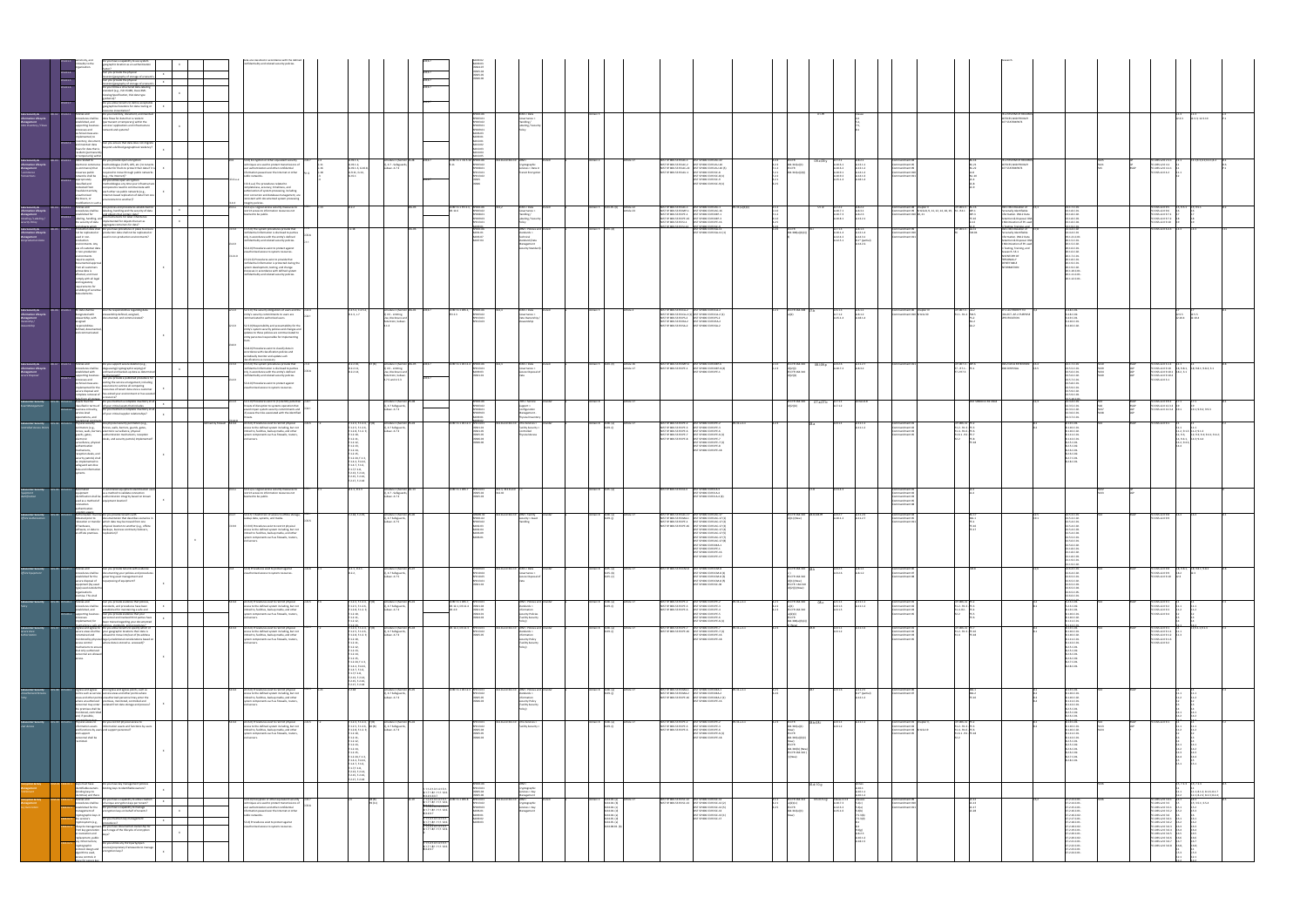**Data Security & Information Lifecycle Management** *Nonproduction Data*

**Data Security & Information Lifecycle Management** *Ownership / Stewardship*

**Datacenter Security**

**Datacenter Security***Equipment Identification*

**Datacenter Security***Offsite Authorization*

**Datacenter Security***Offsite Equipment*

**Datacenter Security***Secure Area Authorization*

**Datacenter Security***Unauthorized Persons* 

| DSI-01.5                    | cality to the                                                                                                                                                                                                                                                                                                                                                                                                                                             | Do you have a capability to use syster<br>eographic location as an authentication<br>you provide the physica<br>X<br>location/geography of storage of a tenant'<br>$\mathbf{x}$ .<br>location/geography of storage of a tena.<br>Do you follow a structured data.Jahod<br>uo you rorrow a structured data-sederi<br>standard (e.g., ISO 15489, Oasis XML<br>Catalog Specification, CSA data type<br>guidance)?<br>Do you allow tenants to define acceptab<br>raphical locations for data routing or                                                                                                                                                                                                                     |   | dentiality and related security policies.                                                                                                                                                                                                                                                                                                                                                                                                                                                                                                                                                                      |                                                                                                                                                                                                                                                                                                         |                                                                                                                                                                                                                                 | BAI09.03<br>DSS04.07<br>DSS05.04<br>DSS05.05<br>DSS06.06                                                                                        |                                  |                                                                                                                                                           |                                                                                                                                          |                                                                                                                                                                                                                                                                                                                                                                                                                                                                                                                       |                       |                                                                                                                 |                                                                                                                                                                                                  |                                                   |                                                                                                                                                                                   |                                                                  |                                                                                                                                                                                                                                                                                                                                                                                                               |                                                                                                                                                                                                                                                                                                            |                                                                                                                                                                                                                                                                                                                                          |                                                                                                                           |
|-----------------------------|-----------------------------------------------------------------------------------------------------------------------------------------------------------------------------------------------------------------------------------------------------------------------------------------------------------------------------------------------------------------------------------------------------------------------------------------------------------|-------------------------------------------------------------------------------------------------------------------------------------------------------------------------------------------------------------------------------------------------------------------------------------------------------------------------------------------------------------------------------------------------------------------------------------------------------------------------------------------------------------------------------------------------------------------------------------------------------------------------------------------------------------------------------------------------------------------------|---|----------------------------------------------------------------------------------------------------------------------------------------------------------------------------------------------------------------------------------------------------------------------------------------------------------------------------------------------------------------------------------------------------------------------------------------------------------------------------------------------------------------------------------------------------------------------------------------------------------------|---------------------------------------------------------------------------------------------------------------------------------------------------------------------------------------------------------------------------------------------------------------------------------------------------------|---------------------------------------------------------------------------------------------------------------------------------------------------------------------------------------------------------------------------------|-------------------------------------------------------------------------------------------------------------------------------------------------|----------------------------------|-----------------------------------------------------------------------------------------------------------------------------------------------------------|------------------------------------------------------------------------------------------------------------------------------------------|-----------------------------------------------------------------------------------------------------------------------------------------------------------------------------------------------------------------------------------------------------------------------------------------------------------------------------------------------------------------------------------------------------------------------------------------------------------------------------------------------------------------------|-----------------------|-----------------------------------------------------------------------------------------------------------------|--------------------------------------------------------------------------------------------------------------------------------------------------------------------------------------------------|---------------------------------------------------|-----------------------------------------------------------------------------------------------------------------------------------------------------------------------------------|------------------------------------------------------------------|---------------------------------------------------------------------------------------------------------------------------------------------------------------------------------------------------------------------------------------------------------------------------------------------------------------------------------------------------------------------------------------------------------------|------------------------------------------------------------------------------------------------------------------------------------------------------------------------------------------------------------------------------------------------------------------------------------------------------------|------------------------------------------------------------------------------------------------------------------------------------------------------------------------------------------------------------------------------------------------------------------------------------------------------------------------------------------|---------------------------------------------------------------------------------------------------------------------------|
| DSI-02 DSI-02.1             | olicies and<br>od lists zeube<br>ablished, and<br>pporting business<br>poesses and<br>hnical measures<br>mplemented, to<br>inventory, document,<br>and maintain data<br>flows for data that is                                                                                                                                                                                                                                                            | ince instantiation?<br>Do you inventory, document, and mail<br>data flows for data that is resident<br>permanent or temporary) within the<br>ervices' applications and infrastructure<br><b>famedaya bns xhowten</b><br>.<br>Can you ensure that data does not migrat<br>beyond a defined geographical residency                                                                                                                                                                                                                                                                                                                                                                                                        |   |                                                                                                                                                                                                                                                                                                                                                                                                                                                                                                                                                                                                                |                                                                                                                                                                                                                                                                                                         |                                                                                                                                                                                                                                 | APO03.01<br>APO03.02<br>APO09.01<br>APO09.01<br>BAI10.03<br>BAI10.03<br>BAI10.03<br>BAI10.03<br>APO03.03                                        |                                  | 0SS > Data<br>andling /<br>Labeling / Secu                                                                                                                |                                                                                                                                          |                                                                                                                                                                                                                                                                                                                                                                                                                                                                                                                       |                       |                                                                                                                 | 01.m                                                                                                                                                                                             |                                                   |                                                                                                                                                                                   |                                                                  | 2 SYSTEM OF RECO<br><b>IOTICES AND PRIVACY</b>                                                                                                                                                                                                                                                                                                                                                                |                                                                                                                                                                                                                                                                                                            |                                                                                                                                                                                                                                                                                                                                          | $\frac{1.1.3}{12.3.3}$ $\frac{1.1.3}{12.3.3;12.3.10}$                                                                     |
| DSI-03 DSI-03.1<br>DSI-03.2 | dent (permanen<br>temporarily) wit<br>Data related to<br>mmerce) that<br>averses public<br>shall be<br>propriately<br>bns bsitizzs<br>audulent activity,<br>unauthorized<br>losure, or                                                                                                                                                                                                                                                                    | Do you provide open encryptic<br>methodologies (3.4ES, AES, etc.) to tenants<br>in order for them to protect their data if it is<br>required to move through public networks<br>Fequered to move through public networks<br>(e.g., the Internet)?<br>De you utilize open encryption<br>methodologies any time your infrastructure<br>components need to communicate with<br>components need to communicate with<br>each other via public networks (e.g.,<br>Internet-based replication of data fro<br>environment to another)?                                                                                                                                                                                          |   | .6) Encryption or other equivalent securit<br>ques are used to protect trans<br>r authentication and other confidential<br>mation passed over the Internet or other<br>etworks.<br>13.3.a-e) The procedures related to<br>leteness, accuracy, timeliness, and<br>orization of system processing, including<br>error correction and database management, as<br>tent with documented system processing                                                                                                                                                                                                           | edule 1 (Section 15-28)<br>i), 4.7 - Safeguards,<br>iubsec. 4.7.3<br>G.19.1.3, G.10.8<br>G.9.11, G.14,                                                                                                                                                                                                  |                                                                                                                                                                                                                                 | BAI10.04<br>BAI10.05<br>BAI10.05<br>COBIT 4.1 DS 5.10 APO01.06<br>AP003.02<br>AP008.01<br>AP013.01<br>AP013.02<br>DSS05<br>DSS05<br>DSS06       |                                  | <b>inyptographic</b><br>vices > Data                                                                                                                      |                                                                                                                                          | NIST SP 800-53 R3 AC-1 NIST SP 800-53 R3 AC-2<br>NIST SP 800-53 R3 AC-1<br>NIST SP 800-53 R3 AC-2 NIST SP 800-53 R3 AU-10<br>NIST SP 800-53 R3 AC-22 NIST SP 800-53 R3 AU-10 (5)<br>NIST SP 800-53 R3 AU-1 NIST SP 800-53 R3 SC-8<br>NUT SP 800-53 R3 SC-8 (1)<br>NIST SP 800-53 R3 SC-8 (1)<br>NIST SP 800-53 R3 SC-9 (1)                                                                                                                                                                                            | $\frac{8.2.1}{8.2.5}$ | 164.312(e)(1)<br>45 CFR<br>164.312(e)(2)(i)                                                                     | 09.x;09.y<br>4.7.2.1<br>A.10.6.1<br>A.10.6.2<br>A.13.1.1<br>A.13.1.2<br>A.10.9.1<br>A.10.9.2<br>A.15.1.4<br>A.14.1.2<br>A.14.1.3<br>A.18.1.4                                                     |                                                   | andment #9<br>andment #10                                                                                                                                                         | IA-8<br>AU-10<br>SC-4<br>SC-8                                    | -2 SYSTEM OF RECO<br>TICES AND PRIVACY<br><b>T STATEMENTS</b>                                                                                                                                                                                                                                                                                                                                                 |                                                                                                                                                                                                                                                                                                            | $1-055y2.02.11$<br>C-055 v2.04.1 3.1<br>PCI DSS v2.0 4.2 4.1.                                                                                                                                                                                                                                                                            | 11314141142                                                                                                               |
| DSI-04 DSI-04.1<br>DSI-04.2 | dification in such<br>Policies and<br>procedures shall be<br>blished for<br>labeling, handling, and<br>the security of data<br>used in non-<br>production<br>environments. Any<br>use of customer data<br>in non-production<br>environments<br>requires explicit,<br>cumented appr<br>from all customers<br>whose data is<br>affected, and must<br>comply with all legal<br>and regulatory<br>requirements for<br>scrubbing of sensitiv<br>data elements. | Are policies and procedures established for<br>labeling, handling and the security of data<br>and objects that contain data?<br>date mechanisms for label inheritance<br>implemented for objects that act as<br>and objects that act and objects that act and objects that act appropriate containers for data?<br>Production data shall Do you have provided as<br>to you have procedures in place to<br>not be replicated or production data shall not be replicated o<br>used in non-production environments                                                                                                                                                                                                         | x | ntegrity policies.<br>S3.2 a) a. Logical access security measures to<br>rict access to information resources not<br>remed to be public.<br>(C3.5.0) The system procedures provide that<br>confidential information is disclosed to parties<br>only in accordance with the entity's defined<br>dentiality and related security policies.<br>\$3.4.01 Procedures exist to protect against<br>thorized access to system resources.<br>C3.21.01 Procedures exist to provide that<br>system development, testing, and change<br>esses in accordance with defined syste<br>lentiality and related security policies. |                                                                                                                                                                                                                                                                                                         |                                                                                                                                                                                                                                 | 008174.1 PO 2.3, APO01.06<br>05 11.6<br>APO08.01<br>APO09.03<br>APO13.01<br>RAVIO 01<br>APO01.06<br>BAI01.01<br>BAI03.07<br>BAI07.04            |                                  | IOSS > Data<br>vernance ><br>Handling /<br>abeling / Securi<br>olicy<br>SRM > Policies<br>Standards ><br>Technical<br>Standard (Data<br><b>InsmiganaM</b> | Article 22<br>Domain 5 6.03. (d)                                                                                                         | NIST SP 800-53 R3 AC-1 NIST SP 800-53 R3 AC-1<br>NIST SP 800-53 R3 MP-1 NIST SP 800-53 R3 AC-16<br>NIST SP 800-53 R3 PE-1 NIST SP 800-53 R3 MP-1<br>NIST SP 800-53 R3 PE-16 NIST SP 800-53 R3 MP-3<br>NIST SP 800-53 R3 SI-1 NIST SP 800-53 R3 PE-16<br>- 0.22 28 22 200 22 23 24 24 25 26 27 29 27 27 28 27 27 28 27 28 27 28 27 28 27 28 27 28 27 28 27 28 27 28 27 28 27 28 27 28 27 28 27 28 27 28 27 28 27 28 27 28 27 28 27 28 27 28 27 28 27 28 27 28 27 28 27 28 27 28 27 28 2<br>NIST SP 800-53 R3 SA-11 (1) | $826 - 45$ CFF        | 164.308(a)(4)(ii)(                                                                                              | A & 2 2<br>A & 3.1<br>A & 2.3<br>A . 13.2.1<br>A.10.7.3<br>A.10.8.1<br>A7.1.3<br>A10.1.4<br>A12.4.2<br>A12.5.1                                                                                   | A.12.1.4<br>A.14.3.1<br>8.1* (partial)<br>14.2.2. | mandment #8 Chapter II<br>mandment #9 Article 8, 9, 11, 12, 14, 18, 19, R4 - R4.1 MP-1<br>conducts #8 0 hp ht<br>andment #10 20, 21<br>andment #<br>Commandment #10<br>andmont #1 | EC.9<br>IP-003-3 - SA-11<br>M-04                                 | DM-1 Minimization of<br>Personally Identifiable<br>Information. DM-2 Data<br>Retention & Disposal. DM-<br>3 Minimization of PII used<br>L'Estine Trainine and<br>M-1 Minimization of<br>Personally Identifiable<br>Information. DM-2 Data<br>Retention & Disposal. DM<br>3 Minimization of PII use<br>in Testing, Training, and<br>Research. SE-1<br>INVENTORY OF<br>PERSONALLY<br>IDENTIFIABLE<br>NFORMATION | 13.1.7.C.01.<br>13.1.8.C.01.<br>13.1.8.C.02<br>13.1.8 0.03<br>13.1.8.0.04.<br>1319C01<br>1244C02<br>14.4.4.C.01<br>19.1.21.C.01<br>20.1.5.C.01<br>20.1.5.C.02<br>20.1.6.0.01<br>0.1.6.0.02<br>20.1.7.C.01<br>20.1.8.C.01.<br>20.1.9.C.01.<br>20.1.9.C.02.<br>20.1.10.0.01<br>0.1.11.C.01.<br>20.1.12.C.01. | DSS v2.09<br>DSS v2.0 9.6<br>CI DSS v2.0 9.7.1<br>CI DSS v2.0 9.7.2 9.8<br>0.0 02.0 9.10<br>CI DSS v2.0 6.4.3                                                                                                                                                                                                                            |                                                                                                                           |
|                             | os:06 05:06.1 All data shall be<br>designated with<br>stewardship, with<br>assigned<br>responsibilities<br>defined, documen<br>mmunicated.                                                                                                                                                                                                                                                                                                                | Are the responsibilities regardin<br>stewardship defined, assigned,<br>locumented, and communicated                                                                                                                                                                                                                                                                                                                                                                                                                                                                                                                                                                                                                     |   | (S2.2.0) The security obligations of users and t<br>entity's security commitments to users are<br>communicated to authorized users.<br>(2.3.0) Responsibility and accountability for t<br>tity's system security policies and changes and<br>updates to those policies are communicated to<br>ity personnel responsible for implementing<br>3 & 01 Procedures exist to classify data in<br>rdance with classification policies and<br>seriodically monitor and update such                                                                                                                                     | Limiting<br>e, Disclosure an<br>etention, Subsec.                                                                                                                                                                                                                                                       |                                                                                                                                                                                                                                 | AP003.02<br>AP003.02<br>AP013.03                                                                                                                |                                  | SS > Data<br>Governance ><br>Data Ownership ,                                                                                                             |                                                                                                                                          | NIST SP RODER RECAL? NIST SP RODERECALLY<br>N151 SP 800-33 R3 CA-2 N151 SP 800-53 R3 CA-2 (1)<br>NIST SP 800-53 R3 CA-2 (1) NIST SP 800-53 R3 CA-2 (1)<br>NIST SP 800-53 R3 P5-2 NIST SP 800-53 R3 P5-2<br>NIST SP 800-53 R3 RA-2 NIST SP 800-53 R3 RA-2<br>IST SP 800-53 R3 SA-2<br>NIST SP 800-53 R3 SA-2                                                                                                                                                                                                           |                       | CFR 164.308                                                                                                     | A.7.1.2<br>A.15.1.4<br>A.8.1.2<br>A.18.1.4                                                                                                                                                       |                                                   | nandment #6 Chapter IV<br>nandment #10 Article 30                                                                                                                                 | $1 - R1.2$ PM-S                                                  | 1 AUTHORITY TO<br>COLLECT. AP-2 PURPOSE<br>CIFICATION.                                                                                                                                                                                                                                                                                                                                                        | 3.4.8.C.02.<br>3.4.9.C.01.<br>3.4.10.C.01.<br>3.4.10.0.02                                                                                                                                                                                                                                                  | 12.5.5 12.5.5<br>12.10.4 12.10.4                                                                                                                                                                                                                                                                                                         |                                                                                                                           |
| DSI-07 DSI-07.1             | Policies and<br>edures shall be<br>blished with<br>porting business<br>esses and<br>from all storae                                                                                                                                                                                                                                                                                                                                                       | Do you support secure deletion (e.g.,<br>degaussing/cryptographic wiping) of<br>archived and backed-up data as determined<br>hu the tennet?<br>Can you provide a published procedure<br>exiting the service arrangement, including<br>vector for measures<br>simplemented for the assurance to sanitize all computing<br>secure disposal and resources of tenant data once a customer<br>:complete removal of this costed your environment or has vacate<br>:complete removal of<br>a resource?                                                                                                                                                                                                                         |   | ifications as necessary<br>3.5.0) The system procedures provide that<br>ntial information is disclosed to parties<br>nly in accordance with the entity's defined<br>identiality and related security policies.<br>0) Procedures exist to protect against<br>authorized access to system resources.                                                                                                                                                                                                                                                                                                             | edule 1 (Sectio<br>I.S - Limiting<br>2.2.14,<br>Disclosure a<br>tion, Subsec.<br>and 4.5.3                                                                                                                                                                                                              |                                                                                                                                                                                                                                 | 08/T 4.1 DS 11.4 APO01.06<br>AP013.01<br>BAI09.03<br>DSS01.01                                                                                   |                                  | 055 > 0464<br>Governance ><br>Secure Disposal of                                                                                                          | krtické 16                                                                                                                               | NIST SP 800-53 R3 MP-6 NIST SP 800-53 R3 MP-6<br>NIST SP 800-53 R3 PE-1 NIST SP 800-53 R3 MP-6 (4)                                                                                                                                                                                                                                                                                                                                                                                                                    |                       | 45 CFR 164.310<br>(d)(2)(i)<br>45 CFR 164.310                                                                   | 08.1,09.p A.9.2.6<br>A.10.7.2<br>A.8.3.2                                                                                                                                                         |                                                   | andment                                                                                                                                                                           | CIP-007-3 - MP-<br>$7 - 87.1 - 16.$                              | M-2 DATA RETENTION 13.4<br><b>D DISPOSAL</b><br>SP800-53 R3 Cf                                                                                                                                                                                                                                                                                                                                                | 1.7C.01<br>13.5.5.C.01.<br>13.5.6.C.01.<br>13.5.6.C.02.<br>13.5.7.0.01<br>13.5.8.0.01.<br>13.5.9.C.01<br>13.5.9.C.02.<br>13.5.9.C.03.<br>13.5.10.C.01<br>12.3.4.C.01.                                                                                                                                      | DSS v2.0 3.1<br>$\begin{array}{ccc} 0.055 & 0.010 & 0.010 & 0.000 & 0.000 & 0.000 & 0.000 & 0.000 & 0.000 & 0.000 & 0.000 & 0.000 & 0.000 & 0.000 & 0.000 & 0.000 & 0.000 & 0.000 & 0.000 & 0.000 & 0.000 & 0.000 & 0.000 & 0.000 & 0.000 & 0.000 & 0.000 & 0.000 & 0.000 & 0.000 & 0.$<br>CI DSS v2.0 9.10.2<br>DSS v2.0 3.1<br>65y2.09 |                                                                                                                           |
| CS-01 DCS-01.1              | service-level<br>ectations, and                                                                                                                                                                                                                                                                                                                                                                                                                           | .<br>Do you maintain a complete inve<br>$X = 1$<br>assified in terms of of your critical assets that includes<br>usiness criticality, Do you maintain a complete inventory c<br>price-level of your critical supplier relationships?                                                                                                                                                                                                                                                                                                                                                                                                                                                                                    |   | I) Procedures exist to (1) identify po<br>.<br>Inreats of disruption to systems operation that<br>would impair system security commitments and<br>2) assess the risks associated with the identified                                                                                                                                                                                                                                                                                                                                                                                                           | i), 4.7 Safeguards,<br>iubsec. 4.7.3                                                                                                                                                                                                                                                                    |                                                                                                                                                                                                                                 | AP003.02<br>AP008.01<br>AP009.03<br>BAI09.01                                                                                                    |                                  | S > Servic<br>c front<br>Configuration<br>Aanagement-<br>rysical Inve                                                                                     |                                                                                                                                          |                                                                                                                                                                                                                                                                                                                                                                                                                                                                                                                       |                       | 6 CFR 164.310<br>(d)(2)(ii)                                                                                     | 07.a;07.b<br>A.7.1.2                                                                                                                                                                             |                                                   |                                                                                                                                                                                   |                                                                  |                                                                                                                                                                                                                                                                                                                                                                                                               | 12350.01<br>123.5.C.02.<br>123.6.C.01.<br>12.3.7.C.01.                                                                                                                                                                                                                                                     | PCI DSS v2.0 12.3.3 9.9<br>PCI DSS v2.0 12.3.4 9.9.1                                                                                                                                                                                                                                                                                     | 9.9.1; 9.9.2; 9.9.3                                                                                                       |
|                             | hysical security<br>guards, gates,<br>electronic<br>surveillance, physics<br>authentication<br>mechanisms.<br>security patrols) shal<br>implemented to<br>ard sensitive<br>data and informatio                                                                                                                                                                                                                                                            | <b>Are physical security perimeters (e.g</b><br>perimeters (e.g., fences, walls, barriers, guards, gates,<br>fences, walls, barriers, electronic surveillance, physical<br>authentication mechanisms, reception<br>desks, and security patrols) implemer                                                                                                                                                                                                                                                                                                                                                                                                                                                                |   | 43.6.01 Procedures exist to restrict physical<br>coss to the defined system including, but not<br>nited to, facilities, backup media, and other<br>tem components such as firewalls, routers,                                                                                                                                                                                                                                                                                                                                                                                                                  | hedule 1 (Section<br>13, F.1.2.4, 7 (B)<br>25. F.1.2.6.<br>5), 4.7 Safeguards, $Subsec. 4.7.3$<br>28, 612.9,<br>.2.10,<br>$-1.2.13$<br>1.2.14.<br>1.2.15,<br>1.2.24, F.1.3,<br>142.F14.6<br>4.7, F.1.6,<br>1.7, F.1.8,<br>2.13, F.2.14,<br>2.15, F.2.16,<br>1.17, F.2.18                                |                                                                                                                                                                                                                                 | 08074.1 DS 12.3<br>208074.1 DS 12.3<br>DS001.01<br>DS501.05<br>DS505.05<br>DS505.03<br>DS505.03<br>DS505.03<br>DS505.03<br>DS505.03<br>DSS06.06 | 8 and 312.10 Infra Services >    | cility Security<br><b>ysical Access</b>                                                                                                                   |                                                                                                                                          | NIST SP 800-53 R3 PE-2<br>NIST SP 800-53 R3 PE-2<br>NIST SP 800-53 R3 PE-3 NIST SP 800-53 R3 PE-3<br>NIST SP 800-53 R3 PE-6 NIST SP 800-53 R3 PE-6<br>NIST SP 800-53 R3 PE-7 NIST SP 800-53 R3 PE-6 (1)<br>NIST SP 800-53 R3 PE-8 NIST SP 800-53 R3 PE-7<br>NUT OF BOD-00 NO PE-7<br>NIST SP 800-53 R3 PE-7 (1)<br>NIST SP 800-53 R3 PE-8<br>NIST SP 800-53 R3 PE-18                                                                                                                                                  |                       |                                                                                                                 |                                                                                                                                                                                                  | A.11.1.2                                          | mandment #<br>smmandment #2<br>ndment                                                                                                                                             | IP-006-3c P<br>R12-R13-PE-3<br>R14-R16-PE-6<br>R161-R2-PE-7      |                                                                                                                                                                                                                                                                                                                                                                                                               | 819.COL<br>81.10.C.01.<br>81.10.C.02.<br>8.1.11 C.01<br>8112C01<br>825.C01.<br>825.C02.<br>826.C01.<br>826.C02.<br>827.C01.<br>8.2.8.C.01.                                                                                                                                                                 | DSS v2.0 9.1<br>9.4, 9.4.1, 9.4.3; 9.4.4                                                                                                                                                                                                                                                                                                 | $9.1.2, 9.1.3$ $9.1.2, 9.1.3$<br>9.2, 9.3, 9.2; 9.3; 9.4; 9.4.1; 9.4.                                                     |
|                             | used as a method of a quipment location?<br>connection<br>scation.                                                                                                                                                                                                                                                                                                                                                                                        | Automated statemated equipment identification uses<br>equipment as a method to validate connection<br>identification shall be authentication integrity based on known                                                                                                                                                                                                                                                                                                                                                                                                                                                                                                                                                   |   | \$3.2.a) a. Logical access security measures t<br>ict access to information resources not<br>ed to be public.                                                                                                                                                                                                                                                                                                                                                                                                                                                                                                  | 1.1, 0.1.3<br>i), 4.7 - Safeguards,<br>iubsec. 4.7.3                                                                                                                                                                                                                                                    |                                                                                                                                                                                                                                 | AP013.01<br>DSS05.02<br>DSS05.03                                                                                                                | 312.3, 312.8 and<br>312.10       |                                                                                                                                                           | omain 8 6.05. (a)                                                                                                                        | NIST SP 800-53 R3 IA-4<br>NIST SP 800-53 R3 IA-3<br>NIST SP 800-53 R3 IA-4<br>(4) 4-AL £8 £2-008 92 T2th                                                                                                                                                                                                                                                                                                                                                                                                              |                       |                                                                                                                 |                                                                                                                                                                                                  |                                                   | andment #<br>andment #2<br>nandment #5<br>andment #8                                                                                                                              |                                                                  |                                                                                                                                                                                                                                                                                                                                                                                                               |                                                                                                                                                                                                                                                                                                            |                                                                                                                                                                                                                                                                                                                                          |                                                                                                                           |
| ncsos posos                 |                                                                                                                                                                                                                                                                                                                                                                                                                                                           | uthorization must be Do you provide tenants with<br>stained prior to documentation that describes scenario<br>relocation or transfer which data may be moved from one<br>of hardware, physical location to another (e.g., offsite<br>software, or data to backups, business continuity failovers,<br>an offsite premises. replication)?                                                                                                                                                                                                                                                                                                                                                                                 |   | 3.2.f) f. Restriction of access to offline storag<br>up data, systems, and media.<br>(C3.9.0) Procedures exist to restrict physical<br>access to the defined system including, but not<br>limited to: facilities, backup media, and other<br>m components such as firewalls, routers,<br>iervers.                                                                                                                                                                                                                                                                                                              | 1.18, F.2.19<br>4.7 Safeguards,<br>ubsec. 4.7.5                                                                                                                                                                                                                                                         |                                                                                                                                                                                                                                 | AP001.02<br>AP003.02<br>BAI02.03<br>BAI02.04<br>BAI03.09<br>BAI06.01                                                                            |                                  | M > Facility<br>ecurity > Asset<br>andling                                                                                                                |                                                                                                                                          | NIST SP ROD-SR BR AC-17 INIST SP ROD-SR BR AC-17<br>NIST SP 800-53 R3 MA-1 NIST SP 800-53 R3 AC-17 (1)<br>NIST SP 800-53 R3 PE-1 NIST SP 800-53 R3 AC-17 (2)<br>NIST SP 800-53 R3 PE-16 NIST SP 800-53 R3 AC-17 (3)<br>NUT SP 800-53 R3 AC-17 (4)<br>NIST SP 800-53 R3 AC-17 (4)<br>NIST SP 800-53 R3 AC-17 (5)<br>NIST SP 800-53 R3 AC-17 (7)<br>NIST SP 800-53 R3 AC-17 (8)<br>NIST SP 800-53 R3 MA-1<br>NIST SP 800-53 R3 PE-1<br>NGT 5P 800-53 R3 PE-16<br>NIST SP 800-53 R3 PE-16<br>NIST SP 800-53 R3 PE-17     |                       | CFR 164.310 08.k;08.m                                                                                           | A.10.1.2                                                                                                                                                                                         | A.11.2.6<br>A.11.2.7                              | andment #5                                                                                                                                                                        |                                                                  |                                                                                                                                                                                                                                                                                                                                                                                                               | 253.0.02<br>125.4.C.01<br>12.5.4.C.02.<br>12.5.4.C.03.<br>12.5.4.C.04.<br>12.5.5.0.01<br>125.6.C.01.<br>125.6.C.02.<br>21.1.8.0.01<br>21.1.8.C.02.<br>21.1.8.C.03.<br>21.1.9.0.01<br>1.1.9.0.02                                                                                                            | DSS v2.0 9.8<br>DSS v2.0 9.9                                                                                                                                                                                                                                                                                                             |                                                                                                                           |
|                             | DCS-05 DCS-05.1 Policies and<br>ocedures shall be<br>quipment (by asset<br>e) used outside th<br>rganization's<br>remise. This shall<br>de a wining                                                                                                                                                                                                                                                                                                       | Can you provide tenants with evider<br>documenting your policies and procedu<br>established for the governing asset management and<br>secure disposal of repurposing of equipment?                                                                                                                                                                                                                                                                                                                                                                                                                                                                                                                                      |   | 3.4) Procedures exist to protect aga<br>horized access to system resources.                                                                                                                                                                                                                                                                                                                                                                                                                                                                                                                                    | 4.7 Safeguards,<br>ubsec. 4.7.5                                                                                                                                                                                                                                                                         |                                                                                                                                                                                                                                 | AP010.04<br>AP010.05<br>AP013.01<br>DSS01.02                                                                                                    |                                  | BOSS > Data<br>vernance ><br>Secure Disposal of                                                                                                           | $6.05.$ (b)<br>6.05.60                                                                                                                   | NIST SP RODAR RR CM-R<br><b>T SP RODUSS BS</b><br>(IST SP 800-53 R3 CM-8 (1)<br>NIST SP 800-53 R3 CM-8 (3)<br>NEST SP 800-53 R3 CM-8 (5)<br>NIST SP 800-53 R3 CM-8 (5)<br>NIST SP 800-53 R3 SC-30                                                                                                                                                                                                                                                                                                                     |                       | <b>CER 164 310</b><br>6 CFR 164.310<br>(d)(1) (New)<br>45 CFR 164.310<br>(d)(2)(i) (New)                        | 4.9.2.6<br>A.8.1.2                                                                                                                                                                               |                                                   | nandment #7<br>andment #8                                                                                                                                                         |                                                                  |                                                                                                                                                                                                                                                                                                                                                                                                               | 12.6.4.C.01<br>2.6.4.C.02<br>12.6.5.C.01<br>12.6.5.C.02.<br>12.6.5.C.03.<br>12.6.5.C.04.<br>12.6.5.C.05.<br>12.6.6.C.01.<br>1266002<br>523.COL                                                                                                                                                             | 100512098<br>0.0 0.Sv 220 1<br>CI DSS v2.0 9.10 12.3                                                                                                                                                                                                                                                                                     | 9.8.9.8.1. 9.8:9.8.1:9.8.                                                                                                 |
| DCS-06.2                    | olicies and<br>pcesses<br>plemented, for                                                                                                                                                                                                                                                                                                                                                                                                                  | Can you provide evidence that policies<br>cedures shall be standards, and procedures have been<br>established, and<br>suspecting business Can you provide evidence that your<br>personnel and involved third parties have<br>been trained regarding your documented                                                                                                                                                                                                                                                                                                                                                                                                                                                     |   | Procedures exist to restrict physica<br>access to the defined system including, but not<br>nited to, facilities, backup media, and other<br>em components such as firewalls, routers,<br>id servers.                                                                                                                                                                                                                                                                                                                                                                                                           | LS, F.1.2.6,<br>l, 4.7 Safeguards,<br>absec. 4.7.3<br>28.612.9                                                                                                                                                                                                                                          |                                                                                                                                                                                                                                 | 05 12.1, 05 12.4<br>05801.04<br>05 4.9<br>05804.01<br>05804.01<br>05804.03                                                                      |                                  | Standards ><br>noitemnoh<br>curity Policies<br><b>Facility Security</b><br>icy)                                                                           | $6.08(4)$<br>$6.09(0)$                                                                                                                   | NIST SP 800-53 R3 PE-2<br>NIST SP 800-53 R3 PE-3<br>NIST SP 800-53 R3 PE-3<br>NIST SP 800-53 R3 PE-6<br>NIST SP 800-53 R3 PE-6<br>NIST SP 800-53 R3 PE-5<br>NIST SP 800-53 R3 PE-5<br>NIST SP 800-53 R3 PE-6<br>(IST SP 800-53 R3 PE-6 (1)                                                                                                                                                                                                                                                                            |                       | CFR 164.31<br>(a)(1)<br>45 CFR 164.310<br>(a)(2)(ii)<br>45 CFR<br>164.308(a)(3)[ii](                            | A.S.1.1<br>A.9.1.3<br>4.9.1.5                                                                                                                                                                    | A.11.1.2                                          | mmandment #2<br>EN transponen                                                                                                                                                     | CIP-006-3c PE-2<br>R1.2 - R1.3 - PE-3<br>R14-R2-PE-4<br>R22 PE-5 |                                                                                                                                                                                                                                                                                                                                                                                                               | 5.23.C.02<br>819.C.01.<br>8110.C.01.<br>8.1.10.C.02.<br>8111C01                                                                                                                                                                                                                                            | CI DSS v2.0 9.2<br>CI DSS v2.0 9.3<br>9.1.2<br>DSS v2.0 9.4                                                                                                                                                                                                                                                                              | 9.1.2                                                                                                                     |
|                             | access control<br>mechanisms to en<br>that only authorized<br>personnel are allow                                                                                                                                                                                                                                                                                                                                                                         | maintaining a state and sacrificate and state and specify which of<br>Ingress and egress to Do you allow tenants to specify which of<br>secure areas shall be your geographic locations their data is<br>constrained and allowed to mov<br>monitored by physical legal jurisdictional considerations based o<br>where data is stored vs. accessed)?                                                                                                                                                                                                                                                                                                                                                                     |   | 3.6.0) Procedures exist to restrict physical<br>access to the defined system including, but not<br>limited to, facilities, backup media, and other<br>lystem components such as firewalls, routers,<br>servers.                                                                                                                                                                                                                                                                                                                                                                                                | 23. F.1.2.4. 7 (B)<br>edule 1 (Section FS-<br>1.2.5, 7.1.2.6, 1.2.8, 7.1.2.9<br>), 4.7 Safeguards,<br>absec. 4.7.3<br>.2.10,<br>F.1.2.13,<br>1214,<br>1215,<br>$-1.2.24, F.1.3$<br>142.F14.6<br>.4.7, F.1.6,<br>1.7, F.1.8,<br>2.13, F.2.14<br>15, F.2.16,<br>17, F.2.18                                |                                                                                                                                                                                                                                 | 05 12.2, 05 12.3 AP013.01<br>AP013.02<br>DSS05.05                                                                                               | 8 and 312.10 SRM > Policies an   | tands ><br>formation<br>Security Policy<br><b>Facility Security</b>                                                                                       | (4) 30.3<br>(i) .09.3                                                                                                                    | NIST SP 800-53 R3 PE-7 NIST SP 800-53 R3 PE-7<br>151 SP 800-53 R3 PE-16<br>15T SP 800-53 R3 PE-16<br>NIST SP 800-53 R3 PE-16<br>NIST SP 800-53 R3 PE-16<br>NIST SP 800-53 R3 PE-18                                                                                                                                                                                                                                                                                                                                    |                       |                                                                                                                 | A.9.1.1                                                                                                                                                                                          | 11.1.6                                            | andmont.<br>andment #3<br>andment #5                                                                                                                                              | CIP-006-3c PE-7<br>R1.2 - R1.3 - PE-16                           |                                                                                                                                                                                                                                                                                                                                                                                                               | 819.001<br>8110.01.<br>8110.02.<br>8.1.11 C.01<br>8112.001.<br>825.001.<br>8.2.5.C.02<br>826.C01<br>826.C02<br>827.C01<br>828C01                                                                                                                                                                           | IDSS v2.09.1<br>C DSS v2.0 9.1.1 9.<br>C DSS v2.0 9.1.2 9.<br>CI DSS v2.0 9.1.3<br>3 DSS v2.0 9.2                                                                                                                                                                                                                                        | 9.1.19.1                                                                                                                  |
|                             | CS-08 DCS-08.1 lagress and egress<br>ises shall be<br>itored, controll<br>and, if possible,<br>icolated from data<br>Physical access to                                                                                                                                                                                                                                                                                                                   | Are ingress and egress points, such as<br>bints such as service service areas and other points where<br>areas and other points unauthorized personnel may enter the<br>where unauthorized premises, monitored, controlled and<br>personnel may enter isolated from data storage and process<br>Do you restrict physical access to                                                                                                                                                                                                                                                                                                                                                                                       |   | coss to the defined system including, but not<br>rited to, facilities, backup media, and other<br>m components such as firewalls, routers,<br><b>Jervers</b><br>(A3.6.0) Procedures exist to restrict physical                                                                                                                                                                                                                                                                                                                                                                                                 | 5), 4.7 Safeguards,<br>ubsec. 4.7.3<br>Schedule 1 (Section F<br>3. F.1.2.4. 7(B)                                                                                                                                                                                                                        |                                                                                                                                                                                                                                 | AP013.02<br>DSS05.05<br>DSS06.03<br>48013.01                                                                                                    | 12.8 and 312.10 Infra Services > | <b>10 SRM &gt; Policies</b><br>Standards ><br>formation<br>ecurity Policy<br><b>Facility Securit</b>                                                      |                                                                                                                                          | IST SP 800-53 R3 MA-1 NIST SP 800-53 R3 MA-1<br>NIST SP 800-53 R3 MA-2 NIST SP 800-53 R3 MA-2<br>NIST SP 800-53 R3 PE-16<br>NIST SP 800-53 R3 PE-16<br>NIST SP 800-53 R3 PE-16<br>NIST SP 800-53 R3 PE-2 NIST SP 800-53 R3 PE-2                                                                                                                                                                                                                                                                                       |                       | 08 h:08 i                                                                                                       |                                                                                                                                                                                                  | 8.1" (partial)<br>12.1.2                          | nandment #<br>Commandment #1 Chapter II                                                                                                                                           | <b>IP-006-3c</b> PE                                              |                                                                                                                                                                                                                                                                                                                                                                                                               | 8.1.10 C.01<br>8110.02.<br>8111.001.<br>8.1.12 C.01<br>825.C01.<br>825.C02.<br>8.2.6.C.01.<br>\$36.000                                                                                                                                                                                                     | PCI DSS v2.0 9.1                                                                                                                                                                                                                                                                                                                         | 9.1.1<br>$^{9.1.2}_{9.2}$<br>$\frac{9.4}{9.4.1}$<br>$\frac{9.4.2}{9.4.2}$                                                 |
|                             | and functions by users and support personnel?<br>and support<br>personnel shall be<br>restricted.                                                                                                                                                                                                                                                                                                                                                         | information assets information assets and functions by users                                                                                                                                                                                                                                                                                                                                                                                                                                                                                                                                                                                                                                                            |   | access to the defined system including, but not<br>limited to, facilities, backup media, and other<br>system components such as firewalls, routers,<br>d servers.                                                                                                                                                                                                                                                                                                                                                                                                                                              | $\begin{tabular}{ll} $1.2.5$, $F.1.2.6$, & $10~(B)$ & $5], $4.7~Salegwards, $1.2.8$, $F.1.2.9$, & Subsec. 4.7.3 \end{tabular}$<br>1.2.8, F.1.2.9,<br>F.1.2.13,<br>F.1.2.14,<br>1.2.15<br>1.2.24, F.1.3,<br>1.4.2, F1.4.6,<br>1.4.7, F.1.6,<br>.7, F.1.8,<br>2.13, F.2.14<br>2.15, F.2.16,<br>17. F.2.18 |                                                                                                                                                                                                                                 | AP013.02<br>DSS05.04<br>DSS05.05<br>DSS06.03                                                                                                    |                                  | acility Security >                                                                                                                                        | Domain 8 6.08 (a)                                                                                                                        | NIST SP 800-53 R3 PE-3 NIST SP 800-53 R3 PE-3<br>NIST SP 800-53 R3 PE-6 NIST SP 800-53 R3 PE-6<br>NUT SP 800-53 R3 PE-6 (1)<br>NIST SP 800-53 R3 PE-6 (1)                                                                                                                                                                                                                                                                                                                                                             |                       | 164.310(a)(1)<br>(New)<br>45 CFR<br>164.310(a)(2)(ii)<br>(New)<br>45 CFR<br>164.310(b) (Nev<br>45 CFR 164.310 ( | A.9.1.2                                                                                                                                                                                          |                                                   | Commandment #2<br>Commandment #3 Article 19                                                                                                                                       | R12-R13-PE-3<br>R14-R16-PE-6<br>R161-R2-PE-18                    |                                                                                                                                                                                                                                                                                                                                                                                                               | 8.1.10 C.01.<br>8110.02<br>8111.01<br>8112.01<br>8.2.5.C.01<br>825.C02<br>826.C01<br>826.C02<br>827.C01<br>828.C01                                                                                                                                                                                         | 9.1.2<br>9.4.1<br>9.4.2<br>9.4.3<br>9.5.1<br>9.5.1                                                                                                                                                                                                                                                                                       | $9.1.1$<br>$9.1.2$<br>$9.2$<br>941<br>942<br>943<br>944<br>95<br>951                                                      |
|                             | Keys must have<br>identifiable owners<br>(binding keys to<br>identities) and there<br>Policies and<br>key infrastructure,<br>cryptographic<br>protocol design and<br>algorithms used,<br>ess controls in                                                                                                                                                                                                                                                  | Do you have key management policie<br>binding keys to identifiable owners?<br>Do you have a capability to allow creation<br>$X = 1$<br>procedures shall be of unique encryption keys per tenant?<br>Instablished for the Do you have a capability to manage<br>Imanagement of encryption keys on behalf of tenants?<br>erystographic keys in<br>To be service's<br>erystosystem (e.g., procedures?<br>The erystosystem (e.g., procedures?<br>The erystem management Do you have documented ownership for<br>$\mathbf{x}$<br>from key generation<br>to revocation and $\log_2 2$<br>replacement, public $\log_2 2$<br>Do you utilize any third party/open<br>source/proprietary frameworks to manage<br>encryption keys? |   | 3.6.0) Encryption or other equivalent security<br>chniques are used to protect transmissions of<br>ser authentication and other confidential<br>information passed over the Internet or other<br>ublic networks.<br>3.4) Procedures exist to protect against<br>horized access to system resources.                                                                                                                                                                                                                                                                                                            | 18 N                                                                                                                                                                                                                                                                                                    | 112131415<br>7181111<br>$1,12,13,14,15,1$ COBIT-<br>1112131415<br>6:1.7:1.8:1.11:1.12:2.<br>8:3.2:3.7<br>1.1:1.21.3:1.4:1.5:<br>21.81.111.<br>1112131415<br>7:1.8:1.11:1.12<br>1.1;1.2;1.3;1.4;1.5;1.<br>6;1.7;1.8;1.11;1.12,2. | AP013.01<br>DSS05.04<br>DSS05.06<br>11DSS.8 AP013.01<br>AP013.02<br>AP009.03<br>BAI06.01<br>BAI09.01<br>BAI09.02<br>BAI09.03                    |                                  | <b>inyptographic</b><br>vices > Key<br>Management<br>ryptographic<br>vices > Key<br>inagemen                                                              | nain 2 6.04.04. (a)<br>$6.04.04.$ (b)<br>6.04.04. (c)<br>6.04.04. (d)<br>6.04.04. (e)<br>6.04.05. (d)<br>6.04.05. (e)<br>6.04.08.02. (b) | NIST SP 800-53 R3 SC-12 NIST SP 800-53 R3 SC-12<br>NIST SP 800-53 R3 SC-13 NIST SP 800-53 R3 SC-12 (2)<br>NIST SP 800-53 R3 SC-12 (5)<br>NIST SP 800-53 R3 SC-13<br>NIST SP 800-53 R3 SC-13 (1)<br>NIST SP 800-53 R3 SC-17                                                                                                                                                                                                                                                                                            |                       | 16.d;10.g<br>45 OFR 164.312<br>(a)(2)(iv)<br>45 CFR<br>164.312(e)(1)<br>(New)                                   | Annex<br>A.10.1<br>A.10.1.1<br>06.d;10.g<br>TibroCo & T<br>4.10.7.3<br>5.2(c)<br>5.3(a)<br>5.3(b)<br>A.12.3.2<br>A.15.1.6<br>7.5.3(b)<br>7.5.3(d)<br>$9.2(g)$<br>A.8.2.3<br>A.10.1.2<br>A.18.1.5 |                                                   | mmandment #<br>mandment #10<br>indment #3                                                                                                                                         |                                                                  |                                                                                                                                                                                                                                                                                                                                                                                                               | 7.2.13.C.O<br>7.2.14.C.01.<br>17.2.15.C.01<br>7.2.16.C.O<br>17.2.16.C.02.<br>22.17.C.O<br>17.2.18.C.01.<br>17.2.18.C.02.<br>17.2.19.C.01.<br>17.2.20.C.01.<br>17.2.20.C.02.<br>17.2.21.C.01.<br>17.2.22.C.01.<br>17.2.23.C.01<br>17.2.24.C.01.                                                             | $1-055y2.03.41$<br>CI-DSS v2.0 3.5 3.<br>1055y2.03.5.1 3.5.1<br>DSS v2.0 3.5.2 3.5.2                                                                                                                                                                                                                                                     | 8.1.1; 8.1.2; 8.1.6; 8.1.7<br>82.1; 82.2; 82.3; 8.2<br>3.5; 3.5.1; 3.5.4<br>$\begin{array}{c} 3.5.2 \\ 3.5.3 \end{array}$ |

**Datacenter Security***User Access*

**Encryption & Key Management**

**Data Security & Information Lifecycle Management** *Data Inventory / Flows*

**Data Security & Information Lifecycle Management** *E-commerce Transactions*

**Data Security & Information Lifecycle Management** *Handling / Labeling / Security Policy*

**Data Security & Information Lifecycle Management** *Secure Disposal*

**Datacenter Security***Asset Management*

**Datacenter Security**

**Encryption & Key Management**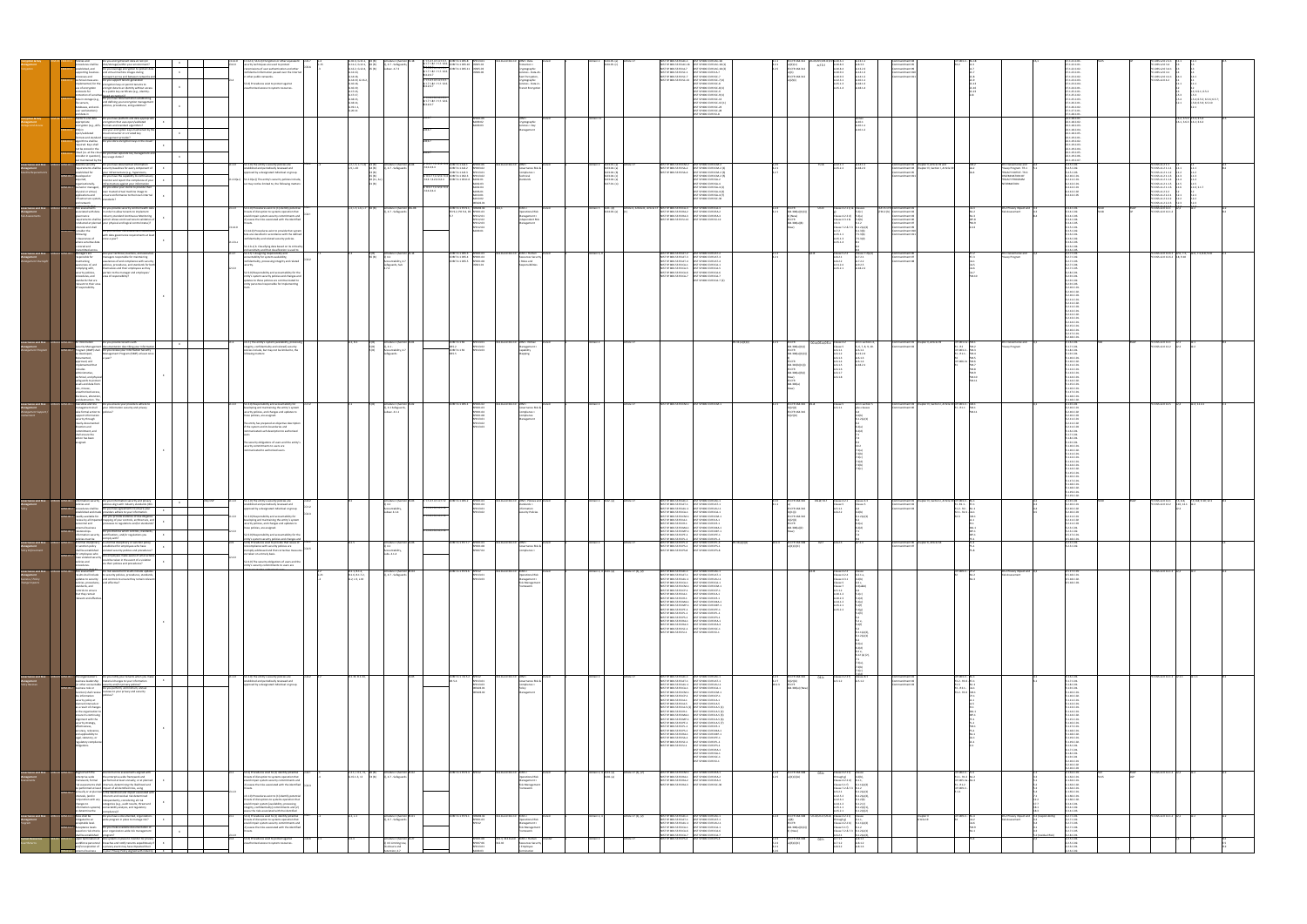|                                                                                                | Do you encrypt tenant data at rest (on<br>coodures shall be<br>stablished, and the diskystorage) within your environment?<br>stablished, and the you leverage encryption to protect data<br>upporting business and virtual machine images during<br>procedures shall be<br>established, and<br>s and<br>transport across and between networks an<br>Do you support tenant-generated<br>chnical measures<br>implemented, for the encryption loys or permit tenants to<br>use of encryption encrypt data to an identity without access<br>protocols for to a public loy certificate (e.g., identity-<br>protection of sensitive hand encountered?<br>The data in storage (e.g., the volume documentation establishing<br>and defining your encryption management<br>file servers,<br>policies, procedures, and guidelines?<br>databases, and end-<br>and data in<br>Matform and data<br>.<br>Do you have platform and data appropriat<br>oropriate<br>encryption that uses open/validated<br>encryption (e.g., AES-<br>encryption (e.g., AES-<br>256) in Are your encryption keys maintained<br>Are your encryption keys maintained<br>ben/validated<br>cloud consumer or a trusted key | 12.0, S3.6.0) Encryption or other equivalent<br>ty techniques are used to protect<br>issions of user authentication and othe<br>idential information passed over the Internet<br>ther public networks.<br>4) Procedures exist to protect against<br>thorized access to system resources                                                                                                                                                                                                                                                                                                                                                             | 6.10.4, 6.11.1, 1.28.08<br>edule 1 (Section 15-18<br>6.11.2, 6.12.1, 24 (8) 5), 4.7 - Safeguards,<br>6.12.2, 6.12.4, 25 (8) Subsec. 4.7.3<br>G.12.10,<br>G.14.18,<br>G.14.19, G.16.2,<br>1112131415<br>G.16.18,<br>1.8;1.11;1.12<br>G.16.19,<br>G.17.16,<br>G.17.17,<br>1.1;1.2;1.3;1.4;1.5;1.<br>6;1.7;1.8;1.11;1.12;2.<br>8:3.2:3.7<br>$\begin{array}{c} 6.18.13,\\ 6.18.14,\\ 6.19.1.1,\\ 6.20.14 \end{array}$ | 21.3;1.4;1.5;1. COBIT 4.1 DSS.8 APO13.01<br>and 312.10 SRM > Data<br>6:1.7:1.8:1.11:1.12.2. COBIT 4.1 DSS.10 DSS05.02<br>1.1:1.2:1.3:1.4:1.5:1. COBIT 4.1 DSS.11 DSS05.03<br>Cryptographic<br>Services - Data-At-<br>DSS06.06<br>cryption,<br>Cryptographic<br>ervices - Data-in-<br>PO01.06<br>vices > Key<br>anagement                              | NIST SP 800-53 R3 AC-1 NIST SP 800-53 R3 AC-18<br>6.04.05. (a)<br>NIST SP 800-53 R3 AC-18 NIST SP 800-53 R3 AC-18 (1)<br>NIST SP 800-53 R3 AC-18 NIST SP 800-53 R3 AC-18 (2)<br>6.04.05. (c)<br>NIST SP 800-53 R3 SC-1 NIST SP 800-53 R3 IA-7<br>NET SP 800-53 R3 SC-7<br>NET SP 800-53 R3 SC-7<br>NET SP 800-53 R3 SC-13<br>NET SP 800-53 R3 SC-13<br>NET SP 800-53 R3 SC-13<br>NIST SP 800-53 R3 SC-8<br>NIST SP 800-53 R3 SC-8 (1)<br>NIST SP 800-53 R3 SC-9<br>NIST SP 800-53 R3 SC-9 (1)<br>NIST SP 800-53 R3 SC-13<br>NIST SP 800-53 R3 SC-13 (1)<br>NIST SP 800-53 R3 SC-23<br>NIST SP 800-53 R3 SC-28<br>8-12 ER £2-000 92 T2th                                                                                                                                                                                                                                                                                                                                                                                                               | 5 CFR 164.312 06.d:09.1:09.o:09 A 10.6.1<br>A.10.8.3<br>A.10.8.4<br>A.10.9.2<br>(a)(2)(iv)<br>45 CFR 164.312<br>A.8.3.3<br>A.13.2.3<br>A.14.1.3<br>$= 10.6$<br>45 CFR 164.312<br>A.10.9.3<br>A.12.3.1<br>A.15.1.3<br>A.15.1.4<br>A.14.1.2<br>A.10.1.1<br>A.18.1.3<br>(a)(2)(ii)<br>A.18.1.4<br>A.10.1.1<br>A.10.1.2                                                                                                                                                                                                                                                                                                                                                                                 | ndment #S<br>ndment #10                                                                                                                                                             | 17.1.22.C.01.<br>17.1.22.C.02.<br>17.1.23.C.01.<br>1.1.23.0.02.<br>17.1.23.0.03.<br>17.1.23.C.04.<br>SC-16<br>17.1.24.C.01.<br>7.1.25.C.01.<br>17.1.25.C.02.<br>17.1.25.C.03.<br>7.1.26.C.01.<br>17.1.26.C.02.<br>1.27.0.01.<br>17.1.28.C.01<br>2.1.18.C.01<br>22.1.18.C.02<br>22.1.18.C.03.<br>22.1.18.C.04.<br>22.1.18.C.05.                                                                                                                            | $2-055$ v2.0 3.4<br>$1-055v2.04.1$<br>PCI-DSS v2.0 4.1.1 3.4.1<br>$\begin{array}{c} 3.4.1 \\ 4.1 \\ 4.1.1 \end{array}$<br>4.3; 6.5.1; 6.5.2<br>654:655:656:657<br>5.5.8; 6.5.9; 6.5.10<br>353 353 35.<br>1, 363 361; 363                                                                                                                                                              |
|------------------------------------------------------------------------------------------------|---------------------------------------------------------------------------------------------------------------------------------------------------------------------------------------------------------------------------------------------------------------------------------------------------------------------------------------------------------------------------------------------------------------------------------------------------------------------------------------------------------------------------------------------------------------------------------------------------------------------------------------------------------------------------------------------------------------------------------------------------------------------------------------------------------------------------------------------------------------------------------------------------------------------------------------------------------------------------------------------------------------------------------------------------------------------------------------------------------------------------------------------------------------------------------------|-----------------------------------------------------------------------------------------------------------------------------------------------------------------------------------------------------------------------------------------------------------------------------------------------------------------------------------------------------------------------------------------------------------------------------------------------------------------------------------------------------------------------------------------------------------------------------------------------------------------------------------------------------|-------------------------------------------------------------------------------------------------------------------------------------------------------------------------------------------------------------------------------------------------------------------------------------------------------------------------------------------------------------------------------------------------------------------|-------------------------------------------------------------------------------------------------------------------------------------------------------------------------------------------------------------------------------------------------------------------------------------------------------------------------------------------------------|-------------------------------------------------------------------------------------------------------------------------------------------------------------------------------------------------------------------------------------------------------------------------------------------------------------------------------------------------------------------------------------------------------------------------------------------------------------------------------------------------------------------------------------------------------------------------------------------------------------------------------------------------------------------------------------------------------------------------------------------------------------------------------------------------------------------------------------------------------------------------------------------------------------------------------------------------------------------------------------------------------------------------------------------------------|-----------------------------------------------------------------------------------------------------------------------------------------------------------------------------------------------------------------------------------------------------------------------------------------------------------------------------------------------------------------------------------------------------------------------------------------------------------------------------------------------------------------------------------------------------------------------------------------------------------------------------------------------------------------------------------------------------|-------------------------------------------------------------------------------------------------------------------------------------------------------------------------------------|-----------------------------------------------------------------------------------------------------------------------------------------------------------------------------------------------------------------------------------------------------------------------------------------------------------------------------------------------------------------------------------------------------------------------------------------------------------|---------------------------------------------------------------------------------------------------------------------------------------------------------------------------------------------------------------------------------------------------------------------------------------------------------------------------------------------------------------------------------------|
|                                                                                                | formats and standard management provider?<br>algorithms shall be Do you store encryption keys in the do<br>required. Keys shall<br>ored in the<br>cloud (i.e. at the cloud Do you have separate key manageme<br>provider in question), key usage duties?<br>sut maintained by the<br>Baseline security Oo you have documented information<br>RM-01 GRM-01.1<br>ments shall be security baselines for every component of<br>hed for<br>your infrastructure (e.g., hypervisors,<br>Do you have the capability to continuously<br>GRM-01<br>eveloped or<br>uired,<br>monitor and report the compliance of your<br>tionally-<br>ment or manager, so you and w your cannot to provide them<br>hysical or virtual, swentrusted virtual machine image to<br>pplications and ansure conformance to their own internal<br>frastructure system, standards?<br>network<br><b>Risk assessments</b> Do you provide security control health da<br>associated with data in order to allow tenants to implement                                                                                                                                                                                       | (S1.1.0) The entity's security policies are<br>iblished and periodically reviewed and<br>roved by a designated individual or group.<br>(S1.2 01a-il) The entity's servity noticies includ<br>it may not be limited to, the following matte<br>(S3.1.0) Procedures exist to (1) identify potential<br>threats of disruption to systems operation that                                                                                                                                                                                                                                                                                                | , L.S, L.7 L.8, 12 (8) Schedule 1 (Section 15-04<br>14,4.3,4.4<br>0.1.10<br>14 (8) 5), 4.7 - Safeguards<br>13 (8) 5), 4.7 - Safeguards<br>13 (8)<br>16 (C+, A+)<br>3.10;3.11;3.12;3.13;3<br>4:4:3:4.4<br>Schedule 1 (Section)<br>5), 4.7 - Safeguards                                                                                                                                                             | 3.11;3.12;3.13;3 COBIT 4.1 A/2.1 APO01.06<br>12.8 and 312.10 SRM<br>14/4.3/4.4 COBIT 4:1 A/2.2 AP003.02<br>COBIT 4:1 A/3.3 AP013.01<br>3.10:3.11:3.12:3.13:3 COBIT 4:1 DS2.3 AP013.02<br>Technical<br>4:4.1:4.2:4.3:4.4 COBIT 4.1 DS11.6 BAI02.01<br>8AI02.03<br>8AI02.04<br>8AI06.01<br>8AI10.01<br>BAI10.02<br>MEA02.01<br>08/T4.1 PO 9.1. EDM03.02 | NIST SP 800-53 R3 CM-2 NIST SP 800-53 R3 CM-2<br>lain 2 6.03.01. (a)<br>6.03.04. (a)<br>6.03.04. (b)<br>6.03.04. (c)<br>NIST SP 800-53 R3 SA-2 NIST SP 800-53 R3 CM-2 (1)<br>NIST SP 800-53 R3 SA-4 NIST SP 800-53 R3 CM-2 (3)<br>NIST SP 800-53 R3 CM-2 (S)<br>6.03.04. (e)<br>NIST SP 800-53 R3 SA-2<br>45T SP 800-53 R3 SA-4<br>$6.07.01.$ (o)<br>NIST SP 800-53 R3 SA-4 (1)<br>NIST SP 800-53 R3 SA-4 (4)<br>(IST SP 800-53 R3 SA-4 (7)<br>NIST SP 800-53 R3 SC-30<br>rticle 6, Article 8, Article 1<br>17 NIST SP 800-53 R3 CA-3 NIST SP 800-53 R3 CA-3<br>NIST SP 800-53 R3 RA-2 NIST SP 800-53 R3 RA-2<br>(b) 000 000 5<br>6.04.03 (a)                                                                                                                                                                                                                                                                                                                                                                                                         | .12.1.1<br>10.a<br>A.15.2.2<br>A.18.2.3<br>Clauses<br>5.2(c)<br>03.b                                                                                                                                                                                                                                                                                                                                                                                                                                                                                                                                                                                                                                | ommandment #2 Chapter II, Article 19 and<br>nandment #4 Chapter VI, Section I, Article<br>ndment #5<br>andmen<br><b>R15CFR Co</b>                                                   | 22.1.19.C.01.<br>22.1.19.C.02.<br>22.1.19.C.03.<br>2.1.19.C.04.<br>2.1.19.0.05.<br>22.1.19.C.06.<br>2-1 Governance and<br>Privacy Program. TR-1<br>PRIVACY NOTICE. TR-3<br>5.4.5.C.02<br>%45.002<br>\$45.03<br>42.10.01<br>42.12.01<br>44.12.01<br>44.12.02<br>44.12.02<br><b>EMINATION OF</b><br><b>BIVACY PROGRAM</b><br><b>KOITAMRI</b><br>AR-2 Privacy Impact<br>Risk Assessment                                                                      | DSS v1.21<br>3 DSS v1.2 1.1.1<br>CI DSS v1.2 1.1.2 1.1<br>$\begin{array}{c} 1.1.3 \\ 1.1.4 \\ 1.1.5 \end{array}$<br>PCI DSS v1.2 1.1.3 1.1<br>PCI DSS v1.2 1.1.4 1.1<br>CI DSS v1.2 1.1.5 1.1.9<br>PCI DSS v1.2 1.1.6 1.1.1<br>1.1.6; 1.1.7<br>$0.055$ v1.2 2.2 2<br>DSS v1.2 2.2.1<br>PCI DSS v1.2 2.2.2 2.3<br>PCI DSS v1.2 2.2.3 2.2.3<br>PCI DSS v2.0 12.1<br>PCI DSS v2.0 12.1.2 |
| uovernance and<br>Management<br>Risk Assessments<br>www.camera.com<br>Management<br>Management | industry standard Continuous Monitoring<br>ernance<br>nts shall be (which allows continual tenant validat<br>onducted at planned your physical and logical control status)?<br>Ilsifa bns alsviet<br>Do you conduct risk assessments associate<br>GRM-0<br>pnsider the<br>shwolk<br>with data governance requirements at least<br>Awareness of<br>Sysue a sono<br>stored and<br>transmitted acros<br>Managers are<br>responsible for<br>Are your technical, business, and execut<br>managers responsible for maintaining<br>awareness of and compliance with security<br>maintaining<br>areness of, and<br>policies, procedures, and standards for both<br>themselves and their employees as they<br>pertain to the manager and employees'<br>complying with,<br>security policies,<br>rocedures, and<br>area of responsibility?                                                                                                                                                                                                                                                                                                                                                      | vould impair system security commitments and<br>2) assess the risks associated with the identified<br>4.0) Procedures exist to provide that sy<br>are classified in accordance with the defined<br>fidentiality and related security policies.<br>b-c) b. Classifying data based on its c<br>sensitivity and that classification is used to<br>2.f) f. Assigning responsibility and<br>puntability for system availability,<br>fidentiality, processing integrity and related<br>1.0) Responsibility and accountability for the<br>entity's system security policies and changes and                                                                | ountability; 4.<br>Safeguards, Sub                                                                                                                                                                                                                                                                                                                                                                                | 09.2, PO 9.4, DS APO01.03<br>Operational Risk<br>AP012.01<br>anagement ><br>AP012.02<br>AP012.03<br>AP012.04<br>BAI09.01<br>8/T 4.1 DSS.3 AP001.03<br>3SS > Human<br>COBIT 4.1 DSS.4<br>COBIT 4.1 DSS.5 APO01.08<br>- Roles and                                                                                                                       | NIST SP 800-53 R3 RA-3 NIST SP 800-53 R3 RA-3<br>IST SP 800-53 R3 SI-12<br>NIST SP 800-53 R3 SI-1<br>NIST SP 800-53 R3 AT-<br>IST SP 800-53 R3 AT-2<br>NIST SP 800-53 R3 AT-3<br>NIST SP 800-53 R3 AT-3<br>NIST SP 800-53 R3 AT-4<br>NIST SP 800-53 R3 AT-4<br>NIST SP 800-53 R3 CA-1 NIST SP 800-53 R3 CA-1<br>NIST SP 800-53 R3 CA-5<br>NIST SP 800-53 R3 CA-5<br>NIST SP 800-53 R3 CA-6<br>NIST SP 800-53 R3 CA-6<br>NIST SP 800-53 R3 CA-7 NIST SP 800-53 R3 CA-7                                                                                                                                                                                                                                                                                                                                                                                                                                                                                                                                                                                 | 164.308(a)(1)(ii)(<br>A) (New)<br>45 CFR<br>45 CFR<br>164.308(a)(8)<br>Clause 7.2 & 7.3 6.1.2(a)(2)<br>A.7.2<br>A.15.1.1<br>A.15.1.3<br>A.15.1.4<br>$6.1.3(b)$<br>7.5.3(b)<br>7.5.3(d)<br>Tause 5.2.2<br>A8.2.1<br>A8.2.2<br>A11.2.4<br>A.7.2.1<br>A.7.2.2<br>A.9.2.5<br>A.15.2.1<br>A.18.2.                                                                                                                                                                                                                                                                                                                                                                                                        | §736.2 (b) Commandment K<br>andmont #<br>andment #7<br>andment i                                                                                                                    | 3.3.4.C.02<br>334.C03<br>334.C04<br>334.C05<br>335.C01<br>3.3.5.CO2.<br>3.3.6.CO1.<br>3.3.6.C.02.<br>3.3.6.C.03.<br>1 Governance a<br>acy Program<br>3.2.7.C.02.<br>3.2.7.C.03.<br>3.2.7.C.04.<br>327.C05.<br>328.C01.<br>329.C01.<br>329.C02.                                                                                                                                                                                                            | DSS v2.0 12.6.1 12.6, 7.3, 12.6; 7.3; 8.8; 9.10<br>DSS v2.0 12.6.2 8.8, 9.10                                                                                                                                                                                                                                                                                                          |
|                                                                                                | .<br>Itandards that are<br>plevant to their are:<br>responsibility.<br>GRM-04 GRM-04.1<br>An Information<br>Do you provide tenants with                                                                                                                                                                                                                                                                                                                                                                                                                                                                                                                                                                                                                                                                                                                                                                                                                                                                                                                                                                                                                                               | pdates to those policies are communicated to<br>ty personnel responsible for implementing<br>x1.2.) The entity's system [availability, pro                                                                                                                                                                                                                                                                                                                                                                                                                                                                                                          |                                                                                                                                                                                                                                                                                                                                                                                                                   | COBIT 4.1 R2<br>8 and 312.10 SRM > InfoSec<br>AP013.01                                                                                                                                                                                                                                                                                                | NIST SP 800-53 R3 CA-7 (2)<br>31.6a1(1)(ii)                                                                                                                                                                                                                                                                                                                                                                                                                                                                                                                                                                                                                                                                                                                                                                                                                                                                                                                                                                                                           | 00.a:05.a:05.c Clause 4.2                                                                                                                                                                                                                                                                                                                                                                                                                                                                                                                                                                                                                                                                           | mmandment #1 Chapter II, Article 19<br>CIP-001-1a -PM                                                                                                                               | 3.2.10.C.01.<br>3.2.10.C.02.<br>3.2.10.C.03.<br>3.2.11 C.01.<br>3.2.11.C.02.<br>3.2.11.0.03.<br>3.2.12 C.01.<br>3.2.12.C.02.<br>3.2.13.C.01.<br>3.2.14.C.01.<br>3.2.15.C.01.<br>3.2.16.C.01.<br>3.2.17.C.01.<br>3.2.18.0.01<br>5.1.6.C.01                                                                                                                                                                                                                 | DSS v2.0 12.1                                                                                                                                                                                                                                                                                                                                                                         |
|                                                                                                | $-$ X<br>Security Management documentation describing your Information<br>Program (ISMP) shall Do you review your Information Security<br>GRM-04.2<br>developed.<br>Management Program (ISMP) at least one<br>rved, and<br>chnical, and physic<br>and data from<br>misuse,<br>ure, alteration<br>truction. Th<br>Executive and line<br>Do you ensure your providers adhere?                                                                                                                                                                                                                                                                                                                                                                                                                                                                                                                                                                                                                                                                                                                                                                                                           | integrity, confidentiality and related) security<br>policies include, but may not be limited to, the<br>following matters:<br>8.0) Responsibility and accountability fr                                                                                                                                                                                                                                                                                                                                                                                                                                                                             | Accountability; 4.<br>Safeguards<br>edule 1 (Section IS                                                                                                                                                                                                                                                                                                                                                           | AP013.02<br>AP013.03<br>DSS.2<br>COBIT 4.1 R2<br>Capability<br>4.1 DS5.1 APO01.02                                                                                                                                                                                                                                                                     | NIST SP 800-53 R3 CM-1<br>NIST SP 800-53 R3 CM-                                                                                                                                                                                                                                                                                                                                                                                                                                                                                                                                                                                                                                                                                                                                                                                                                                                                                                                                                                                                       | 4.308(a)(1)<br>Clause S<br>A.6.1.1<br><b>IS CFR</b><br>164.308(a)(1)(<br>4.6.1.2<br>A.13.2.4<br>A.6.1.3<br>A.6.1.4<br>nail<br>A613<br>A614<br>A615<br>A616<br>A618<br>45 CFR<br>164.316(b)(1)<br>A.18.2.1<br>164.308(a)(3)(i)<br>(New)<br>45 CFR<br>164.306(a)<br>45 OFR 164.316 05                                                                                                                                                                                                                                                                                                                                                                                                                 | 5, 6, 7, 8, 9, 10.<br>21-001-14 - PM-1<br>R1 - R2<br>CIP-003-3 - PM-3<br>R1 - R11 - PM-4<br>R4<br>CIP-006-3c PM-6<br>Chapter VI, Section I, Article 39 CIP-003-3 - CM<br>andment #3 | iR-1 Governance and<br>Yivacy Program<br>5.1.7.C.01.<br>5.1.8.C.01.<br>5.1.9.C.01.<br>5.1.10.C.01.<br>5.1.10.C.02.<br>PM-2<br>5.1.11.C.01.<br>5.1.12.C.01.<br>5.1.13.C.01.<br>5.1.14.C.01.<br>PM-10<br>5.1.14.C.02.<br>5.1.15.C.01.<br>5.1.16.C.01.<br>5.1.17.C.01.<br>5.1.18.C.01.<br>5.1.18 C.02<br>3.1.9.C.01                                                                                                                                          | DSS v2.0 12.2 12.2<br>12.4; 12.4.1<br>DSS v2.0 12                                                                                                                                                                                                                                                                                                                                     |
| www.camera.com<br>Management<br>Management                                                     | management shall your information security and privacy<br>take formal action to policies?<br>upport information<br>curity through<br>in and<br>mitment, and<br>insure the<br>tion has been<br>ssigned.                                                                                                                                                                                                                                                                                                                                                                                                                                                                                                                                                                                                                                                                                                                                                                                                                                                                                                                                                                                | developing and maintaining the entity's syster<br>rity policies, and changes and updates to<br>ose policies, are assigned.<br>entity has prepared an objective descrip<br>the system and its boundaries and<br>municated such description to authorize<br>he security obligations of users and the ent<br>security commitments to users are<br>communicated to authorized users.                                                                                                                                                                                                                                                                    | 5), 4.1 Safeguards,<br>Subsec. 4.1.1                                                                                                                                                                                                                                                                                                                                                                              | AP001.03<br>AP001.04<br>APO01.08<br>AP013.01<br>AP013.02                                                                                                                                                                                                                                                                                              |                                                                                                                                                                                                                                                                                                                                                                                                                                                                                                                                                                                                                                                                                                                                                                                                                                                                                                                                                                                                                                                       | (b)(2)(ii)<br>45 CFR 164.316<br>(2)(ii)<br>6.1.2(a)(1)                                                                                                                                                                                                                                                                                                                                                                                                                                                                                                                                                                                                                                              | us clauses<br>ndment i                                                                                                                                                              | 3.2.10.C.01<br>3.2.10.C.02<br>$1 - R1.1$ PM<br>3.2.10.0.03<br>3.2.11.0.01<br>3.2.11.C.02<br>3.2.11.C.03<br>5.1.6.C.01.<br>5.1.7.C.01.<br>5.1.8.C.01.<br>$\begin{array}{r} 5.1.9 \cdot 0.01. \\ 5.1.10 \cdot 0.01. \\ 5.1.10 \cdot 0.02. \\ 5.1.11 \cdot 0.01. \end{array}$<br>5.1.12.C.01.<br>5.1.13.C.01.<br>5.1.14.C.01.<br>5.1.14.0.02.<br>5.1.15.0.01.<br>5.1.16.0.01.<br>5.1.17.C.01.<br>5.1.18.C.01.<br>5.1.18.C.02.<br>5.1.19.C.01.<br>5.1.19.0.02 |                                                                                                                                                                                                                                                                                                                                                                                       |
| uurun<br>Milimia,                                                                              | Do your information security and privacy<br>Only CSP<br>$\mathbf{x}$ .<br>policies and policies align with industry standards (ISO-<br>procedures shall be Do you have agreements to ensure your<br>GRM-06.2<br>stablished and made "providers adhere to your information.<br>radily available for ""Can you provide evidence of due diligence"<br>GRM-06.3<br>iew by all impacted mapping of your controls, architecture, and<br>sonnel and processes to regulations and/or standards?<br>ernal business<br>Do you disclose which controls, standards<br>GRM-06.4<br>relationships.<br>ation security Certifications, and/or regulations you<br>or sanction policy astablished for employees who have<br>employees who<br>Are employees made aware of what act                                                                                                                                                                                                                                                                                                                                                                                                                       | [S1.1.0] The entity's security policies an<br>blished and periodically reviewed and<br>oved by a designated individual or group<br>I) Responsibility and accountability for<br>eloping and maintaining the entity's syster<br>ity policies, and changes and updates to<br>se policies, are assigned.<br>0) Responsibility and ac<br>itity's system security policies and changes and<br>3.9) Procedures exist to provide that issues of<br>compliance with security policies are<br>taken on a timely basis.                                                                                                                                        | (1.2, 1.3, 1.4, 1.12)<br>Accountability,<br>Subsec 4.1.4<br>1.1;1.2;1.3;1.4;1.12<br>1:1:2:1.3:1.4:1.12<br>Accountability<br>Subs. 4.1.4                                                                                                                                                                                                                                                                           | 12/13/14 1.12 COBIT 4.1 DS5.2 APO01.03<br>12.8 and 312.10 SRM > Policies and shared<br>AP001.04<br>Standards ><br>AP013.01<br>AP013.02<br>APO01.08                                                                                                                                                                                                    | Domain 2 6.02. (e)<br>NIST SP 800-53 R3 AC-1 NIST SP 800-53 R3 AC-1<br>NIST SP 800-53 R3 AT-1 NIST SP 800-53 R3 AT-1<br>NIST SP 800-53 R3 AU-1 NIST SP 800-53 R3 AU-1<br>NIST SP 800-53 R3 CA-1 NIST SP 800-53 R3 CA-1<br>NIST SP 800-53 R3 CA-1 NIST SP 800-53 R3 CA-1<br>NIST SP 800-53 R3 IA-1<br>NIST SP 800-53 R3 IA-1<br>NIST SP 800-53 R3 IR-1 NIST SP 800-53 R3 IR-1<br>NIST SP 800-53 R3 MA-1 NIST SP 800-53 R3 MA-1<br>NIST SP 800-53 R3 MP-1 NIST SP 800-53 R3 MP-1<br>IST SP 800-53 R3 PE-1<br>NIST SP 800-53 R3 PE-1<br>NIST SP 800-53 R3 PL-1 NIST SP 800-53 R3 PL-1<br>NIST SP 800-53 R3 PL-4 NIST SP 800-53 R3 PL-4<br>NIST SP 800-53 R3 PS-1 NIST SP 800-53 R3 PS-1<br>NIST SP 800-53 R3 PS-8 NIST SP 800-53 R3 PS-8                                                                                                                                                                                                                                                                                                                 | 45 CFR 164.316<br>Clause 4.2.1<br>04.a;10.f<br>Clause 5<br>45 CFR 164.316<br>A.S.1.1<br>A.8.2.2<br>+--<br>4.2[b]<br>6.1.2(a)(1)<br>45 CFR 164.316<br>(b)(2)(i)<br>45 CFR<br>6.2(a)<br>6.2(d)<br>164.308(a)(2)<br>S CFR 164.308<br>(a)(1)(i)(C)                                                                                                                                                                                                                                                                                                                                                                                                                                                      | nmandment #1 Chapter VI, Section I, Article 39 CIP-003-3 - AD<br>R1-R1.1- AT-1<br>andment #<br>R1.2 - R2 - AU-1<br>R2.1 - R2.2 - CA-1<br>ndment #7                                  | 3.1.9.CO1<br>3.2.10.0.01<br>3.2.10.C.02<br>3.2.10.C.03<br>3.2.11.C.01<br>3.2.11.C.02<br>3.2.11.C.03<br>5.2.3.C.01.<br>5.2.3.C.02<br>4.5.17.C.01.<br>1.5.18.C.01.<br>1.2.3.C.01.<br>5.2.3.C.02                                                                                                                                                                                                                                                             | PCI DSS v2.0 12.1 7.3, 8.8, 7.3; 8.8; 9.10; 12.1<br>PCI DSS v2.0 12.2 9.10, 12.1 12.2                                                                                                                                                                                                                                                                                                 |
|                                                                                                | we violated security<br>could be taken in the event of a violation<br>policies and<br>via their policies and procedures?<br>procedures.<br>.<br>Do risk assessment results include update<br>results shall include to security policies, procedures, standards,<br>updates to security and controls to ensure they remain relevant<br>policies, procedures, and effective?<br>standards, and<br>controls to ensure<br>at they remain<br>Do you notify your tenants when you                                                                                                                                                                                                                                                                                                                                                                                                                                                                                                                                                                                                                                                                                                           | 4.0) The security obligations of users and the<br>entity's security commitments to users are<br>.1.0) The entity's security gol-                                                                                                                                                                                                                                                                                                                                                                                                                                                                                                                    | hedule 1 (Section RI-<br>1.81<br>1.6, 8.1.7.2,<br>.4.7 - Safeguards<br>3.2, 1.9, 1.10<br>133. B.1.34                                                                                                                                                                                                                                                                                                              | 8/T 4.1 PO 9.6 APO12<br>AP013.03<br><br>danagement<br>danagement<br><br>danagement<br><br><br><br><br><br><br><br><br><br><br><br><br><br><br><br><br><br><br><br><br><br><br><br><br><br>Managem<br>wwork<br><b>DBIT4.1 DS 5.2 AP</b>                                                                                                                | NIST SP 800-53 R3 AC-1 NIST SP 800-53 R3 AC-3<br>Article 17 (1), (2)<br>NIST SP 800-53 R3 AT-1 NIST SP 800-53 R3 AT-1<br>NIST SP 800-53 R3 AU-1 NIST SP 800-53 R3 AU-1<br>NIST SP 800-53 R3 CA-1 NIST SP 800-53 R3 CA-1<br>NIST SP 800-53 R3 CM-1 NIST SP 800-53 R3 CM-1<br>NIST SP 800-53 R3 CP-1 NIST SP 800-53 R3 CP-1<br>NIST SP 800-53 R3 LA-1 NIST SP 800-53 R3 LA-1<br>NIST SP 800-53 R3 IR-1 NIST SP 800-53 R3 IR-1<br>NIST SP 800-53 R3 MA-1 NIST SP 800-53 R3 MA-3<br>NIST SP 800-53 R3 MP-1 NIST SP 800-53 R3 MP-1<br>NIST SP 800-53 R3 MP-1 NIST SP 800-53 R3 MP-1<br>NIST SP 800-53 R3 PL-1 NIST SP 800-53 R3 PL-1<br>NIST SP 800-53 R3 PS-1 NIST SP 800-53 R3 PS-1<br>NIST SP 800-53 N3 P3-1 NIST SP 800-53 N3 P3-1<br>NIST SP 800-53 R3 RA-1 NIST SP 800-53 R3 RA-1<br>NIST SP 800-53 R3 RA-3 NIST SP 800-53 R3 RA-3<br>NIST SP 800-53 R3 SC-1 NIST SP 800-53 R3 SC-1<br>ST SP 800-53 R3 SI-1 NIST SP 800-53 R3 SI-1<br>NIST SP RODAR RR AC.1 NIST SP RODAR RR AC                                                                      | lause 4.2.3<br>Clause 4.2.4<br>Clause 4.3.1<br>Clause 5<br>Clause 5<br>A.5.1.2<br>A.10.1.2<br>A.16.2.3<br>A.16.2.1<br>6.1.1(e)(2),<br>6.1.2(a)(1)<br>$6.2(a)$<br>$6.2(d)$<br>$6.2 e$<br>6.12 (a) (2),<br>7.2(a),<br>7.2(b)<br>$\frac{6.2661}{6}$ kuse 8.3<br><b>IS CER 164 316</b>                                                                                                                                                                                                                                                                                                                                                                                                                  | P-009-3 - CI                                                                                                                                                                        | -2 Privacy Impact a<br>4.5.18.C.01.<br>ssessment<br>4.5.18.C.02.<br>4.5.18.C.03.                                                                                                                                                                                                                                                                                                                                                                          | KS v2 0 12 1                                                                                                                                                                                                                                                                                                                                                                          |
| .<br>Management<br>Philiru Reviews                                                             | iness leadership material changes to your information<br>for other accountable security and/or orivacy policies?<br>business role or you perform, at minimum, annual<br>function) shall review <sup>footo</sup> mes to your privacy and security<br>the information policies?<br>GRM-09.2<br>the information<br>security policy at<br>d intervals or<br>a result of changes<br>o the organization to<br>sure its continuing<br>sell diw tremnt<br>urity strategy,<br>tiveness,<br>$ x -$<br>curacy, relevance<br>pplicability to<br>legal, statutory, or<br>sulatory compl                                                                                                                                                                                                                                                                                                                                                                                                                                                                                                                                                                                                            | blished and periodically reviewed and<br>oved by a designated individual or group                                                                                                                                                                                                                                                                                                                                                                                                                                                                                                                                                                   |                                                                                                                                                                                                                                                                                                                                                                                                                   | AP013.01<br>AP013.03<br>MEA03.01<br>MEA03.02<br><b>Insmega</b>                                                                                                                                                                                                                                                                                        | NIST SP 800-53 R3 AT-1 NIST SP 800-53 R3 AT-1<br>NIST SP 800-53 R3 AU-1 NIST SP 800-53 R3 AU-1<br>NIST SP 800-53 R3 CA-1 NIST SP 800-53 R3 CA-1<br>NIST SP 800-53 R3 CM-1 NIST SP 800-53 R3 CM-1<br>NIST SP 800-53 R3 CP-1 NIST SP 800-53 R3 CP-1<br>NIST SP 800-53 R3 LP-1 NIST SP 800-53 R3 LP-1<br>NIST SP 800-53 R3 LA-5 NIST SP 800-53 R3 LA-5<br>NIST SP 800-53 R3 IA-5 (1) NIST SP 800-53 R3 IA-5 (1)<br>NIST SP 800-53 R3 IR-1 NIST SP 800-53 R3 IA-5 (2)<br>NIST SP 800-53 R3 IR-1 NIST SP 800-53 R3 IA-5 (3)<br>NIST SP 800-53 R3 MP-1 NIST SP 800-53 R3 IA-5 (6)<br>NIST SP 800-53 R3 PE-1 NIST SP 800-53 R3 IA-5 (7)<br>NIST SP 800-53 R3 PE-1 NIST SP 800-53 R3 IA-5 (7)<br>NIST SP 800-53 R3 PS-1 NIST SP 800-53 R3 MA-1<br>NIST SP 800-53 R3 RA-1 NIST SP 800-53 R3 MP-1<br>NIST SP 800-53 R3 SA-1 NIST SP 800-53 R3 PE-1<br>NIST SP 800-53 R3 SC-1 NIST SP 800-53 R3 PL-1<br>NIST SP 800-53 R3 SI-1<br>NIST SP 800-53 R3 PS-1<br>NIST SP 800-53 R3 RA-1<br>NIST SP 800-53 R3 SA-1<br>NIST SP 800-53 R3 SC-1<br>NIST SP 800-53 R3 SI-1 | A.5.1.2<br>(b)(2)(iii)<br>45 CFE<br>5.1.2                                                                                                                                                                                                                                                                                                                                                                                                                                                                                                                                                                                                                                                           | R3.2 - R3.3 - AT-1<br>R1.3 AU-1<br>R3 - R3.1 - CA-1<br>R3.2 - R3.3 CM-1<br>nandment #2<br>indmont i                                                                                 | 5.1.7.C.01<br>5.1.8.C.01.<br>5.1.9.C.01.<br>S.1.10.C.01.<br>S.1.10.C.02.<br>S.1.11.C.01.<br>S.1.12.C.01.<br>5.1.13.C.01.<br>5.1.14.C.01.<br>5.1.14.C.02.<br>$PE-1$<br>\$11\$C.01<br>\$11\$C.01<br>\$11\$C.01<br>\$11\$C.02<br>\$119.C.02<br>\$119.C.02<br>6.16C01<br>6.17C01<br>6.18C01<br>8.19C01<br>8.2.10C01<br>3.2.10.C.02<br>3.2.10.0.03                                                                                                             |                                                                                                                                                                                                                                                                                                                                                                                       |
| www.communical.com<br>Accordinations                                                           | Risk GRM-10 GRM-10.1 Aligned with the<br>Are formal risk assessments aligned with<br>enterprise-wide the enterprise-wide framework and<br>framework, formal performed at least annually, or at planned<br>risk assessments shall intervals, determining the likelihood and<br>be performed at least impact of all identified risks, using<br>annually or at planned is the likelihood and impact associated<br>intervals, (and in enherent and residual risk determined<br>conjunction with any independently, considering all risk<br>changes to categories (e.g., audit results, threat and<br>rmation systems) vulnerability analysis, and regulatory<br>o determine the compliance)?<br>Giks shall be Do you have a documented, organization<br>Nisks shall be<br>mitigated to an<br>acceptable level.<br>wide program in place to manage risk?<br>Do you make available documentation of<br>GRM-1<br>cceptance levels<br>sed on risk criteria<br>our organization-wide risk management                                                                                                                                                                                           | Procedures exist to (1) identify potent<br>hreats of disruption to systems operation that<br>would impair system security commitments and<br>(2) assess the risks associated with the identified<br>1.0) Procedures exist to (1) identify potential<br>threats of disruptions to systems operation that<br>would impair system [availability, processing<br>integrity, confidentiality] commitments and (2)<br>iss the risks associated with the identified<br>Procedures exist to (1) identify pr<br>reats of disruption to systems operation tha<br>d impair system security commitments and<br>2) assess the risks associated with the identifie | i. 15.1.3, 1.3 74 (B) 5), 4.7 - Safeguards<br>5), 4.7 - Safeguards                                                                                                                                                                                                                                                                                                                                                | IT 4.1 PO 9.<br><br>danagement<br>danagement<br>danagement<br>danagement<br>danagement<br>danagement<br>d<br>d<br>d<br>d<br>d<br>d<br><br><br><br><br><br><br><br><br><br><br><br><br><b>Risk Management</b><br>BIT 4.1 PO 9.1 EDM03.02<br>AP001.03<br>Operational Risk<br><br>Almagamant<br>Almagamant<br>Almagamant<br>Almagamant<br>Almagamant<br> | NIST SP 800-53 R3 CM-1 NIST SP 800-53 R3 RA<br>main 2, 4 (6.03. (a)<br>(6.08. (a)<br>ie 17 (1), (2<br>NIST SP 800-53 R3 RA-1 NIST SP 800-53 R3 RA-2<br>NIST SP 800-53 R3 RA-2 NIST SP 800-53 R3 RA-3<br>NIST SP 800-53 R3 RA-3 NIST SP 800-53 R3 SC-30<br>NIST SP 800-53 R3 AC-1<br>NIST SP 800-53 R3 AC<br>icle 17 (1), (2)<br>NIST SP 800-53 R3 AT-1 NIST SP 800-53 R3 AT-1<br>NIST SP 800-53 R3 AU-1 NIST SP 800-53 R3 AU-1<br>NIST SP 800-53 R3 CA-1 NIST SP 800-53 R3 CA-1<br>NIST SP 800-53 R3 CA-6 NIST SP 800-53 R3 CA-6                                                                                                                                                                                                                                                                                                                                                                                                                                                                                                                      | 45 CFR 164.308<br>Clause 4.2.1 c)<br>03.5<br>a)(1)(ii)(A)<br>through $g$ ) $4.2 b $ ,<br>Clause $4.2.3$ d) $6.1.1$ ,<br>$(10008 \text{ } 51 \text{ } 1) \qquad 61.1(\text{e}) \text{ } 2)$ $(10008 \text{ } 72 \text{ } 8.73 \text{ } 61.2$ $4.5.21 \qquad 6.12(\text{a}) \text{ } 1)$ $4.12.5.2 \qquad 6.12(\text{a}) \text{ } 1)$ $4.12.6.1 \qquad 6.12(\text{c})$ $4.14.1.2 \qquad 6.1.2(\text{c})$ $4.15.1 \qquad 6.1.2(\text{c})$ $4.15.1 \qquad 6$<br>.15.2.1<br>IS CFR 164.308<br>a Clause 4.2.1 c)<br>Clause<br>6.1.1,<br>through g)<br>Clause 4.2.2 b)<br>$(a)(8)$<br>45 CFR<br>$6.1.1(e)(2)$<br>$6.1.2$<br>164.308(a)(1)[i](<br>B) (New)<br>Clause 5.1 f)<br>Clause 7.2 & 7.3 6.1.2(a)(1) | IP-002-3 - PL<br>R1.1 - R1.2 RA-2<br>CIP-005-3a - RA-3<br>$R1 - R1.2$<br>CIP-009-3-<br>1.2(c)(2)<br>Article 19                                                                      | 1161C01<br>1163C01<br>1163C01<br>1164C01<br>1166C01<br>1166C01<br>334C01<br>334C01<br>Privacy Impact<br>Assessment<br>3.2.7.C.04.<br>2.7.C.05.                                                                                                                                                                                                                                                                                                            | SS v2.0 12.1                                                                                                                                                                                                                                                                                                                                                                          |
|                                                                                                | e established program?<br>remination of Are systems in place to monitor for privacy<br>rrce personnel breaches and notify tenants expeditiously if<br>for expiration of a privacy event may have impacted their                                                                                                                                                                                                                                                                                                                                                                                                                                                                                                                                                                                                                                                                                                                                                                                                                                                                                                                                                                       | 4) Procedures exist to protect against<br>uthorized access to system resources.                                                                                                                                                                                                                                                                                                                                                                                                                                                                                                                                                                     | edule 1 (Sectio<br>4.5 Limiting Use,<br>sclosure and                                                                                                                                                                                                                                                                                                                                                              | ASS > Human<br>AP001.08<br>2.3.312.8 and<br>AP007.06<br>AP013.01<br>12.10<br><b>Employee</b>                                                                                                                                                                                                                                                          | NIST SP 800-53 R3 CA-7<br>NIST SP 800-53 R3 CA-7<br>NIST SP 800-53 R3 P5-4<br>NIST SP 800-53 R3 P5-4<br>NIST SP 800-53 R3 P5-4                                                                                                                                                                                                                                                                                                                                                                                                                                                                                                                                                                                                                                                                                                                                                                                                                                                                                                                        | 6.1.2(a)(2)<br>45 OFR 164.308<br>A811<br>A812<br>A814<br>A7.1.2<br>A <i>7.</i> 1.2<br>a)(3)(ii)(C)                                                                                                                                                                                                                                                                                                                                                                                                                                                                                                                                                                                                  |                                                                                                                                                                                     | 2.2.5.C.02<br>2.2.6.C.01                                                                                                                                                                                                                                                                                                                                                                                                                                  |                                                                                                                                                                                                                                                                                                                                                                                       |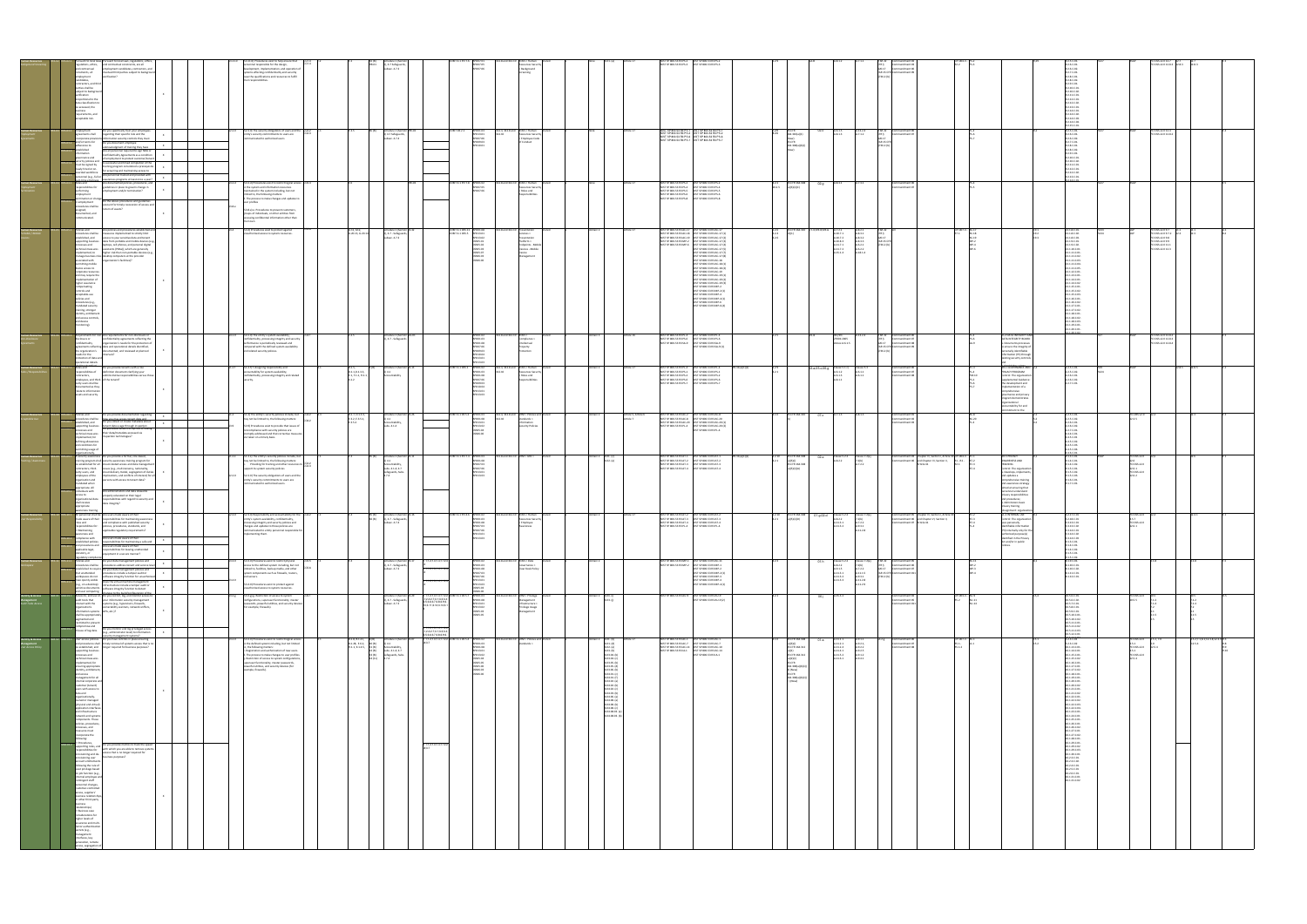| Identity & Access<br>Management<br>User Access Policy                                                                                                                                                                                                                                                                                                                                                                                                                                                                                                                                                                                                                                                                                                                                                                                                                                                                                                          | Identity & Access<br>Management<br>Audit Tools Access                                                                                                                                                                                               |                                                                                                                                                                                                                                                                                                                                                                                                                                                                                                                                     |                                                                                                                                                                                                                                                                                                                                                                                                                      |                                                                                                                                                                                                                                                                                                                                                                                                                                                                                                                                                |                                                                                                                                                                                                                                                                                                                                                                                                                                                                           |                                                                                                                                                                                                                                                                                               |                                                                                                                                                                                                                                                                                                                                                                                                                                                           |                                                                                                                                                                                                                                                                                                                                                                                                                                                                                                                                                                                                                                                                                                                                                                                       |                                                                                                                                                                                                                                                                                                                                                                                             |                                                                                                                                                                                                                                                                                                                                                                                                                                                                         |                                                                                                                                                                                                                                                                                               |
|----------------------------------------------------------------------------------------------------------------------------------------------------------------------------------------------------------------------------------------------------------------------------------------------------------------------------------------------------------------------------------------------------------------------------------------------------------------------------------------------------------------------------------------------------------------------------------------------------------------------------------------------------------------------------------------------------------------------------------------------------------------------------------------------------------------------------------------------------------------------------------------------------------------------------------------------------------------|-----------------------------------------------------------------------------------------------------------------------------------------------------------------------------------------------------------------------------------------------------|-------------------------------------------------------------------------------------------------------------------------------------------------------------------------------------------------------------------------------------------------------------------------------------------------------------------------------------------------------------------------------------------------------------------------------------------------------------------------------------------------------------------------------------|----------------------------------------------------------------------------------------------------------------------------------------------------------------------------------------------------------------------------------------------------------------------------------------------------------------------------------------------------------------------------------------------------------------------|------------------------------------------------------------------------------------------------------------------------------------------------------------------------------------------------------------------------------------------------------------------------------------------------------------------------------------------------------------------------------------------------------------------------------------------------------------------------------------------------------------------------------------------------|---------------------------------------------------------------------------------------------------------------------------------------------------------------------------------------------------------------------------------------------------------------------------------------------------------------------------------------------------------------------------------------------------------------------------------------------------------------------------|-----------------------------------------------------------------------------------------------------------------------------------------------------------------------------------------------------------------------------------------------------------------------------------------------|-----------------------------------------------------------------------------------------------------------------------------------------------------------------------------------------------------------------------------------------------------------------------------------------------------------------------------------------------------------------------------------------------------------------------------------------------------------|---------------------------------------------------------------------------------------------------------------------------------------------------------------------------------------------------------------------------------------------------------------------------------------------------------------------------------------------------------------------------------------------------------------------------------------------------------------------------------------------------------------------------------------------------------------------------------------------------------------------------------------------------------------------------------------------------------------------------------------------------------------------------------------|---------------------------------------------------------------------------------------------------------------------------------------------------------------------------------------------------------------------------------------------------------------------------------------------------------------------------------------------------------------------------------------------|-------------------------------------------------------------------------------------------------------------------------------------------------------------------------------------------------------------------------------------------------------------------------------------------------------------------------------------------------------------------------------------------------------------------------------------------------------------------------|-----------------------------------------------------------------------------------------------------------------------------------------------------------------------------------------------------------------------------------------------------------------------------------------------|
| inical measures<br>mented, for<br>suring appropriate<br>dentity, entitlement,<br>d access<br>anagement for all<br>sternal corporate and<br>ustomer (tenant)<br>sers with access to<br>lata and<br>-vilianoitssinsgy<br>led or managed<br>hysical and virtual)<br>plication interfaces<br>infrastructure<br>twork and systems<br>mponents. These<br>olicies, procedures,<br>ocesses, and<br>asures must<br>rporate the<br>Ilowing:<br>Procedures,<br>rovisioning user<br>ccount entitlements<br>following the rule of<br>least privilege based<br>on job function (e.g.,<br>sternal employee and<br><b>Itazanagnian</b><br>conongent som<br>personnel changes,<br>customer-controlled<br>ccess, suppliers'<br>business relationship<br>or other third-party<br>siness<br>relationships)<br>• Business case<br>onsiderations for<br>igher levels of<br>nce and multi<br>lactor authentication<br>ecrets (e.g.,<br>nanagement<br>sterfaces, key<br>ration, remote | audit tools that<br>interact with the<br>organization's<br>shall be appropriately<br>mented and<br>icted to prevent<br>mise and<br>misuse of log data.                                                                                              | regulatory.compliance<br>Policies and<br><b>Excessive</b><br>that unattended<br>the db abased<br>have openly visible<br>[e.g., on a desktop] infr.                                                                                                                                                                                                                                                                                                                                                                                  | bns and<br>silities for:<br>Maintaining<br>ince with<br>blished policies<br>d procedures and<br>e legal,<br>statutory, or                                                                                                                                                                                                                                                                                            | actors, third-<br>users, and<br>playees of the<br>bns noitssinss<br>opriate. All<br>dividuals with<br>ccess to<br>vganizational data<br>shall receive                                                                                                                                                                                                                                                                                                                                                                                          | bhs and<br>stablished, and<br>ing allowances<br>inditions for<br>zationally-                                                                                                                                                                                                                                                                                                                                                                                              | <b>Toles and</b><br>abilities of<br>tractors,<br>party users shall be<br>mented as they<br>relate to information<br>assets and security.                                                                                                                                                      | onal details                                                                                                                                                                                                                                                                                                                                                                                                                                              | dicies and<br>echnical measures<br>sidom gnitting<br>access to<br>porate resource<br>nd may require the<br>no noitation of<br>igher assurance<br>pensating<br>ontrols and<br>ceptable-use<br>olicies and<br>ocedures (e.g.,<br>indated security<br>training, stronger<br>identity, entitlement<br>nd access controls,<br>nd device<br>itoring).                                                                                                                                                                                                                                                                                                                                                                                                                                       | sponsibilities for<br>orming<br>zyment<br>ition or cl<br>n employment<br>rocedures shall be<br>assigned,<br>inted, and<br>unicated.                                                                                                                                                                                                                                                         | zyment<br>or terms for<br>nce to<br>nation<br>ance and<br>policies and<br>must be signed by<br>newly hired or on-<br>boarded workforce<br>personnel (e.g., full or                                                                                                                                                                                                                                                                                                      | d contractual<br>nstraints, all<br>nplayment<br>ndidates.<br>arties shall be<br>ubject to background<br>tional to the<br>assification to<br>ccessed, the<br>siness<br>quirements, and<br>ptable risk.                                                                                         |
| and procedures shall citinely removal of systems access that is no<br>and procedures shall citinely removal of systems access that is no<br>be established, and conger required for business purposes?<br>processes and<br>processes and .<br>$\mathbf{x}$<br>- Procedures,<br>supporting roles, and Do you provide metrics to track the speed<br>responsibilities for<br>access that is no longer required for<br>provisioning and de-<br>provisioning user<br>provisioning user<br>$\mathbf{x}$                                                                                                                                                                                                                                                                                                                                                                                                                                                              | your information security management<br>systems (e.g., hypervisors, firewells,<br>vulnerability scanners, network sniffers,<br>formation systems APIs, etc.)?<br>Do you monitor and log privileged as<br>(e.g., administrator level) to information | Do your data management policies and<br>ocedures shall be procedures address tenant and service I<br>established to require Do your data management policies and<br>procedures include a tamper audit or<br>software integrity function for unautho<br>Does the virtual machine management<br>e.g., on a desktop)<br>ensitive documents<br>ensitive documents<br>educer computies<br>and user computing<br>thanges to the build conflauration of the<br>IAM-01.1 Access to, and use of, Do you restrict, log, and monitor access to | users made aware of their<br>made aware of their responsibilities for maintaining awarenes:<br>and compliance with published security<br>policies, procedures, standards, and<br>Sannenium voorsicher videoinen<br>users made aware of their<br>$\mathbf{x}$<br>responsibilities for maintaining a safe and<br>Are users made aware of their<br>Insibilities for leaving unattended<br>equipment in a secure manner? | security awareness - Do you provide a tormat, role-dated,<br>raining program shall security awareness training program for<br>leastablished for all - cloud-related access and data manageme<br>issues (e.g., multi-tenancy, nationality,<br>cloud delivery model, segregation of duties<br>implications, and conflicts of interest) for all<br>Fatal trians of access to tell and anony<br>Are administrators and data stewards<br>properly educated on their legal<br>responsibilities with regard to security and<br><b>Syttigatri steb</b> | Do you provide documentation regarding<br>cedures shall be how you may access tenant data and<br>iblished, and Do you collect or create metadata about<br>$\mathbf{x}$<br>istatesine, and<br>properting business tenned state using through inspection.<br>processes and $\frac{1}{2}$ to you allow tenants to opt out of having<br>processes and $\frac{1}{2}$ to you allow tenants to opt out of having<br>technical meas<br>gusage of<br>provide a formal, role-based, | Do you provide tenants with a role<br>ition document clarifying your<br>administrative responsibilities versus ti<br>employees, and third-of the tenant?                                                                                                                                      | on-Are requirements for non-disclosure or<br>confidentiality agreements reflecting the<br>Requirements for non-Are requirements for non-disclosure or<br>disclosure or confidentiality agreements reflecting the<br>confidentiality organization's needs for the protection of<br>agreements reflecting data and operational details identified,<br>the organization's documented, and reviewed at planned<br>needs for the intervals?<br>ion of data and | Are policies and procedures est.<br>procedures shall be measures implemented to strictly limit<br>established, and access to your sensitive data and tenant<br>supporting business data from portable and mobile devices (<br>processes and laptops, cell phones, and personal digital<br>last nom por case and model devices (<br>lastops, cell phones, and personal digital<br>assistants (PDAs)), which are generally<br>implemented, to higher-risk than non-portable devices (e.g<br>manage business risks desktop computers at the provider<br>associated with organization's facilities)?                                                                                                                                                                                      | nersonnel (e.g., tui or experiment a little and provided with<br>hart-time employee awareness programs at least once a year?<br>Roles and <b>Are documented policies, procedures</b> , and<br>guidelines in place to govern change in<br>ment and/or termination?<br>o the above procedures and guidelin<br>account for timely revocation of access an<br>Feturn of assets?                 | Do you specifically train your employer<br>vements shall regarding their specific role and the<br>Do you document employee<br>acknowledgment of training they have<br>all personnel required to sign NDA or<br>Indentiality Agreements as a condition<br>mployment to protect customer/ter<br>ls successful and timed completion of the<br>training program considered a prerequisite<br>for acquiring and maintaining access to<br>personnel trained and provided with | ral laws Purce<br>gulations, ethics, and contractual constraints, are all<br>-<br>ployment candidates, contractors, and<br>olved third parties subject to backgrour<br>cation?                                                                                                                |
|                                                                                                                                                                                                                                                                                                                                                                                                                                                                                                                                                                                                                                                                                                                                                                                                                                                                                                                                                                |                                                                                                                                                                                                                                                     |                                                                                                                                                                                                                                                                                                                                                                                                                                                                                                                                     |                                                                                                                                                                                                                                                                                                                                                                                                                      |                                                                                                                                                                                                                                                                                                                                                                                                                                                                                                                                                |                                                                                                                                                                                                                                                                                                                                                                                                                                                                           |                                                                                                                                                                                                                                                                                               |                                                                                                                                                                                                                                                                                                                                                                                                                                                           |                                                                                                                                                                                                                                                                                                                                                                                                                                                                                                                                                                                                                                                                                                                                                                                       |                                                                                                                                                                                                                                                                                                                                                                                             |                                                                                                                                                                                                                                                                                                                                                                                                                                                                         |                                                                                                                                                                                                                                                                                               |
| to the defined system including, but not limited<br>to, the following matters:<br>Registration and authorization of new user.<br>The process to make changes to user profiles.<br>g. Restriction of access to system configurations<br>superuser functionality, master passwords,<br>powerful utilities, and security devices (for<br>example, firewalls).                                                                                                                                                                                                                                                                                                                                                                                                                                                                                                                                                                                                     | 1.2.g) g. Restriction of access to system<br>configurations, superuser functionality, master<br>passwords, powerful utilities, and security device<br>(for example, firewalls).<br>1.2.01 Procedures exist to restrict logical                      | 8.0) Procedures exist to restrict physical<br>access to the defined system including, but not<br>limited to, facilities, backup media, and other<br>em components such as firewalls, routers,<br>and servers.<br>0) Procedures exist to protect against<br>nauthorized access to system resources.                                                                                                                                                                                                                                  | 8.0) Responsibility and accountability for th<br>entity's system availability, confidentiality.<br>processing integrity and security policies and<br>changes and updates to those policies are<br>municated to entity personnel responsible<br>menting them.                                                                                                                                                         | y not be limited to, the following matters:<br>Providing for training and other resources to CC2.2<br>ort its system security policies<br>1.2.0) The security obligations of users and the<br>entity's security commitments to users are<br>communicated to authorized users.                                                                                                                                                                                                                                                                  | !) The entity's security policies include, be<br>y not be limited to, the following matters:<br>Procedures exist to provide that issues of<br>ompliance with security policies are<br>romptly addressed and that corrective me<br>aken on a timely basis.<br>2.k) The entity's security policies include, b                                                                                                                                                               | .1.2.f) f. Assigning responsibility and<br>countability for system availability,<br>anfidentiality, processing integrity and related                                                                                                                                                          | .0) The entity's system availability<br>identiality, processing integrity and securit<br>formance is periodically reviewed and<br>ared with the defined system availabilit<br>related security policies.                                                                                                                                                                                                                                                  | l.4) Procedures exist to protect against<br>authorized access to system resources.                                                                                                                                                                                                                                                                                                                                                                                                                                                                                                                                                                                                                                                                                                    | 1.2.d) Procedures exist to restrict logical access<br>to the system and information resources<br>naintained in the system including, but not<br>imited to, the following matters:<br>The process to make changes and updates t<br>profiles<br>3.8.e) e. Procedures to prevent customers.<br>oups of individuals, or other entities from<br>ssing confidential information other than<br>own | (\$2.2.0) The security obligations of users and the CC2.2<br>entity's security commitments to users are<br>icated to authorized users                                                                                                                                                                                                                                                                                                                                   | ersonnel responsible for the design,<br>velopment, implementation, and operation of<br>tems affecting confidentiality and security<br>have the qualifications and resources to fulfil<br>responsibilities.                                                                                    |
|                                                                                                                                                                                                                                                                                                                                                                                                                                                                                                                                                                                                                                                                                                                                                                                                                                                                                                                                                                | 18.8.1.21                                                                                                                                                                                                                                           |                                                                                                                                                                                                                                                                                                                                                                                                                                                                                                                                     |                                                                                                                                                                                                                                                                                                                                                                                                                      |                                                                                                                                                                                                                                                                                                                                                                                                                                                                                                                                                | 3.2, E.3.5.1,<br>3.5.2                                                                                                                                                                                                                                                                                                                                                                                                                                                    | D.1.1, D.1.3.3,<br>5.1, F.1.1, H.1.1,                                                                                                                                                                                                                                                         |                                                                                                                                                                                                                                                                                                                                                                                                                                                           | .11. G12.<br>1.20.13, G.20.14                                                                                                                                                                                                                                                                                                                                                                                                                                                                                                                                                                                                                                                                                                                                                         |                                                                                                                                                                                                                                                                                                                                                                                             |                                                                                                                                                                                                                                                                                                                                                                                                                                                                         |                                                                                                                                                                                                                                                                                               |
|                                                                                                                                                                                                                                                                                                                                                                                                                                                                                                                                                                                                                                                                                                                                                                                                                                                                                                                                                                | $5$ ], 4.7 - Safeguards,<br>Subsec. 4.7.3<br>Schedule 1 (Secti                                                                                                                                                                                      | dule 1 (Section IS-<br>5), 4.7 - Safeguards,<br>Subsec. 4.7.3                                                                                                                                                                                                                                                                                                                                                                                                                                                                       | Schedule 1 (Section 15-1)<br>66 (8) 5), 4.7 - Safeguards,<br>Subsec. 4.7.4                                                                                                                                                                                                                                                                                                                                           | countability<br>Subs. 4.1.4: 4.7<br>Safeguards, Subs.<br>4.7.4                                                                                                                                                                                                                                                                                                                                                                                                                                                                                 | ntability<br>Subs. 4.1.4                                                                                                                                                                                                                                                                                                                                                                                                                                                  | hedule 1 (Section IS-<br>untabilit                                                                                                                                                                                                                                                            | Schedule 1 (Section 1<br>5), 4.7 - Safeguards                                                                                                                                                                                                                                                                                                                                                                                                             | 5), 4.7 - Safeguards,<br>Subsec. 4.7.3                                                                                                                                                                                                                                                                                                                                                                                                                                                                                                                                                                                                                                                                                                                                                |                                                                                                                                                                                                                                                                                                                                                                                             | Schedule 1 (Section HR-0<br>5) 4.7 Safeguards,<br>Subsec. 4.7.4                                                                                                                                                                                                                                                                                                                                                                                                         | 5), 4.7 Safeguards,<br>Subsec. 4.7.3                                                                                                                                                                                                                                                          |
| 1.1;1.2;1.3;1.4;1.12;2                                                                                                                                                                                                                                                                                                                                                                                                                                                                                                                                                                                                                                                                                                                                                                                                                                                                                                                                         | 12427313334<br>35363738393<br>1031131231331<br>.1:1.2:1.3:1.4:1.12:2<br>1.2.4:2.7:3.1.3.3.3.4:<br>1.5:3.6:3.7:3.8:3.9:3.<br>213141122 COBIT4.1DS 5.4 APO01.02                                                                                       | (1.2, 1.3, 1.4, 1.1)<br>1.1;1.2;1.3;1.4;1.12;3<br>.1;1.2;1.3;1.4;1.12;3                                                                                                                                                                                                                                                                                                                                                                                                                                                             |                                                                                                                                                                                                                                                                                                                                                                                                                      |                                                                                                                                                                                                                                                                                                                                                                                                                                                                                                                                                |                                                                                                                                                                                                                                                                                                                                                                                                                                                                           |                                                                                                                                                                                                                                                                                               |                                                                                                                                                                                                                                                                                                                                                                                                                                                           |                                                                                                                                                                                                                                                                                                                                                                                                                                                                                                                                                                                                                                                                                                                                                                                       |                                                                                                                                                                                                                                                                                                                                                                                             |                                                                                                                                                                                                                                                                                                                                                                                                                                                                         |                                                                                                                                                                                                                                                                                               |
| AP001.03<br>AP001.08<br>AP013.01<br>AP013.02<br>DSS05.06<br>DSS05.06<br>DSS06.08<br>DSS06.06                                                                                                                                                                                                                                                                                                                                                                                                                                                                                                                                                                                                                                                                                                                                                                                                                                                                   | AP001.03<br>AP001.08<br>AP013.01<br>AP013.02<br>DSS05.03<br>DSS05.05                                                                                                                                                                                | AP001.02<br>AP001.03<br>AP001.08<br>AP007.03<br>AP007.06<br>AP013.03<br>AP013.03<br>DSS05.03<br>80.80820                                                                                                                                                                                                                                                                                                                                                                                                                            | COBIT 4.1 PO 4.6 APO01.02<br>AP001.03<br>AP001.08<br>AP007.03<br>AP007.06<br>AP013.01<br>AP013.03                                                                                                                                                                                                                                                                                                                    | 0081T4.1 PO 7.4 AP001.03<br>AP001.08<br>AP007.03<br>APO07.06<br>PO13.03                                                                                                                                                                                                                                                                                                                                                                                                                                                                        | 1DS 5.3 AP001.03<br>AP001.08<br>AP013.01<br>AP013.02<br>DSS05.04<br>DSS05.04                                                                                                                                                                                                                                                                                                                                                                                              | OBIT 4.1 DS5.1 APO01.02<br>AP001.03<br>AP001.08<br>AP007.06<br>AP009.03<br>AP010.04<br>AP013.01<br>AP013.03                                                                                                                                                                                   | AP001.02<br>AP001.03<br>AP001.08<br>AP007.06<br>AP009.03<br>AP010.04<br>AP013.01<br>APO13.03                                                                                                                                                                                                                                                                                                                                                              | COBIT 4.1 DS5.11 APO01.08<br>COBIT 4.1 DS5.5 APO13.01<br>APO13.02<br>DSS05.01<br>DSS05.02<br>DSS05.03<br>DSS05.07<br>DSS06.03                                                                                                                                                                                                                                                                                                                                                                                                                                                                                                                                                                                                                                                         | BIT 4.1 PO 7.8 APO01.02<br>AP007.05<br>0007.06                                                                                                                                                                                                                                                                                                                                              | COBIT DS 2.1 APO01.03<br>AP013.01<br>AP007.06<br>APO09.03<br>AP010.01                                                                                                                                                                                                                                                                                                                                                                                                   | AP007.05<br>AP007.06                                                                                                                                                                                                                                                                          |
| tandards >                                                                                                                                                                                                                                                                                                                                                                                                                                                                                                                                                                                                                                                                                                                                                                                                                                                                                                                                                     | SRM > Privilege<br>Management<br>Infrastructure ><br>Privilege Usage<br>Aanagement<br>12.8 and 312.10 SRM > Policies and shared                                                                                                                     | 2.8 and 312.10 BOSS > Data<br>Governance ><br>Clear Desk Policy                                                                                                                                                                                                                                                                                                                                                                                                                                                                     | and 312.1<br>BOSS > Human shared<br>Resources Secu                                                                                                                                                                                                                                                                                                                                                                   |                                                                                                                                                                                                                                                                                                                                                                                                                                                                                                                                                | Standards ><br>12.10<br>rity Policies<br>RM > GRC ><br>and 312.10                                                                                                                                                                                                                                                                                                                                                                                                         | 12.3, 312.8 and BOSS > Human<br>ales and                                                                                                                                                                                                                                                      | Intellectual<br>Property<br>Protection                                                                                                                                                                                                                                                                                                                                                                                                                    | resentation<br>Platform ><br>Endpoints - Mobile<br>Devices - Mobile                                                                                                                                                                                                                                                                                                                                                                                                                                                                                                                                                                                                                                                                                                                   | BOSS > Human<br>Resources Secu<br>Roles and                                                                                                                                                                                                                                                                                                                                                 | 312.3, 312.8 and BOSS > Human<br>312.10<br><b>Resources Security</b><br>onduct                                                                                                                                                                                                                                                                                                                                                                                          | Resources Secu<br>> Background                                                                                                                                                                                                                                                                |
|                                                                                                                                                                                                                                                                                                                                                                                                                                                                                                                                                                                                                                                                                                                                                                                                                                                                                                                                                                |                                                                                                                                                                                                                                                     |                                                                                                                                                                                                                                                                                                                                                                                                                                                                                                                                     |                                                                                                                                                                                                                                                                                                                                                                                                                      |                                                                                                                                                                                                                                                                                                                                                                                                                                                                                                                                                | hared                                                                                                                                                                                                                                                                                                                                                                                                                                                                     |                                                                                                                                                                                                                                                                                               |                                                                                                                                                                                                                                                                                                                                                                                                                                                           |                                                                                                                                                                                                                                                                                                                                                                                                                                                                                                                                                                                                                                                                                                                                                                                       |                                                                                                                                                                                                                                                                                                                                                                                             |                                                                                                                                                                                                                                                                                                                                                                                                                                                                         |                                                                                                                                                                                                                                                                                               |
| $6.01. (d)$<br>$6.02. (e)$<br>$6.03. (b)$<br>$6.03.04. (b)$<br>6.03.04. (c)<br>6.03.05. (b)<br>6.03.05. (d)<br>6.03.06. (b)<br>6.04.01. (c)<br>6.04.01. (f)<br>6.04.02. (a)<br>6.04.02. (b)<br>6.04.03. (b)<br>6.04.08. (a)<br>6.04.08. (c)<br>6.04.08. (c)<br>6.04.08.03. (a)<br>6.04.08.03. (b)                                                                                                                                                                                                                                                                                                                                                                                                                                                                                                                                                                                                                                                              | 6.03. (j)<br>oman 2 6.01. (b)                                                                                                                                                                                                                       |                                                                                                                                                                                                                                                                                                                                                                                                                                                                                                                                     | Domain 2                                                                                                                                                                                                                                                                                                                                                                                                             |                                                                                                                                                                                                                                                                                                                                                                                                                                                                                                                                                | Domain 2 6.01. (c)<br>6.02. (e)                                                                                                                                                                                                                                                                                                                                                                                                                                           |                                                                                                                                                                                                                                                                                               |                                                                                                                                                                                                                                                                                                                                                                                                                                                           |                                                                                                                                                                                                                                                                                                                                                                                                                                                                                                                                                                                                                                                                                                                                                                                       |                                                                                                                                                                                                                                                                                                                                                                                             |                                                                                                                                                                                                                                                                                                                                                                                                                                                                         |                                                                                                                                                                                                                                                                                               |
| NEST SP 800-53 RS AC-7<br>NEST SP 800-53 RS AC-7<br>NEST SP 800-53 RS AC-14 NEST SP 800-53 RS AC-10<br>NIST SP 800-53 R3 IA-1 NIST SP 800-53 R3 IA-1<br>NIST SP 800-53 R3 IA-1                                                                                                                                                                                                                                                                                                                                                                                                                                                                                                                                                                                                                                                                                                                                                                                 | (IST SP 800-53 R3 AU-<br>NIST SP 800-53 R3 AU-9<br>NIST SP 800-53 R3 AU-9 (2)<br>(IST SP 800-53 R3 AC-1 NIST SP 800-53 R3 AC-3                                                                                                                      | 415T SP 800-53 R3 MP-1 NIST SP 800-53 R3 AC-11<br>NIST SP 800-53 R3 MP-2 NIST SP 800-53 R3 MP-1<br>NIST SP 800-53 R3 MP-2<br>NIST SP 800-53 R3 MP-2 (1)<br>NIST SP 800-53 R3 MP-3<br>NIST SP 800-53 R3 MP-4<br>NIST SP 800-53 R3 MP-4 (1)                                                                                                                                                                                                                                                                                           | (IST SP 800-53 R3 AT-2<br>NIST SP 800-53 R3 AT-2<br>NIST SP 800-53 R3 AT-3 NIST SP 800-53 R3 AT-3<br>NIST SP 800-53 R3 AT-4 NIST SP 800-53 R3 AT-4<br>IST SP 800-53 R3 PL-4 NIST SP 800-53 R3 PL-4                                                                                                                                                                                                                   | NIST SP 800-53 R3 AT-2 NIST SP 800-53 R3 AT-2<br>NIST SP 800-53 R3 AT-2 NIST SP 800-53 R3 AT-3<br>NIST SP 800-53 R3 AT-4 NIST SP 800-53 R3 AT-4                                                                                                                                                                                                                                                                                                                                                                                                | Article 5, Article 6<br>NIST SP 800-53 R3 AC-2<br>NIST SP 800-53 R3 AC-<br>NIST SP 800-53 R3 AC-8 NIST SP 800-53 R3 AC-20<br>NIST SP 800-53 R3 AC-20 NIST SP 800-53 R3 AC-20 (1)<br>(IST SP 800-53 R3 PL-4 NIST SP 800-53 R3 AC-20 (2)<br>NIST SP 800-53 R3 PL-4<br>NIST SP 800-53 R3 AT-1<br>(IST SP 800-53 R3 AT-1<br>1681167                                                                                                                                           | AIST SP 800-53 R3 PL4 NIST SP 800-53 R3 PL4<br>31(a)(1)(ii)<br>NEST SP 800-53 R3 PS-1<br>NEST SP 800-53 R3 PS-1<br>NEST SP 800-53 R3 PS-2<br>NEST SP 800-53 R3 PS-2<br>NEST SP 800-53 R3 PS-2<br>NIST SP 800-53 R3 PS-6 NIST SP 800-53 R3 PS-6<br>ST SP 800-53 R3 PS-7 NIST SP 800-53 R3 PS-7 | NIST SP 800-53 R3 PL-<br>(IST SP 800-53 R3 P)<br>45T SP 800-53 R3 PS-6 NIST SP 800-53 R3 PS-6<br>NIST SP 800-53 R3 SA-9 NIST SP 800-53 R3 SA-9<br>NIST SP 800-53 R3 SA-9 (1)                                                                                                                                                                                                                                                                              | (IST SP 800-53 R3 AC-17 NIST SP 800-53 R3 AC-17<br>NIST SP 800-53 R3 AC-18<br>NIST SP 800-53 R3 AC-18<br>NIST SP 800-53 R3 AC-19<br>NIST SP 800-53 R3 AC-19<br>NIST SP 800-53 R3 AC-19<br>NIST SP 800-53 R3 MP-2 NIST SP 800-53 R3 AC-17 (3)<br>IST SP 800-53 R3 MP-6<br>NIST SP 800-53 R3 MP-6<br>NIST SP 800-53 R3 AC-17 (5)<br>NIST SP 800-53 R3 AC-17 (7)<br>NIST SP 800-53 R3 AC-17 (8)<br>NIST SP 800-53 R3 AC-18<br>NIST SP 800-53 R3 AC-18 (1)<br>NIST SP 800-53 R3 AC-18 (2)<br>NIST SP 800-53 R3 AC-19<br>NIST SP 800-53 R3 AC-19 (1)<br>NIST SP 800-53 R3 AC-19 (2)<br>NIST SP 800-53 R3 AC-19 (3)<br>NIST SP 800-53 R3 MP-2<br>NIST SP 800-53 R3 MP-2 (1)<br>NIST SP 800-53 R3 MP-4<br>NIST SP 800-53 R3 MP-4 (1)<br>NIST SP 800-53 R3 MP-6<br>NIST SP 800-53 R3 MP-6 (4) | (IST SP 800-53 R3 PS-2<br>NIST SP 800-53 R3 PS-2<br>NIST SP 800-53 R3 PS-4 NIST SP 800-53 R3 PS-4<br>NIST SP 800-53 R3 PS-5 NIST SP 800-53 R3 PS-5<br>NIST SP 800-53 R3 PS-6 NIST SP 800-53 R3 PS-6<br>NIST SP 800-53 R3 PS-8 NIST SP 800-53 R3 PS-8                                                                                                                                        | NIST SP 800-53 R3 PS-1 NIST SP 800-53 R3 PS-<br>NIST SP 800-53 R3 PS-1 NIST SP 800-53 R3 PS-1<br>NIST SP 800-53 R3 PS-2 NIST SP 800-53 R3 PS-2<br>NIST SP 800-53 R3 PS-6 NIST SP 800-53 R3 PS-6<br>NIST SP 800-53 R3 PS-7 NIST SP 800-53 R3 PS-7                                                                                                                                                                                                                        | (IST SP 800-53 R3 PS-2 NIST SP 800-53 R3 I<br>NIST SP 800-53 R3 PS-3 NIST SP 800-53 R3 PS-3                                                                                                                                                                                                   |
|                                                                                                                                                                                                                                                                                                                                                                                                                                                                                                                                                                                                                                                                                                                                                                                                                                                                                                                                                                |                                                                                                                                                                                                                                                     |                                                                                                                                                                                                                                                                                                                                                                                                                                                                                                                                     |                                                                                                                                                                                                                                                                                                                                                                                                                      |                                                                                                                                                                                                                                                                                                                                                                                                                                                                                                                                                |                                                                                                                                                                                                                                                                                                                                                                                                                                                                           |                                                                                                                                                                                                                                                                                               |                                                                                                                                                                                                                                                                                                                                                                                                                                                           |                                                                                                                                                                                                                                                                                                                                                                                                                                                                                                                                                                                                                                                                                                                                                                                       |                                                                                                                                                                                                                                                                                                                                                                                             |                                                                                                                                                                                                                                                                                                                                                                                                                                                                         |                                                                                                                                                                                                                                                                                               |
| 45 CFR 164.312<br>45 CFR 164.312<br>(a)(2)(ii)<br>45 CFR<br>45 CFR<br>164.308(a)(4)(ii)<br>B) (New)<br>45 CFR<br>164.308(a)(4)(ii)<br>C) (New)                                                                                                                                                                                                                                                                                                                                                                                                                                                                                                                                                                                                                                                                                                                                                                                                                 | 45 CFR 164.308                                                                                                                                                                                                                                      |                                                                                                                                                                                                                                                                                                                                                                                                                                                                                                                                     | $\begin{array}{lllll} 1.2.10 & \text{4S CF} & 154.308 & 01. g; 02.d & \text{Class 5.2.2} \\ & & & & & 0.82.2 \\ & & & & & 4.8.2.2 \\ & & & & & 4.3.1 & \\ & & & & & 4.11.3.1 \\ & & & & & 4.11.3.2 \\ \end{array}$                                                                                                                                                                                                   | (a)(5)(i)<br>45 CFR 164.308<br>$\delta$ (ii)(A)                                                                                                                                                                                                                                                                                                                                                                                                                                                                                                | 45 CFR 164.310<br>45 CFR 164.308                                                                                                                                                                                                                                                                                                                                                                                                                                          |                                                                                                                                                                                                                                                                                               |                                                                                                                                                                                                                                                                                                                                                                                                                                                           | 45 CFR 164.310 01.x;09.o;09.u                                                                                                                                                                                                                                                                                                                                                                                                                                                                                                                                                                                                                                                                                                                                                         | 45 CFR 164.308<br>$(0.2.5$ $(a)(3)(ii)(C)$                                                                                                                                                                                                                                                                                                                                                  | 164.310(a)(1)<br>45 CFR<br>164.308(a)(4)(                                                                                                                                                                                                                                                                                                                                                                                                                               |                                                                                                                                                                                                                                                                                               |
| 4.11.2.1<br>A.11.2.4<br>A.11.4.1<br>A.11.5.2<br>A.11.6.1                                                                                                                                                                                                                                                                                                                                                                                                                                                                                                                                                                                                                                                                                                                                                                                                                                                                                                       | 06.j                                                                                                                                                                                                                                                | Clause 5.2.2<br>A.8.2.2<br>A.9.1.5<br>A.11.3.1<br>A.11.3.2<br>01.h                                                                                                                                                                                                                                                                                                                                                                                                                                                                  |                                                                                                                                                                                                                                                                                                                                                                                                                      |                                                                                                                                                                                                                                                                                                                                                                                                                                                                                                                                                | 07.c<br>02.e<br>Clause 5.2.2<br>A 8.2.2                                                                                                                                                                                                                                                                                                                                                                                                                                   | 4.8.1.1                                                                                                                                                                                                                                                                                       | 27001-2005<br>mex A.6.1.5                                                                                                                                                                                                                                                                                                                                                                                                                                 | A.10.7.1<br>A.10.7.2<br>A 10.8.3<br>A 11.7.1<br>A 11.7.2<br>A 15.1.4                                                                                                                                                                                                                                                                                                                                                                                                                                                                                                                                                                                                                                                                                                                  | 02.g                                                                                                                                                                                                                                                                                                                                                                                        | 02.c<br>A.6.1.5<br>A.8.1.3                                                                                                                                                                                                                                                                                                                                                                                                                                              |                                                                                                                                                                                                                                                                                               |
| A.9.2.1,<br>A.9.2.2<br>A.9.2.5<br>A.9.1.2<br>A.9.4.1<br>Commandment #7<br>SN trambnent RS                                                                                                                                                                                                                                                                                                                                                                                                                                                                                                                                                                                                                                                                                                                                                                                                                                                                      | nmandment #5<br>nmandment #11<br>Commandment #                                                                                                                                                                                                      | Clause 7.2(a),<br>(TAR 22 Commandment #5<br>CFR 5 Commandment #6<br>120.17 Commandment #7<br>7.2(b)<br>A.7.2.2<br>A.11.1.5<br>A.9.3.1<br>A.11.2.8<br>A.11.2.9<br>EAR 15 CFR Commandment #11<br>§736.2 (b)                                                                                                                                                                                                                                                                                                                           | Clause 7.2(a),<br>7.2(b)<br>A.7.2.2<br>A.9.3.1                                                                                                                                                                                                                                                                                                                                                                       | Clause 7.2(a),<br>7.2(b)<br>A.7.2.2                                                                                                                                                                                                                                                                                                                                                                                                                                                                                                            | mmandment #2<br>EN tramboso                                                                                                                                                                                                                                                                                                                                                                                                                                               | ommandment #<br>Clause 5.3<br>A.6.1.1<br>indment #                                                                                                                                                                                                                                            | CFR 5<br>120.17<br>mandment #7<br>Commandment #8<br>EAR 15 CFR Co<br>5736.2 (b)                                                                                                                                                                                                                                                                                                                                                                           | A.8.3.1<br>A.8.3.2<br>120.17<br>A.8.3.3<br>A.6.2.1<br>A.6.2.2<br>A.18.1.4<br>EAR 15 OFR<br>§736.2 (b)                                                                                                                                                                                                                                                                                                                                                                                                                                                                                                                                                                                                                                                                                 | ommandment in<br>Commandment #7                                                                                                                                                                                                                                                                                                                                                             | (TAR 22 Commandment #6<br>A.13.2.4<br>A.7.1.2<br>CFR § Commandment #7<br>120.17<br>4736.2 (b)                                                                                                                                                                                                                                                                                                                                                                           | CFR §<br>120.17 Commandment #6<br>EAR 15 CFR Commandment #9<br>5736.2 (b)                                                                                                                                                                                                                     |
|                                                                                                                                                                                                                                                                                                                                                                                                                                                                                                                                                                                                                                                                                                                                                                                                                                                                                                                                                                | AU-11<br>AU-14<br>IP-007-3 - AC                                                                                                                                                                                                                     | MP-2<br>MP-3<br>MP-4                                                                                                                                                                                                                                                                                                                                                                                                                                                                                                                | nandment #5 Chapter VI, Section I, Artic<br>Commandment #6 and Chapter VI, Section II,<br>Commandment #7 Article 41<br>AT-3<br>AT-4<br>PL-4                                                                                                                                                                                                                                                                          | mandment #3 Chapter VI, Section I, Article 3<br>mandment #6 and Chapter VI, Section II,<br>Article 41<br>R1-R2-<br>R2.1 AT-3                                                                                                                                                                                                                                                                                                                                                                                                                   |                                                                                                                                                                                                                                                                                                                                                                                                                                                                           | PL-4<br>PM-10<br>$15-1$<br>$15-6$<br>$15-7$                                                                                                                                                                                                                                                   |                                                                                                                                                                                                                                                                                                                                                                                                                                                           | MP-2<br>MP-4<br>MP-4                                                                                                                                                                                                                                                                                                                                                                                                                                                                                                                                                                                                                                                                                                                                                                  |                                                                                                                                                                                                                                                                                                                                                                                             |                                                                                                                                                                                                                                                                                                                                                                                                                                                                         |                                                                                                                                                                                                                                                                                               |
|                                                                                                                                                                                                                                                                                                                                                                                                                                                                                                                                                                                                                                                                                                                                                                                                                                                                                                                                                                |                                                                                                                                                                                                                                                     |                                                                                                                                                                                                                                                                                                                                                                                                                                                                                                                                     | UL-1 INTERNAL USE<br>Control: The organization<br>uses personally<br>identifiable information<br>(Ptt) internally only for the<br>thorized purpose(s)<br>entified in the Privacy<br>Act and/or in public                                                                                                                                                                                                             | AWARENESS AND<br>TRAINING<br>Control: The organization<br>a. Develops, implements<br>and updates a<br>comprehensive training<br>and awareness strategy<br>aimed at ensuring that<br>ersonnel understand<br>acy responsibilities<br>procedures;<br>b. Administers basic<br>acy training<br>ignment: organ                                                                                                                                                                                                                                       | AR-S PRIVACY                                                                                                                                                                                                                                                                                                                                                                                                                                                              | <b>R-1 GOVERNANCE AND</b><br>PRIVACY PROGRAM<br>Control: The organizatio<br>pplemental Guidance<br>e development and<br>plementation of a<br>.<br>omprehensive<br>overnance and privac<br>program demonstrates<br>organizational<br>buntability for and<br>imitment to the                    | DI-2 DATA INTEGRITY AND<br>DATA INTEGRITY BOARD<br>Documents processes<br>to ensure the integrity of<br>personally identifiable<br>information (PII) through<br>xisting security control                                                                                                                                                                                                                                                                  |                                                                                                                                                                                                                                                                                                                                                                                                                                                                                                                                                                                                                                                                                                                                                                                       |                                                                                                                                                                                                                                                                                                                                                                                             |                                                                                                                                                                                                                                                                                                                                                                                                                                                                         |                                                                                                                                                                                                                                                                                               |
| 5.2.3.C.02<br>16.1.13.C.01.<br>16.1.14.C.01<br>5.1.15.C.01<br>16.1.15.C.02<br>16.1.16.C.01<br>16.1.17.C.02.<br>16.1.18.C.01.<br>16.1.19.C.01.<br>16.1.20.C.01.<br>16.1.20.C.02<br>5.1.21.C.01<br>6.1.21.C.02<br>16.1.22.C.01.<br>6.1.22.C.02.<br>6.1.22.C.03.<br>16.1.22.C.04.<br>6.1.23.C.01<br>16.1.24.C.01<br>16.1.25.C.01.<br>16.1.26.C.01<br>16.1.26.C.02.<br>16.1.27.C.01<br>16.1.27.C.02<br>16.1.28.C.01.<br>16.1.29.C.01.<br>16.1.29.C.02<br>6.1.29.C.03.<br>16.1.30.C.01<br>6230.01<br>623.0.02<br>16.2.4.C.01.<br>16.2.5.C.01<br>16.2.6.C.01.<br>16.1.31.C.01<br>16.1.31.C.02                                                                                                                                                                                                                                                                                                                                                                        | 16.5.6.0.02<br>6.5.8.C.01.<br>16.5.9.C.01.<br>16.5.10.C.01.<br>16.5.10.C.02.<br>16.5.11.C.01.<br>6.5.11.C.02<br>5.5.11.C.03.<br>5.5.12.C.01<br>523.001                                                                                              | 819.CO1<br>8110.01<br>8110.02<br>8111.01<br>8.1.12.C.01.                                                                                                                                                                                                                                                                                                                                                                                                                                                                            | 3.2.18 C.01<br>3.3.13.C.01<br>3.3.13.C.02<br>3.3.14.C.01<br>3.3.14.C.02<br>3.3.14.C.03<br>9.1.3.C.01.<br>9.1.4.C.01.<br>9.1.4.C.02.<br>9.15.C.02                                                                                                                                                                                                                                                                     | 446C01<br>9.13C01<br>9.14C02<br>9.14C02<br>9.15C02<br>9.15C02<br>9.15C03<br>9.1.6.C.01.<br>9.1.7.C.01.                                                                                                                                                                                                                                                                                                                                                                                                                                         | 2.2.5.C.01<br>2.2.5.C.02<br>226C01<br>226C02<br>227.C01<br>444C01<br>445C02<br>445C02<br>445C04                                                                                                                                                                                                                                                                                                                                                                           | 25.001<br>2.2.5.C.02<br>2.2.6.C.01<br>2.2.6.C.02.<br>2.2.7.C.01.                                                                                                                                                                                                                              | 120 0 02                                                                                                                                                                                                                                                                                                                                                                                                                                                  | 1.1.8.C.01.<br>1.1.8.C.02.<br>1.1.8.C.03.<br>1.1.9.0.01.<br>1.10.C.01<br>1.1.11.C.01.<br>1.11.C.02.<br>11.C.03.<br>1.1.11.0.04.<br>1.11.0.05<br>1.12.C.01<br>1.1.13.C.01.<br>1.1.14.0.01.<br>1.1.14.C.02<br>1.1.15.C.01<br>1.1.15.0.02<br>1.15.C.03.<br>1.1.16.C.01.<br>1.1.16.0.02.<br>1.17.0.01<br>1.1.17.C.02.<br>1.1.18.0.01<br>1.1.18.C.02.<br>1.1.18.C.03.<br>1.19.0.01.<br>20.C.01                                                                                                                                                                                                                                                                                                                                                                                             | 9.2.14.0.01                                                                                                                                                                                                                                                                                                                                                                                 | 9.25.C01<br>9.2.6.C.01.<br>9.2.6.C.02.<br>9.2.7.C.01.<br>9.2.8.C.01.<br>9.2.9.C.02.<br>$\begin{array}{r} 9.2\,10\,0.01,\\ 9.2\,10\,0.02,\\ 9.2\,11\,0.01, \end{array}$<br>9.2.12 C.01.<br>9.2.12 C.02.<br>9.2.13.C.01.                                                                                                                                                                                                                                                  | 9.26.001.<br>9.26.002.<br>9.27.001.<br>9.28C01<br>9.28.CO2<br>9.29.CO1.<br>9.210.CO1.<br>$\begin{array}{r} 9.2.10 \, 0.02. \\ 9.2.11 \, 0.01. \\ 9.2.12 \, 0.01. \end{array}$<br>9.2.12.C.02.<br>9.2.13.C.01.<br>9.2.14.C.01.<br>9.2.14.C.02.<br>9.2.14.C.03.<br>9.2.14.C.04.<br>9.2.15.C.01. |
| 12.5.4                                                                                                                                                                                                                                                                                                                                                                                                                                                                                                                                                                                                                                                                                                                                                                                                                                                                                                                                                         | $C1$ DSS $v2.0$<br>10.5.5                                                                                                                                                                                                                           |                                                                                                                                                                                                                                                                                                                                                                                                                                                                                                                                     | PCI DSS v2.0<br>PCI DSS v2.0                                                                                                                                                                                                                                                                                                                                                                                         | 12.6<br>PCI DSS v2.0<br>CI DSS v2.0<br>12.6.2                                                                                                                                                                                                                                                                                                                                                                                                                                                                                                  | CI DSS v2.0                                                                                                                                                                                                                                                                                                                                                                                                                                                               |                                                                                                                                                                                                                                                                                               |                                                                                                                                                                                                                                                                                                                                                                                                                                                           |                                                                                                                                                                                                                                                                                                                                                                                                                                                                                                                                                                                                                                                                                                                                                                                       |                                                                                                                                                                                                                                                                                                                                                                                             |                                                                                                                                                                                                                                                                                                                                                                                                                                                                         |                                                                                                                                                                                                                                                                                               |
| $\begin{array}{ll} 3.5.1 & 8.0 \\ 9C1\,DSS\,v2.0 & 12.5.4 \\ 8.5.1 & 9C1\,DSS\,v2.0 \end{array}$                                                                                                                                                                                                                                                                                                                                                                                                                                                                                                                                                                                                                                                                                                                                                                                                                                                               | 8.1.5<br>PCI DSS v2.0 3.5.1.7                                                                                                                                                                                                                       |                                                                                                                                                                                                                                                                                                                                                                                                                                                                                                                                     |                                                                                                                                                                                                                                                                                                                                                                                                                      |                                                                                                                                                                                                                                                                                                                                                                                                                                                                                                                                                |                                                                                                                                                                                                                                                                                                                                                                                                                                                                           |                                                                                                                                                                                                                                                                                               | CI DSS v2.0 12.8.3<br>CI DSS v2.0 12.8.4                                                                                                                                                                                                                                                                                                                                                                                                                  | $0.055$ v2.0 9<br>PCI DSS v2.0 9.7.2<br>PCI DSS v2.0 9.8<br>C DSS v2.0 9.9<br>PCI DSS v2.0 11.1<br>PCI DSS v2.0 11.1                                                                                                                                                                                                                                                                                                                                                                                                                                                                                                                                                                                                                                                                  |                                                                                                                                                                                                                                                                                                                                                                                             | CI DSS v2.0 12.4<br>PCI DSS v2.0 12.8.2                                                                                                                                                                                                                                                                                                                                                                                                                                 | PCI DSS v2.0 12.8.3 12.8.3                                                                                                                                                                                                                                                                    |
|                                                                                                                                                                                                                                                                                                                                                                                                                                                                                                                                                                                                                                                                                                                                                                                                                                                                                                                                                                | 8.1.5<br>2.7.1.8.1:12.3.8:12.3.9 HL                                                                                                                                                                                                                 |                                                                                                                                                                                                                                                                                                                                                                                                                                                                                                                                     |                                                                                                                                                                                                                                                                                                                                                                                                                      |                                                                                                                                                                                                                                                                                                                                                                                                                                                                                                                                                |                                                                                                                                                                                                                                                                                                                                                                                                                                                                           |                                                                                                                                                                                                                                                                                               |                                                                                                                                                                                                                                                                                                                                                                                                                                                           |                                                                                                                                                                                                                                                                                                                                                                                                                                                                                                                                                                                                                                                                                                                                                                                       |                                                                                                                                                                                                                                                                                                                                                                                             |                                                                                                                                                                                                                                                                                                                                                                                                                                                                         |                                                                                                                                                                                                                                                                                               |
|                                                                                                                                                                                                                                                                                                                                                                                                                                                                                                                                                                                                                                                                                                                                                                                                                                                                                                                                                                |                                                                                                                                                                                                                                                     |                                                                                                                                                                                                                                                                                                                                                                                                                                                                                                                                     |                                                                                                                                                                                                                                                                                                                                                                                                                      |                                                                                                                                                                                                                                                                                                                                                                                                                                                                                                                                                |                                                                                                                                                                                                                                                                                                                                                                                                                                                                           |                                                                                                                                                                                                                                                                                               |                                                                                                                                                                                                                                                                                                                                                                                                                                                           |                                                                                                                                                                                                                                                                                                                                                                                                                                                                                                                                                                                                                                                                                                                                                                                       |                                                                                                                                                                                                                                                                                                                                                                                             |                                                                                                                                                                                                                                                                                                                                                                                                                                                                         |                                                                                                                                                                                                                                                                                               |

duties, emergency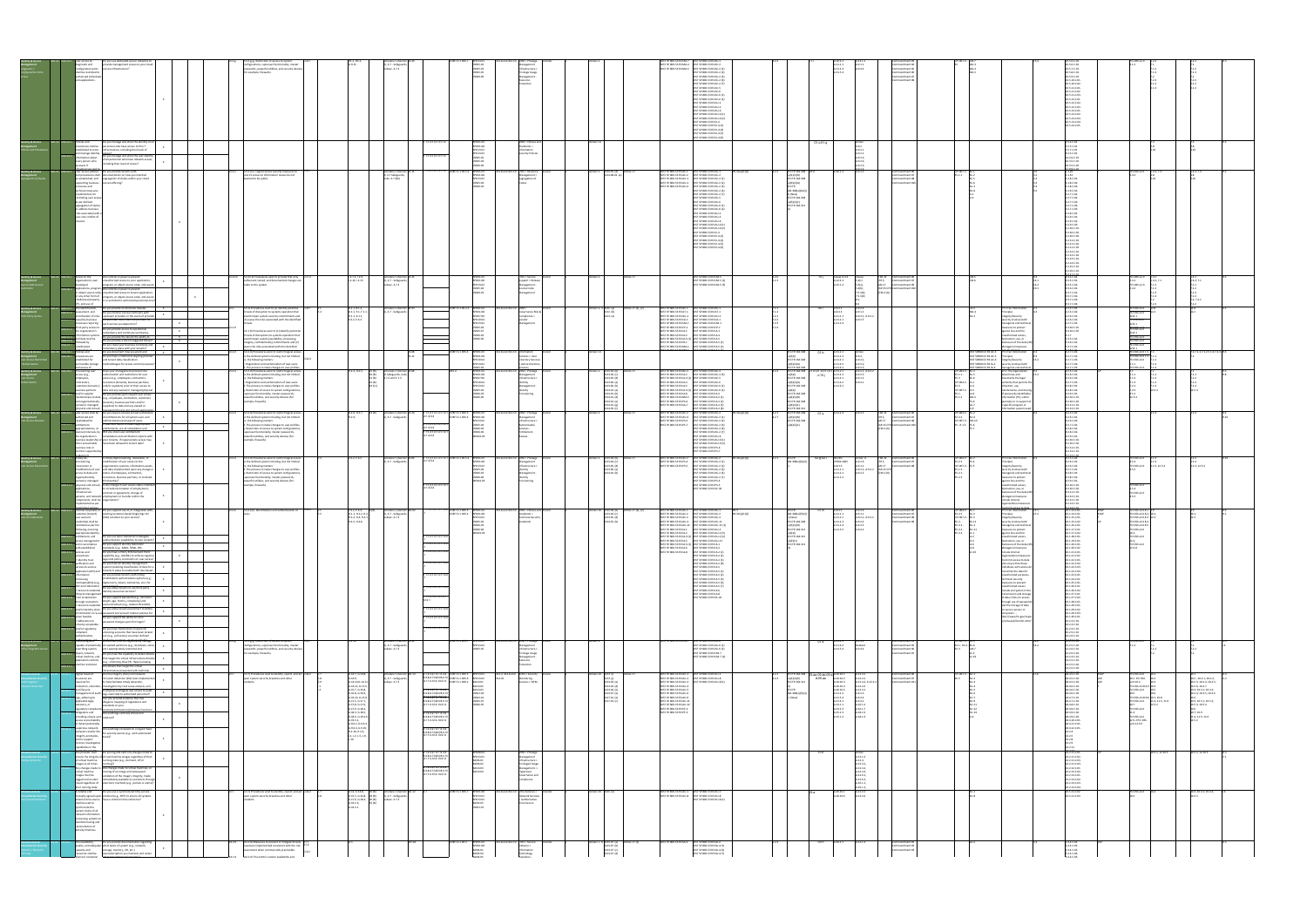3.3.4.C.05.

|                                                                        |                                                                                                                              | agnostic and<br>ration ports<br>shall be restricted to<br>orized individuals                                                                                                                                                                                                                                                                            | Do you use dedicated secure networks t<br>provide management access to your cloud<br>service infrastructure?                                                                                                                                                                                                                                                                                                                                                                                                                                                                                                                                                                                                                                                                                                                                                                                                                                                                                                                                                                                                                                                                                                                                                                                   |        | g) g. Restriction of access to syste<br>gurations, superuser functionality, master<br>amguraooni, superuser runcounsity, mass<br>asswords, powerful utilities, and security de<br>or example, firewalls).                                                                                                                                                                                                                                                                                                                                                                          |                                                                                                                                                                                                                                                                                                     | 5), 4.7 - Safeguards,<br>Subsec. 4.7.3                        | DSS05.03<br>DSS05.05<br>DSS06.06                                                                                                                                                                                                                                                                                                                                        | FRM > Privile<br>Privilege Usage<br>rotection                                                                                                                                         |         |                                                                                                                                                                                     | ST SP 800-53 R3 CM-1<br>NIST SP 800-53 R3 AO<br>(IST SP 800-53 R3 MA-4 NIST SP 800-53 R3 AC-2<br>ST SP 800-53 R3 MA-5 NIST SP 800-53 R3 AC-2 (1)<br>NIST SP 800-53 R3 MA-5 NIST SP 800-53 R3 AC-2 (2)<br>NIST SP 800-53 R3 AC-2 (3)<br>NUT OF BOD-00 ND AD-2 (3)<br>NIST SP 800-53 R3 AC-2 (4)<br>NIST SP 800-53 R3 AC-2 (7)<br>NIST SP 800-53 R3 AC-5<br>NIST SP 800-53 R3 AC-6<br>NIST SP 800-53 R3 AC-6 (1)<br>NIST SP 800-53 R3 AC-6 (2)<br>NIST SP 800-53 R3 AU-1<br>NIST SP 800-53 R3 AU-2<br>NIST SP 800-53 R3 AU-6<br>NIST SP 800-53 R3 AU-611<br>IST SP 800-53 R3 AU-6 (3)<br>A-12 ER E2-008 92 T2IW                                                                                                                                                                                                                                                                                                                                                                                                          |                                                                                                                                                                                                                        | 4.11.1.1<br>4.11.4.4<br>4.11.5.4                                                                                                                              | nandment #6<br>nandment #7                                                                                                 |                                                                                                                                                                                                                                                                                                        |                                                                                                                                                                                                                                                                                                                                                                                                                                                                                                                                                                                                                                                                                                                                                  | 5.5.6.0.02<br>6.5.8.C.01.<br>16.5.9.C.01<br>6.5.10.C.02<br>16.5.11.C.01.<br>6.5.11.0.02<br>5.11.C.03<br>16.5.12.C.01<br>5.5.12.0.02<br>5.5.12.C.03.<br>6.5.13.C.01.<br>6.5.13.0.02<br>5.5.13.C.03.<br>5.5.13.C.04.                                                                                                                                                                                                                                                                            |                                                                                                                  |                                                                                                                                                                                                                                                                                                                                                                                                        |                                                                                                                                                                                                          |  |
|------------------------------------------------------------------------|------------------------------------------------------------------------------------------------------------------------------|---------------------------------------------------------------------------------------------------------------------------------------------------------------------------------------------------------------------------------------------------------------------------------------------------------------------------------------------------------|------------------------------------------------------------------------------------------------------------------------------------------------------------------------------------------------------------------------------------------------------------------------------------------------------------------------------------------------------------------------------------------------------------------------------------------------------------------------------------------------------------------------------------------------------------------------------------------------------------------------------------------------------------------------------------------------------------------------------------------------------------------------------------------------------------------------------------------------------------------------------------------------------------------------------------------------------------------------------------------------------------------------------------------------------------------------------------------------------------------------------------------------------------------------------------------------------------------------------------------------------------------------------------------------|--------|------------------------------------------------------------------------------------------------------------------------------------------------------------------------------------------------------------------------------------------------------------------------------------------------------------------------------------------------------------------------------------------------------------------------------------------------------------------------------------------------------------------------------------------------------------------------------------|-----------------------------------------------------------------------------------------------------------------------------------------------------------------------------------------------------------------------------------------------------------------------------------------------------|---------------------------------------------------------------|-------------------------------------------------------------------------------------------------------------------------------------------------------------------------------------------------------------------------------------------------------------------------------------------------------------------------------------------------------------------------|---------------------------------------------------------------------------------------------------------------------------------------------------------------------------------------|---------|-------------------------------------------------------------------------------------------------------------------------------------------------------------------------------------|------------------------------------------------------------------------------------------------------------------------------------------------------------------------------------------------------------------------------------------------------------------------------------------------------------------------------------------------------------------------------------------------------------------------------------------------------------------------------------------------------------------------------------------------------------------------------------------------------------------------------------------------------------------------------------------------------------------------------------------------------------------------------------------------------------------------------------------------------------------------------------------------------------------------------------------------------------------------------------------------------------------------|------------------------------------------------------------------------------------------------------------------------------------------------------------------------------------------------------------------------|---------------------------------------------------------------------------------------------------------------------------------------------------------------|----------------------------------------------------------------------------------------------------------------------------|--------------------------------------------------------------------------------------------------------------------------------------------------------------------------------------------------------------------------------------------------------------------------------------------------------|--------------------------------------------------------------------------------------------------------------------------------------------------------------------------------------------------------------------------------------------------------------------------------------------------------------------------------------------------------------------------------------------------------------------------------------------------------------------------------------------------------------------------------------------------------------------------------------------------------------------------------------------------------------------------------------------------------------------------------------------------|-----------------------------------------------------------------------------------------------------------------------------------------------------------------------------------------------------------------------------------------------------------------------------------------------------------------------------------------------------------------------------------------------------------------------------------------------------------------------------------------------|------------------------------------------------------------------------------------------------------------------|--------------------------------------------------------------------------------------------------------------------------------------------------------------------------------------------------------------------------------------------------------------------------------------------------------------------------------------------------------------------------------------------------------|----------------------------------------------------------------------------------------------------------------------------------------------------------------------------------------------------------|--|
| <b>Identity &amp; Access</b><br>Management<br>Autoise and Reaso        |                                                                                                                              | Policies and<br>sures shall be<br>ary person who<br>TI 2022                                                                                                                                                                                                                                                                                             | Do you manage and store the identity of a<br>personnel who have access to the IT<br>tablished to store infrastructure, including their level of<br>d manage identity<br>formation ahout Do you manage and store the user ident<br>of all personnel who have network access<br>including their level of access?                                                                                                                                                                                                                                                                                                                                                                                                                                                                                                                                                                                                                                                                                                                                                                                                                                                                                                                                                                                 |        |                                                                                                                                                                                                                                                                                                                                                                                                                                                                                                                                                                                    |                                                                                                                                                                                                                                                                                                     |                                                               | 2011.03<br>APO01.08<br>AP013.01<br>.1;1.2;1.3;1.4;1.12<br>AP013.02<br>DSS05.02<br>DSS05.04<br>DSS06.06                                                                                                                                                                                                                                                                  | M > Policies an<br>Information<br>curity Policies                                                                                                                                     |         |                                                                                                                                                                                     | NIST SP 800-53 R3 SI-4 (2)<br>IST SP 800-53 R3 SI-4 (4)<br>NIST SP 800-53 R3 SI-4 (5)<br>NIST SP 800-53 R3 SI-4 (6)                                                                                                                                                                                                                                                                                                                                                                                                                                                                                                                                                                                                                                                                                                                                                                                                                                                                                                    | 01.c;01.                                                                                                                                                                                                               | A.9.2.2<br>A.9.2.3<br>A.9.2.4<br>4925                                                                                                                         |                                                                                                                            |                                                                                                                                                                                                                                                                                                        |                                                                                                                                                                                                                                                                                                                                                                                                                                                                                                                                                                                                                                                                                                                                                  | 5.5.14.0.01.<br>5.5.5.C.01<br>5.5.7.C.01<br>9.2.5.C.01<br>14.2.6.C.01<br>6.3.5.C.01<br>16.3.5.0.02                                                                                                                                                                                                                                                                                                                                                                                            |                                                                                                                  |                                                                                                                                                                                                                                                                                                                                                                                                        |                                                                                                                                                                                                          |  |
| <b>Identity &amp; Access</b><br>Management<br>Serveneting of Duty      |                                                                                                                              | User access policies<br>ocesses and<br>plemented, for<br>stricting user access<br>s per defined<br>gregation of duties<br>address business<br>issociated with a<br>ser-role conflict of<br>terest.                                                                                                                                                      | vou provide tenants with<br>serves a possession on the procedures shall documentation on how you maintain<br>and procedures shall documentation on how you maintain<br>supporting business service offering?                                                                                                                                                                                                                                                                                                                                                                                                                                                                                                                                                                                                                                                                                                                                                                                                                                                                                                                                                                                                                                                                                   |        | La) a. Logical access security meas<br>trict access to information resources not<br>med to be public.                                                                                                                                                                                                                                                                                                                                                                                                                                                                              |                                                                                                                                                                                                                                                                                                     | hedule 1 (Section IS-<br>5) 4.7 Safeguards,<br>Subs. 4.7.3(b) | 1121314112 COBIT4.1DS 5.4 APO01.03<br>80.1004<br>AP013.02<br>DSS05.04<br>DSS06.03                                                                                                                                                                                                                                                                                       | and 312.10 ITOS > Resource<br><b>Segregation of</b>                                                                                                                                   |         | Domain 2 6.04.01 (d) Article 1<br>6.04.08.02. (a)                                                                                                                                   | 45T SP 800-53 R3 AC-1 NIST SP 800-53 R3 AC-1<br>NUST SP 800-53 R3 AC-2<br>NUST SP 800-53 R3 AC-2<br>NUST SP 800-53 R3 AU-1<br>NUST SP 800-53 R3 AU-2<br>NUST SP 800-53 R3 AU-2<br>NUST SP 800-53 R3 AU-2<br>(FLC:\a FR F2.008 92 T2M 3.11A FR F2.008 92 T2M<br>NIST SP 800-53 R3 AC-2 (4)<br>NIST SP 800-53 R3 AC-2 (4)<br>NIST SP 800-53 R3 AC-5<br>NIST SP 800-53 R3 AC-6<br>NIST SP 800-53 R3 AC-6<br>NIST SP 800-53 R3 AC-6 (1)<br>NIST SP 800-53 R3 AC-6 (2)<br>NIST SP 800-53 R3 AU-1<br>NIST SP 800-53 R3 AU-2<br>NIST SP 800-53 R3 AU-6<br>NIST SP 800-53 R3 AU-6 (1)<br>NIST SP 800-53 R3 AU-6 (3)<br>A-12 ER E2-008 92 T2IW<br>NIST SP 800-53 R3 SI-4 (2)<br>(4) 4-12 ER E2-008 92 T2II<br>NIST SP 800-53 R3 SI-4 (5)<br>NIST SP 800-53 R3 SI-4 (6)                                                                                                                                                                                                                                                          | 45 CFR 164.308<br>1351(D)<br>5 CFR 164.308<br>(a)(3)(ii)(A)<br>45 CFR<br>164.308(a)(4)(<br>A) (New)<br>45 CFR 164.308<br>(a)(5)(ii)(C)<br>45 CFR 164.312                                                               |                                                                                                                                                               | nandment #7                                                                                                                | P-007-3 AC<br>AC-2<br>AC-5<br>AC-6                                                                                                                                                                                                                                                                     |                                                                                                                                                                                                                                                                                                                                                                                                                                                                                                                                                                                                                                                                                                                                                  | 1.1.32<br>3.1.8.C.01<br>3.1.8.C.02<br>3.1.8.C.03.<br>3.1.9.C.01.<br>3.2.7.C.01.<br>3.2.7.C.02.<br>3.2.7.C.03.<br>3.2.7.C.04.<br>3.2.8.C.01.<br>3.2.9.C.01.<br>3.2.9.0.02<br>8.2.9.C.03.<br>8.2.10.C.01.<br>8.2.10.C.03.<br>3.2.11.0.01.<br>3.2.11.C.02.<br>3.2.11.0.03<br>3.2.12.C.01.<br>3.2.12 C.02.<br>3.2.13.C.01.<br>3.2.14.C.01.<br>3.2.15.C.01.<br>3.2.16.0.01                                                                                                                         |                                                                                                                  | CIDSS v2.0 6.4.2, 7.                                                                                                                                                                                                                                                                                                                                                                                   |                                                                                                                                                                                                          |  |
| Identity & Access<br>Management<br>Source Code Acces                   |                                                                                                                              | cess to the<br>organization's own<br>eloped<br>oplications, program, Are<br>tual property                                                                                                                                                                                                                                                               | Are controls in place to prevent<br>unauthorized access to your application,<br>program, or object source code, and assu<br>controls in place to prevent<br>t source code, unauthorized access to tenant applicatio<br>ny other form of program, or object source code, and assur-<br>restricted to authorized personnel only                                                                                                                                                                                                                                                                                                                                                                                                                                                                                                                                                                                                                                                                                                                                                                                                                                                                                                                                                                  |        | (S3.13.0) Procedures exist to provide that only<br>authorized, tested, and documented changes ar<br>made to the system.                                                                                                                                                                                                                                                                                                                                                                                                                                                            | 2.10, 1.2.15                                                                                                                                                                                                                                                                                        | Mule 1 (Section IS)<br>5), 4.7 - Safeguards,<br>Subsec. 4.7.3 | AP001.03<br>AP001.08<br>AP013.02<br>DSS05.04<br>DSS06.03                                                                                                                                                                                                                                                                                                                | S > Service<br>Aanagement<br>ource Code<br>lanagement                                                                                                                                 |         |                                                                                                                                                                                     | IST SP 800-53 R3 CM-5<br>NIST SP 800-53 R3 CM-5<br>NIST SP 800-53 R3 CM-5 (1)<br>NIST SP 800-53 R3 CM-5 (5)                                                                                                                                                                                                                                                                                                                                                                                                                                                                                                                                                                                                                                                                                                                                                                                                                                                                                                            |                                                                                                                                                                                                                        | Slause 4.3.3<br>$\begin{array}{l} 5.2(c)\\ 5.3(a),\\ 5.3(b),\\ 7.5.3(b)\\ 7.5.3(b)\\ 7.5.3(d) \end{array}$<br>A.12.4.3<br>A.15.1.3                            | CFR 5<br>120.17<br>Commandment #9<br>EAR 15 CFR Commandment #1<br>736.2 (b)                                                |                                                                                                                                                                                                                                                                                                        |                                                                                                                                                                                                                                                                                                                                                                                                                                                                                                                                                                                                                                                                                                                                                  | 0.34.C.01<br>9.3.5.C.01.<br>9.3.5.C.02.<br>9.3.6.C.01.<br>9.3.7.C.01.<br>9.3.7.C.02.<br>9.3.7.C.03.                                                                                                                                                                                                                                                                                                                                                                                           | CI-DSS v2.0                                                                                                      | 6.4.2, 7.1<br>6.4.1 6.4.2<br>PCI-DSS v2.0 7.1.1<br>6.4.2 7.1.2                                                                                                                                                                                                                                                                                                                                         | 2;7.2.1                                                                                                                                                                                                  |  |
|                                                                        | 107<br>14M-07.2<br>14M-07.2<br>14M-07.4<br>14M-07.4<br>14M-07.5<br>14M-07.5<br>14M-07.5<br>M-08   MM-08.1<br> -<br>  MM-08.2 | tent, and<br>party access to<br>ization's<br>ata shall be<br>wed by<br>licies and<br>rocedures are<br>shed for<br>nissible storage                                                                                                                                                                                                                      | Do you provide multi-failure disaster X X<br>u monitor service continuity with<br>ization of risks upstream providers in the event of provider<br>by business Do you have more than one provider for<br>each service you depend on?<br>ou provide access to operational<br>dancy and continuity summaries,<br>u provide the tenant the ability to<br>ou provide a tenant-triggered failover<br>you share your business continuity and<br>indancy plans with your tenants?<br>o you document how you grant and<br>o you have a method of aligning provider<br>nd tenant data classification<br>hodologies for access control purpo                                                                                                                                                                                                                                                                                                                                                                                                                                                                                                                                                                                                                                                              | $\sim$ | its of disruption to systems operation that<br>uld impair system security commitments and<br>assess the risks associated with the identified<br>0) Procedures exist to (1) identify potential<br>hreats of disruptions to systems operation the<br>vould impair system [availability, processing<br>integrity, confidentiality] commitments and (<br>s the risks associated with the identified<br>.<br>0) Procedures exist to restrict logical ac<br>the defined system including, but not limited<br>o, the following matters:<br>. Registration and authorization of new users. | 1.8.1.2<br>11, K11,<br>E.6.2. E.6.3                                                                                                                                                                                                                                                                 | 5), 4.7 - Safeguards                                          | AP001.03<br>AP001.08<br>AP007.06<br>AP010.04<br>AP013.02<br>DSS05.04<br>DSS05.07<br>DSS06.03<br>DSS06.03<br>BIT 4.1 DS5.4 AP001.03<br>APO01.08                                                                                                                                                                                                                          | formation<br>ctive Direct                                                                                                                                                             |         | omain 2, 4 6.02 (a)<br>6.02 (b)<br>6.03 (a)                                                                                                                                         | (IST SP 800-53 R3 AC-<br>NIST SP 800-53 R3 AC-3<br>NIST SP 800-53 R3 AT-1 NIST SP 800-53 R3 AT-1<br>NIST SP 800-53 R3 AT-1 NIST SP 800-53 R3 AT-1<br>NIST SP 800-53 R3 CA.1 NIST SP 800-53 R3 CA.1<br>NIST SP 800-33 R3 CM-1 NIST SP 800-33 R3 CM-1<br>NIST SP 800-53 R3 CM-1 NIST SP 800-53 R3 CM-1<br>NIST SP 800-53 R3 CP-1 NIST SP 800-53 R3 CP-1<br>MIST SP 800-53 R3 (A.1 MIST SP 800-53 R3 (A.1)<br>NIST SP 800-53 R3 IA-5 NIST SP 800-53 R3 IA-4<br>NIST SP 800-53 R3 IA-5 NIST SP 800-53 R3 IA-4<br>NIST SP 800-53 R3 IR-1 NIST SP 800-53 R3 IA-5 (1)<br>IST SP 800-53 R3 MA-1 NIST SP 800-53 R3 IA-5 (2)                                                                                                                                                                                                                                                                                                                                                                                                     | CFR 164.308<br>S CFR 164.308<br>(A)(3)(ii)(A)                                                                                                                                                                          | A.8.3.3<br>A.11.1.1<br>4.11.2.1<br>4.11.2.4<br>4.11.2.2                                                                                                       | A.9.2.1, A.9.2.2                                                                                                           | VIST SP800-53 R3 AC-                                                                                                                                                                                                                                                                                   | TC Fair Informatio<br>Principles<br>Integrity/Security<br>curity involves both<br>anagerial and techn<br>measures to protect<br>against loss and the<br>struction, use, or<br>closure of the data (4<br>gerial measure<br>"FTC Fair Information<br>NIST SP800-53 R3 AC-5<br>NIST SP800-53 R3 AC-5<br>NIST SP800-53 R3 AC-6<br>NIST SP800-53 R3 IA-2<br>Security involves both                                                                                                                                                                                                                                                                                                                                                                    | 2.25.C01.<br>2.25.C02.<br>2.26.C01.<br>226.002<br>227.001<br>34.10.001<br>34.10.002<br>4.17<br>5.35.001<br>5.3.6.C.01.<br>5.3.7.0.01<br>3.27.001<br>3.2.7.C.02.<br>3.2.7.C.03.<br>3.2.7.C.04.                                                                                                                                                                                                                                                                                                 | 12.8.1<br>PCI DSS v2.0<br>PCI DSS v2.0<br>12.8.1<br>PCI DSS v2.0<br>PCI DSS v2.0<br>PCI DSS v2.0<br>PCI DSS v2.0 | PCI DSS v2.0 12.8<br>PCI DSS v2.0 12.2<br>CLDSS v2.0 7.1 7.<br>CLDSS v2.0 7.1 7.                                                                                                                                                                                                                                                                                                                       | 11:712:713.7                                                                                                                                                                                             |  |
|                                                                        |                                                                                                                              | and access of<br>Provisioning use<br>access (e.g.,<br>mployees,<br>ontractors,<br>iness partners<br>and/or supplier<br>d organizationally-<br>ned or managed                                                                                                                                                                                            | your management provision the<br>prization and restrictions for user<br>access (e.g., employees, contractors,<br>customers (tenants), business partners,<br>r suppliers) prior to their access to<br>data and any owned or managed (physica<br>ou provide upon request user acces<br>hips) to data (e.g., employees, contractors, customers<br>ants), business partners and/or<br>suppliers) to data and any owned or<br>manazed (ohysical and virtual) application<br>Do you require at least annual certification                                                                                                                                                                                                                                                                                                                                                                                                                                                                                                                                                                                                                                                                                                                                                                            |        | he process to make changes to user profit<br>2.01 Boncodurer mixt to correct leaked as<br>e defined system including, but not limited<br>, the following matters:<br>Registration and authorization of new user:<br>he process to make changes to user profiles<br>g. Restriction of access to system configuration<br>speruser functionality, master passwords,<br>erful utilities, and security devices (for<br>ample, firewalls).                                                                                                                                               | <b>24 H 25</b><br>$40(8)$<br>$41(8)$<br>$42(8)$                                                                                                                                                                                                                                                     | 5) Safeguards, Subs.<br>2 and 4.7.3                           | DSS05.04<br>APO01.03<br>AP001.08<br>AP007.06<br>AP010.04<br>AP013.02<br>DSS05.04<br>DSS06.03<br>DSS06.06                                                                                                                                                                                                                                                                | зетуни».<br>SRM > Privilege<br>Management<br>Infrastructure :<br>Management -<br>Identity<br>Provisioning                                                                             |         | omain 2 6.03.04. (b)<br>$6.03.04$ . (c)<br>$6.03.05$ . (d)<br>$6.03.06$ . (a)<br>6.03.06. (b)<br>6.04.01. (a)<br>6.04.01. (b)<br>$6.04.01. (d)$<br>$6.04.01. (e)$<br>$6.04.01. (g)$ | (IST SP 800-53 R3 AC-3 NIST SP 800-53 R3 AC-3<br>NIST SP 800-53 R3 IA-2<br>NIST SP 800-53 R3 IA-2<br>NIST SP 800-53 R3 IA-2 (1) NIST SP 800-53 R3 AC-5<br>NIST SP 800-53 R3 IA-4 NIST SP 800-53 R3 AC-6<br>NIST SP 800-53 R3 IA-5<br>NIST SP 800-53 R3 IA-5<br>NIST SP 800-53 R3 IA-5 (1) NIST SP 800-53 R3 AC-6 (2)<br>NIST SP 800-53 R3 IA-8 NIST SP 800-53 R3 IA-2<br>NIST SP 800-53 R3 MA-5 NIST SP 800-53 R3 IA-2 (1)<br>NIST SP 800-53 R3 P5-6 NIST SP 800-53 R3 IA-2 (2)<br>(IST SP 800-53 R3 SA-7 NIST SP 800-53 R3 IA-2 (3)<br>NIST SP 800-53 R3 IA-2 (8)                                                                                                                                                                                                                                                                                                                                                                                                                                                     | 45 CFR 164.308 01.b;01.c;01.i;01 A.11.6.1<br>(a)(3)(i)<br>45 CFR 164.308<br>.v;10.j<br>(a)(3)(ii)(A)<br>45 CFR 164.308<br>(a)(4)(i)<br>45 CFR 164.308<br>$(a)(4)(ii)(B)$<br>45 CFR 164.308<br>$1001$ (C)<br>CFR 164.31 | A.11.2.2<br>A.11.4.1<br>41142<br>4.11.6.1                                                                                                                     | $\frac{923}{921.892}$                                                                                                      | NIST SP800-53 R3 IA-4<br>- 003-3 - AC-3<br>10-0033 - AC3<br>- AC4 - AC4 - AC4<br>- AC4 - AC4 - AC4<br>- AC4 - AC4 - AC4<br>- AC4 - AC4<br>- AC4 - AC4<br>- AC4 - AC4<br>- AC4 - AC4<br>- AC4 - AC4<br>- AC4 - AC4<br>- AC4 - AC4 - AC4 - AC4 - AC4 - AC4 - AC4 - AC4 - AC4 - AC4 - AC4 - AC4 - AC4 - A | varerial and tech<br>1 The organizatio<br>termines and<br>ments the legal<br>authority that permits th<br>collection, use,<br>maintenance, and shar<br>of personally identifiable<br>formation (PII), either<br>generally or in support o<br>a specific program or<br>nation system ne                                                                                                                                                                                                                                                                                                                                                                                                                                                           | %27.C05<br>%25.C01<br>%26.C01<br>%27.C01<br>9.28.01<br>9.28.02<br>9.29.01<br>9.210.01<br>9.210.02<br>9.2.11 C.01.                                                                                                                                                                                                                                                                                                                                                                             | 7.2.1<br>7.2.2<br>8.5.1<br>12.5.4                                                                                | $7.1.4$<br>12.5.4                                                                                                                                                                                                                                                                                                                                                                                      |                                                                                                                                                                                                          |  |
| <b>Identity &amp; Access</b><br>Management<br><i>Unas Access Revie</i> | IAM-10.2                                                                                                                     | User access shall be<br>bns besitod<br>lated for<br><b>Sement</b><br>usiness role or                                                                                                                                                                                                                                                                    | of entitlements for all system users and<br>administrators (exclusive of users<br>sers are found to have inappropriat<br>riateness, at entitlements, are all remediation and<br>dintervals, by Will you share user entitlement<br>e organization's remediation and certification reports with<br>or your tenants, if inappropriate access ma-<br>have been allowed to tenant data?                                                                                                                                                                                                                                                                                                                                                                                                                                                                                                                                                                                                                                                                                                                                                                                                                                                                                                             |        | I Procedures exist to restrict logical a<br>the defined system including, but not limited<br>o, the following matters:<br>The process to make changes to user profil<br>Restriction of access to system configuratio<br>ruser functionality, master password<br>powerful utilities, and security devices (for<br>ample, firewalls).                                                                                                                                                                                                                                                | 2.6. H. 2.7                                                                                                                                                                                                                                                                                         | edule 1 (Section IS-10)<br>5), 4.7 - Safeguards               | .1;1.2;1.3;1.4;1<br>2;1.3;3.3<br>APO01.03<br>COBIT 4.1 DSS.3<br>COBIT 4.1 DSS.4 APO01.08<br>.1;1.2;1.3;1.4;1.1<br>2;1.3;3.3<br>DSS05.04<br>DSS06.03<br>DSS06.06<br>MEA01.03<br>1121314112                                                                                                                                                                               | RM > Privileg<br>Management<br>frastructure :<br>Authorization<br>Entitlement<br>Review                                                                                               |         |                                                                                                                                                                                     | NIST SP 800-53 R3 AC-2<br>(IST SP 800-53 R3 AC-2<br>NIST SP 800-53 R3 AU-6 NIST SP 800-53 R3 AC-2 (1)<br>(IST SP 800-53 R3 PS-6 NIST SP 800-53 R3 AC-2 (2)<br>IST SP 800-53 R3 PS-7 NIST SP 800-53 R3 AC-2 (3)<br>NIST SP 800-53 R3 AC-2 (4)<br>NIST SP 800-53 R3 AC-2 (7)<br>NIST SP 800-53 R3 AU-6<br>NIST SP 800-53 R3 AU-6 (1)<br>NIST SP 800-53 R3 AU-6 (3)<br>NIST SP 800-53 R3 PS-6<br>IST SP 800-53 R3 PS-7                                                                                                                                                                                                                                                                                                                                                                                                                                                                                                                                                                                                    | GFR 164.308<br>$(a)(3)(ii)(B)$<br>45 CFR 164.308<br>$1001$ (C)                                                                                                                                                         | 1.2.4                                                                                                                                                         | CFR 4<br>Commandment #7<br>Commandment #8<br>EAR 15 CFR C<br>736.2 (b)                                                     | P-004-3 AC<br>R22.2<br>CIP-007-3 - PM-10<br>R5 - R.1.3 - P5-6                                                                                                                                                                                                                                          |                                                                                                                                                                                                                                                                                                                                                                                                                                                                                                                                                                                                                                                                                                                                                  | 9.25C01<br>$9.26$ .C.O1.<br>9.26.C.02<br>9.2.7.C.01.<br>9.2.8.C.01.<br>9.2.8.C.02.<br>$\begin{array}{r} 9.2 & 9.0 & 01. \\ 9.2 & 10 & 0.01. \\ 9.2 & 10 & 0.02. \end{array}$<br>9.2.11 C.01.<br>9.2.12 C.01                                                                                                                                                                                                                                                                                   |                                                                                                                  |                                                                                                                                                                                                                                                                                                                                                                                                        |                                                                                                                                                                                                          |  |
| <b>Identity &amp; Access</b><br>Management<br>User Access Reserve      |                                                                                                                              | Timely de-<br>ovisioning<br>wocation or<br>ationally-<br>or managed<br>(land virtual)<br>plications,<br>rastructure<br>omponents, shall be organization?<br>plemented as per                                                                                                                                                                            | is timely deprovisioning, revocation, or<br>modification of user access to the<br>organizations systems, information assets<br>ation) of user and data implemented upon any change in<br>to data and status of employees, contractors,<br>omers, business partners, or involve<br>parties?<br>ry change in user access status i<br>to include termination of employment,<br>contract or agreement, change of<br>ms, and network amployment or transfer within the                                                                                                                                                                                                                                                                                                                                                                                                                                                                                                                                                                                                                                                                                                                                                                                                                              |        | LD) Procedures exist to restrict logical<br>e defined system including, but not limited<br>to, the following matters:<br>. The process to make changes to user profiles<br>Restriction of access to system configurations<br>eruser functionality, master passwords,<br>owerful utilities, and security devices (for<br>nple, firewalls).                                                                                                                                                                                                                                          |                                                                                                                                                                                                                                                                                                     | lule 1 (Section IS-09<br>4.7 - Safeguards                     | 21.3;1.4;1.12;1 COBIT 4.1 DS 5.4 APO01.03<br>1.3333<br>APO13.02<br>DSS06.03<br>DSS06.06<br>MEA01.03<br>$\substack{+1 1,2 1,3 1,4 1,12 1\\ 3,3}}$                                                                                                                                                                                                                        | SRM > Privilege<br>Management<br>Infrastructure<br>Management<br>Identity<br>gnindiavor                                                                                               |         | nain 2 6.03.04. (b)<br>6.03.04. (c)<br>$6.03.05.$ (d)<br>6.03.06. (a)<br>6.04.02. (b)                                                                                               | NIST SP 800-53 R3 AC-2<br>(IST SP 800-53 R3 AC-2<br>IST SP 800-53 R3 PS-4 NIST SP 800-53 R3 AC-2 (1)<br>(IST SP 800-53 R3 PS-5 NIST SP 800-53 R3 AC-2 (2)<br>NIST SP 800-53 R3 AC-2 (3)<br>NIST SP 800-53 R3 AC-2 (4)<br>NIST SP 800-53 R3 AC-2 (4)<br>NIST SP 800-53 R3 PS-4<br>NIST SP 800-53 R3 PS-5<br>NIST SP 800-53 R3 PS-5                                                                                                                                                                                                                                                                                                                                                                                                                                                                                                                                                                                                                                                                                      | 02.g;02.i<br>4.308(a)(3)[ii](                                                                                                                                                                                          | 27001:2005<br>$A.9.2.6$<br>$A.9.1.1$<br>A833<br>A111.1<br>A112.1<br>A112.2                                                                                    | CFR § Commandment #7<br>120.17 Commandment #8<br>A.9.2.1, A.9.2.2 EAR 15 CFR<br>6.2 (b)                                    | R2.2.3 PS-4<br>CIP-007-3 - PS-5                                                                                                                                                                                                                                                                        | TC Fair Information<br>rinciples<br>Integrity/Security<br>ecurity involves both<br>managerial and techn<br>asures to protect<br>eainst loss and the<br>uthorized access<br>estruction, use, or<br>isclosure of the data (4<br>Managerial measures<br>include internal<br>janizational measu                                                                                                                                                                                                                                                                                                                                                                                                                                                      | 9.26.001<br>9.26.CO2<br>9.2.7.CO1<br>9.2.8.CO1<br>9.2.8.CO2<br>9.2.9.C.01.<br>9.2.10.C.01.<br>9.2.10.C.02.<br>9.2.11.C.01.<br>9.2.12.C.01.<br>9.2.12.C.02.<br>9.2.13.0.01.                                                                                                                                                                                                                                                                                                                    | CI DSS v2.0<br>PCI DSS v2.0<br>8.5.4<br>PCI DSS v2.0<br>8.5.5                                                    | PCI DSS v2.0 8.1.5, 12.5.4                                                                                                                                                                                                                                                                                                                                                                             | 8.1.5; 12.5.4                                                                                                                                                                                            |  |
| Identity & Access<br>Management<br><i>User ID Credenti</i> ois         | IAM-12.2<br>IAM-12.3                                                                                                         | user account<br>credentials shall be<br>stricted as per the<br>anituring ani<br>opriate identity<br>lement, and<br>ccess management<br>nd in accordance<br>tablished<br>cedures:<br>Identity trust<br>ication and<br>to-service<br>cle managem<br>noitsitnstani mo<br>ın feasible<br>Adherence to<br>and/or regulatory                                  | Internal corporate or Do you support use of, or integration with<br>customer (tenant) axisting customer-based Single Sign On<br>user account<br>you use open standards to delegate<br>$\mathbf{x}$<br>uthentication capabilities to your tenants?<br>o you support identity federation<br>$\mathbf{x}$<br>standards (e.g., SAML, SPML, WS-<br>Do you have a Policy Enforcement Point<br>ability (e.g., XACML) to enforce regiona<br>legal and policy constraints on user access?<br>Do you have an identity management<br>system (enabling classification of data for a<br>plication (API) and tenant) in place to enable both role-based<br>information<br>processing (multifactor) authentication options (e.g.,<br>interoperability (e.g., digital certs, tokens, biometrics, etc.) for<br>nd Federation) Do you allow tenants to use third-party<br>ount credential dentity assurance services?<br>Do you support password (e.g., minim<br>revocation length, age, history, complexity) and<br>Account credential account lockout (e.g., lockout threshold,<br>d/or identity store Do you allow tenants/customers to define<br>password and account lockout policies for<br>Do you support the ability to force<br>ssword changes upon first logon?<br>Do you have mechanisms in place for |        | 1.2.b) b. Identification and authentication                                                                                                                                                                                                                                                                                                                                                                                                                                                                                                                                        | LL H.1.2. H.<br>2. H.A. H.A.<br>4.5, H.4.8                                                                                                                                                                                                                                                          | 5), 4.7 - Safeguards,<br>Subsec. 4.7.3                        | COBIT 4.1 DSS.3 APO01.0<br>COBIT 4.1 DSS.4 APO01.08<br>DSS06.03<br>DSS06.06<br>MEA01.03<br>(1,2,1,3,1,4,1,12)<br>.1;1.2;1.3;1.4;1.12;2<br>2:1.3:1.4:1.12<br>1.1;1.2;1.3;1.4;1.12;2<br>1:1:2:1:3:1.4:1.12:2<br>1:12:13:14:1122<br>1.1:1.2:1.3:1.4:1.9:1<br>1.1;1.2;1.3;1.4;1.12.2<br>1.1:1.2:1.3:1.4:1.12.2<br>1.1;1.2;1.3;1.4;1.12;2                                    | dards >                                                                                                                                                                               |         | 6.03.04.06<br>6.03.04. (c)<br>6.03.05. (d)<br>6.04.05. (b)                                                                                                                          | (IST SP 800-53 R3 AC-1<br>NIST SP 800-53 R3 AC-:<br>NIST SP 800-53 B3 AC-2 NIST SP 800-53 B3 AC-2<br>99.31(a)(1)(ii)<br>IST SP 800-53 R3 AC-3 NIST SP 800-53 R3 AC-3<br>NIST SP 800-53 R3 AU-2 NIST SP 800-53 R3 AC-11<br>NIST SP 800-53 R3 ALL11 NIST SP 800-53 R3 AC-11 (1)<br>N151 SP 800-53 R3 A0-11 N151 SP 800-53 R3 AU-11 (1<br>N15T SP 800-53 R3 IA-1 N15T SP 800-53 R3 AU-2<br>N15T SP 800-53 R3 IA-2 N15T SP 800-53 R3 AU-2 (3)<br>NIST SP 800-53 R3 IA-2 (1) NIST SP 800-53 R3 AU-2 (4)<br>NUST SP 800-53 R3 IA-5 (1) NUST SP 800-53 R3 IA-11<br>NUST SP 800-53 R3 IA-5 (1) NUST SP 800-53 R3 IA-1<br>NUST SP 800-53 R3 IA-6 NUST SP 800-53 R3 IA-2<br>NIST SP 800-53 R3 IA-2 (2)<br>NIST SP 800-53 R3 IA-2 (3)<br>NIST SP 800-53 R3 IA-2 (8)<br>NIST SP 800-53 R3 IA-5<br>NIST SP 800-53 R3 IA-5 (1)<br>NIST SP 800-53 R3 IA-5 (2)<br>NIST SP 800-53 R3 IA-5 (3)<br>NIST SP 800-53 R3 IA-5 (6)<br>NIST SP 800-53 R3 IA-5 (7)<br>NIST SP 800-53 R3 IA-6<br>8-AJ £8.2-008 92 T2IN<br>NIST SP 800-53 R3 SC-10 | 4.308(a)(5)(<br>45 CFR 164.308<br>(a)(5)(ii)(D)<br>45 CFR 164.312<br>(a)(2)(i)<br>45 CFR 164.312<br>(a)(2)(iii)<br>45 CFR 164.312                                                                                      | 4.11.2.3<br>A.9.2.4<br>A.11.2.4<br>A.11.5.5<br>A.9.2.5<br>A.9.4.2                                                                                             | nandment #7                                                                                                                |                                                                                                                                                                                                                                                                                                        | TC Fair Informatio<br><b>Principles</b><br><b>Integrity/Security</b><br>Security involves both<br>managerial and techni<br>measures to protect<br>against loss and the<br>authorized access,<br>Istruction, use, or<br>isclosure of the data.(49)<br>Managerial measures<br>include internal<br>organizational meas<br>that limit access to data<br>nsure that those<br>dividuals with access<br>not utilize the data for<br>thorized purpor<br>chnical security<br>leasures to prevent<br>suthorized access<br>include encryption in th<br>transmission and storag<br>of data: limits on access<br>through use of passwo<br>and the storage of data<br>n secure servers or<br>computers . -<br>http://www.ftc.gov/repc<br>rivacy3/fairinfo.shtm | 1.13.C.01<br>6.1.14.0.01<br>6.1.15.C.02<br>16.1.16.C.01.<br>16.1.17.C.01<br>16.1.17.C.02<br>16.1.18.C.01.<br>6.1.19.C.01.<br>6.1.20.C.01.<br>16.1.20.C.02<br>5.1.21.C.02<br>16.1.22.C.01.<br>6.1.22.C.02<br>6.1.22.C.03.<br>16.1.22.C.04.<br>16.1.23.C.01<br>16.1.24.C.01<br>16.1.25.C.01.<br>16.1.26.0.01<br>16.1.26.C.02.<br>16.1.27.C.01<br>16.1.27.C.02<br>16.1.28.C.01<br>16.1.29.C.01.<br>16.1.29.C.02<br>16.1.29.C.03.<br>16.1.30.C.01<br>16.2.3.C.01.<br>16.2.3.C.02.<br>16.2.4.C.01. | PCI DSS v2.0 8.5<br>CI DSS v2.0<br>10.1,<br>PCI DSS v2.0<br>12.2,<br>PCI DSS v2.0<br>12.3.8                      | CI DSS v2.0 8.1<br>PCI DSS v2.0 8.2, 10.1<br>CI DSS v2.0 8.4                                                                                                                                                                                                                                                                                                                                           |                                                                                                                                                                                                          |  |
| <b>Identity &amp; Access<br/>Management<br/>Utility Programs</b>       | IAM-13.3                                                                                                                     | ompliant<br>tility programs<br>overriding system,<br>object, network,<br>virtual machine, and<br>lication controls<br>shall be restricted.                                                                                                                                                                                                              | unlocking accounts that have been locke<br>out (e.g., self-service via email, defined<br>re utilities that can significantly manage<br>capable of potentially wirtualized partitions (e.g., shutdown, clone,<br>etc.) appropriately restricted and<br>Do you have the capability to detect atta<br>that target the virtual infrastructure directly<br>(e.g., shimming, Blue Pill, Hyper jumping,<br>Are attacks that target the virtual                                                                                                                                                                                                                                                                                                                                                                                                                                                                                                                                                                                                                                                                                                                                                                                                                                                        |        | 2.g) g. Restriction of access to system<br>configurations, superuser functionality, master<br>eords, powerful utilities, and security devi<br>or example, firewalls).                                                                                                                                                                                                                                                                                                                                                                                                              |                                                                                                                                                                                                                                                                                                     | 5), 4.7 - Safeguards,<br>Subsec. $4.7.3$                      | AP013.02<br>DSS05.05                                                                                                                                                                                                                                                                                                                                                    | Management<br>tfrastructure :<br>Privilege Usage<br>Management -<br>Resource<br>rotection                                                                                             |         |                                                                                                                                                                                     | NIST SP 800-53 R3 AC-<br>NIST SP 800-53 R3 AC-6 (1)<br>NIST SP 800-53 R3 AC-6 (2)<br>NIST SP 800-53 R3 CM-7<br>NIST SP 800-53 R3 CM-7 (1)                                                                                                                                                                                                                                                                                                                                                                                                                                                                                                                                                                                                                                                                                                                                                                                                                                                                              | 01.5                                                                                                                                                                                                                   | A 11.4.4<br>A 11.5.4<br>Deleted<br>A.9.4.4                                                                                                                    | Commandment #5<br>nandment #6<br>andment                                                                                   | CIP-007-3 - AC-5<br>R2.1 - R2.2 - AC-6<br>R2.3 - CM-7<br>SC-3<br>SC-19                                                                                                                                                                                                                                 |                                                                                                                                                                                                                                                                                                                                                                                                                                                                                                                                                                                                                                                                                                                                                  | 16.2.5.0.01<br>2.5.C.0<br>22.5.C.02.<br>22.6.0.01<br>12.2.6.C.02.<br>14.2.4.C.01.<br>14.2.5.0.01.<br>4.2.5.C.02.<br>12.5.0.03.                                                                                                                                                                                                                                                                                                                                                                |                                                                                                                  |                                                                                                                                                                                                                                                                                                                                                                                                        |                                                                                                                                                                                                          |  |
|                                                                        |                                                                                                                              | <b>Higher levels of</b><br>assurance are<br>required for<br>and lifecycle<br>anagement of audit<br>applicable legal,<br>atutory, or<br>gulatory compli<br>obligations and<br>providing unique user<br>providing unique user<br>retained?<br>cess accountability<br>o detect potentially<br>nd to support<br>prensic investigative<br>apabilities in the | <b>Ifrastructure prevented with technical</b><br>re file integrity (host) and network<br>intrusion detection (IDS) tools implement<br>required for the facilitate timely detection,<br>protection, retention, investigation by root cause analysis, and<br>is physical and logical user access to audit<br>management of audit logs restricted to authorized personnel?<br>logs, adhering to Can you provide evidence that due<br>diligence mapping of regulations and<br>standards to your<br>ntrols/architecture/processes has bee<br>Are audit logs centrally stored and<br>to the<br>straight state that and the projection is a regular basis business and/or file<br>the first provides a state of the state of the state of a state integrity anomalies,<br>integrity anomalies, $\frac{1}{2}$ tools $\}$ ?                                                                                                                                                                                                                                                                                                                                                                                                                                                                             |        | ocedures exist to identify, report, a<br>pon system security breaches and other                                                                                                                                                                                                                                                                                                                                                                                                                                                                                                    | G.14.9.<br>3.14.10, 6.14.1<br>G.14.12, G.15.5<br>G.15.7. G.15.8.<br>G.16.8, G.16.9,<br>G.16.8, G.16.9,<br>G.17.5, G.17.7,<br>3.17.8, G.17.6,<br>G.17.9, G.18.2,<br>G.18.3, G.18.5,<br>G.18.6, G.19.2.6<br>G.19.3.1,<br>6.9.6.2, 6.9.6.<br>G.9.6.4, G.9.19.<br>H.2.16, H.3.3,<br>J.1, J.2, L.5, L.9, | 5), 4.7 - Safeguards,<br>Subsec. 4.7.3                        | COBIT 4.1 DSS.5<br>38:373.8:3.93.10 COBIT 4.1 DS5.6 AP013.02<br>11:3.12:3.13:3.14 COBIT 4.1 DS9.2 BAI10.01<br>BAI10.02<br>124273.1343<br>BAI10.03<br>DS501.03<br>DS502.01<br>DS505.07<br>DS506.05<br>1242731343<br>3738393.10<br>11;3.12;3.13;3.14<br>21242731343<br>53.63.73.83.93.10<br>3.11:3.12:3.13:3.14<br>:124273.1343<br>:383.7383.93.10<br>3.11;3.12;3.13;3.14 | Monitoring<br>Services > SIEM<br>12.10                                                                                                                                                |         | $6.03.03$<br>$6.03.03. (a)$<br>$6.03.03. (d)$<br>6.03.04. (e)<br>6.04.07. (a)<br>6.07.01. (a)<br>6.07.01. (c)                                                                       | NIST SP 800-53 R3 A<br>NIST SP 800-53 R3 AU-2 NIST SP 800-53 R3 AU-8<br>NEST SP 800-53 R3 AU-3<br>NEST SP 800-53 R3 AU-3<br>NEST SP 800-53 R3 AU-4<br>NIST SP 800-53 R3 AU-5<br>NIST SP 800-53 R3 AU-6<br>NIST SP 800-53 R3 AU-6<br>NIST SP 800-53 R3 AU-11<br>NIST SP 800-53 R3 AU-12<br>NIST SP 800-53 R3 PE-2<br>(IST SP 800-53 R3 PE-3                                                                                                                                                                                                                                                                                                                                                                                                                                                                                                                                                                                                                                                                             | CFR 164.308 09.aa;09.ab;09.a 4.10.10.1<br>(a)(1)(i)(D)<br>CFR 164.312<br>45 CFR<br>164.308(a)(5)(ii)<br>c) (New)                                                                                                       | $d,09$ .ae<br>A.10.10.3<br>A.10.10.3<br>A.10.10.5<br>A.11.2.2<br>A.11.5.4<br>A.11.6.1<br>A.13.1.1<br>A.13.2.3<br>A.15.2.2<br>A.15.1.3<br>A.16.1.2<br>A.16.1.7 | A.12.4.1<br>mandment #7<br>12.4.2, A.12.4<br>A.12.4.3<br>A.124.1<br>A.9.2.3<br>A.9.4.4<br>A.9.4.1<br>A.18.2.3<br>A.18.1.3  | AU-2<br>AU-3<br>AU-4<br>AU-11<br>AU-12<br>AU-14<br>SI-4                                                                                                                                                                                                                                                |                                                                                                                                                                                                                                                                                                                                                                                                                                                                                                                                                                                                                                                                                                                                                  | 18.4.5.0.02<br>18.4.6.C.01<br>18.4.6.0.02<br>18.4.6.C.03.<br>18.4.7.C.01.<br>18.4.7.C.02.<br>18.4.8.C.01<br>18.4.9.C.01.<br>18.4.9.C.02.<br>18.4.9.0.03.<br>18.4.10.C.01<br>18.4.11.C.01.<br>18.4.12.C.01<br>22.2.4<br>22.2.5<br>22.2.8<br>22.2.9                                                                                                                                                                                                                                             | 12.5.2 PCI DSS<br>v2.012.9.5                                                                                     | $[0.015 \times 10^{-10} \times 10^{-10} \times 10^{-10} \times 10^{-10} \times 10^{-10} \times 10^{-10} \times 10^{-10} \times 10^{-10} \times 10^{-10} \times 10^{-10} \times 10^{-10} \times 10^{-10} \times 10^{-10} \times 10^{-10} \times 10^{-10} \times 10^{-10} \times 10^{-10} \times 10^{-10} \times 10^{-10} \times 10^{-10} \times 10^{-10} \times 10^{-10} \times 10^{-10} \times 10^{-1$ | 10.2:10.2.1:10.2.2<br>$10.2.3$ ; $10.2.4$ ; $10.2.5$ ;<br>$10.2.6$ ; $10.2.7$<br>10.3:10.3.1:10.3.2:<br>0.3.4; 10.3.5; 10.3.6<br>10.5; 10.5.1; 10.5.2;<br>0.5.3; 10.5.4<br>10.7;10.9<br>11.4; 11.5; 11.6 |  |
|                                                                        |                                                                                                                              | ages at all times.<br>$\gamma$ changes made to $\frac{1}{2}$<br>virtual machine<br>od tum zessmi<br>logged and an aler<br>heir running state<br>shall be used to<br>synchronize the<br>clocks of all<br>evant information<br>e tracing and                                                                                                              | he provider shall Do you log and alert any changes made to<br>nsure the integrity of virtual machine images regardless of their<br>all virtual machine running state (e.g., dormant, off or<br>running]?<br>Are changes made to virtual machines, o<br>moving of an image and subsequent<br>validation of the image's integrity, made<br>rediately available to customers thro<br>raised regardless of electronic methods (e.g., portals or alerts)<br>A reliable and<br>mutually agreed upon protocol (e.g., NTP) to ensure all systems<br>external time source have a common time reference?<br>$\mathbf{x}$                                                                                                                                                                                                                                                                                                                                                                                                                                                                                                                                                                                                                                                                                 |        | .7) Procedures exist to identify, report, and act CCB.2<br>In system security breaches and other                                                                                                                                                                                                                                                                                                                                                                                                                                                                                   | 3.13.6.14.8.<br>$6.15.5, 6.16.8, 28 (8)$<br>$6.17.6, 6.18.3, 30 (8)$<br>G.19.2.6,<br>G.19.3.1<br>35 (8)                                                                                                                                                                                             | 5), 4.7 - Safeguards,<br>Subsec. 4.7.3                        | 24273.134<br>AP008.04<br>53.63.73.83.93.10<br>3.11;3.12;3.13;3.14<br>APO13.01<br>BAI06.01<br>BAI06.02<br>21242731343<br>53.6373.833.93.10<br>3.11:3.12:3.13:3.14<br>84110.03<br>84110.04<br>0081T4.1DS5.7 AP001.08<br>AP013.01<br>AP013.02<br><b>BAI03.05</b>                                                                                                           | SRM > Privilege<br>Management<br>Infrastructure ><br>Privileged Usage<br>Management -><br>Hypervisor<br>Governance and<br>Compliance<br>tfra Services ><br>Authoritative<br>me Source | arovide | Domain 10 6.03. (k)                                                                                                                                                                 | NIST SP 800-53 R3 AU-1 NIST SP 800-53 R3 AU-1<br>NIST SP 800-53 R3 AU-8 NIST SP 800-53 R3 AU-8<br>NIST SP 800-53 R3 AU-8 NIST SP 800-53 R3 AU-8 (1)                                                                                                                                                                                                                                                                                                                                                                                                                                                                                                                                                                                                                                                                                                                                                                                                                                                                    | 10k                                                                                                                                                                                                                    | A.12.4<br>4.10.10.1<br>\10.10.6                                                                                                                               | A.12.1.2<br>A.12.4.1,<br>A.12.4.2,<br>A.12.4.3,<br>A.12.6.1,<br>A.12.6.2,<br>A.16.1.1,<br>A.16.1.2<br>A.12.4.1<br>A.12.4.4 |                                                                                                                                                                                                                                                                                                        |                                                                                                                                                                                                                                                                                                                                                                                                                                                                                                                                                                                                                                                                                                                                                  | 22.11.CO1<br>2.11.C.02.<br>2.2.11.0.03.<br>2.2.11.0.04<br>2.2.12.C.02.<br>2.2.13.0.01<br>2.13.C.02<br>2.13.0.03.<br>2.13.0.04.<br>16.5.11.C.02<br>5.11.C.03                                                                                                                                                                                                                                                                                                                                   | PCI DSS v2.0                                                                                                     | 5.5.12.10.5                                                                                                                                                                                                                                                                                                                                                                                            | 0.5.5:12.10.5<br>10.4; 10.4.1; 10.4.2;                                                                                                                                                                   |  |
|                                                                        |                                                                                                                              | itution of<br>timelines.                                                                                                                                                                                                                                                                                                                                | quality, and adequate what levels of system (e.g., network,<br>capacity and<br>resources shall be eversubscription you maintain an                                                                                                                                                                                                                                                                                                                                                                                                                                                                                                                                                                                                                                                                                                                                                                                                                                                                                                                                                                                                                                                                                                                                                             |        | 2.0) Measures to prevent or mitigate threa<br>have been implemented consistent with the risk A<br>sment when commercially practicable.                                                                                                                                                                                                                                                                                                                                                                                                                                             |                                                                                                                                                                                                                                                                                                     |                                                               | BIT 4.1 DS 3<br>AP001.03<br>APO01.08                                                                                                                                                                                                                                                                                                                                    | S > Service<br>Delivery >                                                                                                                                                             |         | , 8 6.03.07. (a)<br>6.03.07. (b)                                                                                                                                                    | NIST SP 800-53 R3 SA-<br>IST SP 800-53 R3<br>NIST SP 800-53 R3 SA-4 (1)<br>NIST SP 800-53 R3 SA-4 (4)<br>NIST SP 800-53 R3 SA-4 (7)                                                                                                                                                                                                                                                                                                                                                                                                                                                                                                                                                                                                                                                                                                                                                                                                                                                                                    | 09.h                                                                                                                                                                                                                   |                                                                                                                                                               | indment #1<br>nandment #2                                                                                                  |                                                                                                                                                                                                                                                                                                        |                                                                                                                                                                                                                                                                                                                                                                                                                                                                                                                                                                                                                                                                                                                                                  | 3.3.4.C.01<br>3.3.4.C.02.<br>3.3.4.0.03                                                                                                                                                                                                                                                                                                                                                                                                                                                       |                                                                                                                  |                                                                                                                                                                                                                                                                                                                                                                                                        |                                                                                                                                                                                                          |  |

planned, prepared,

(A4.1.0) The entity's system availability and

Resiliency -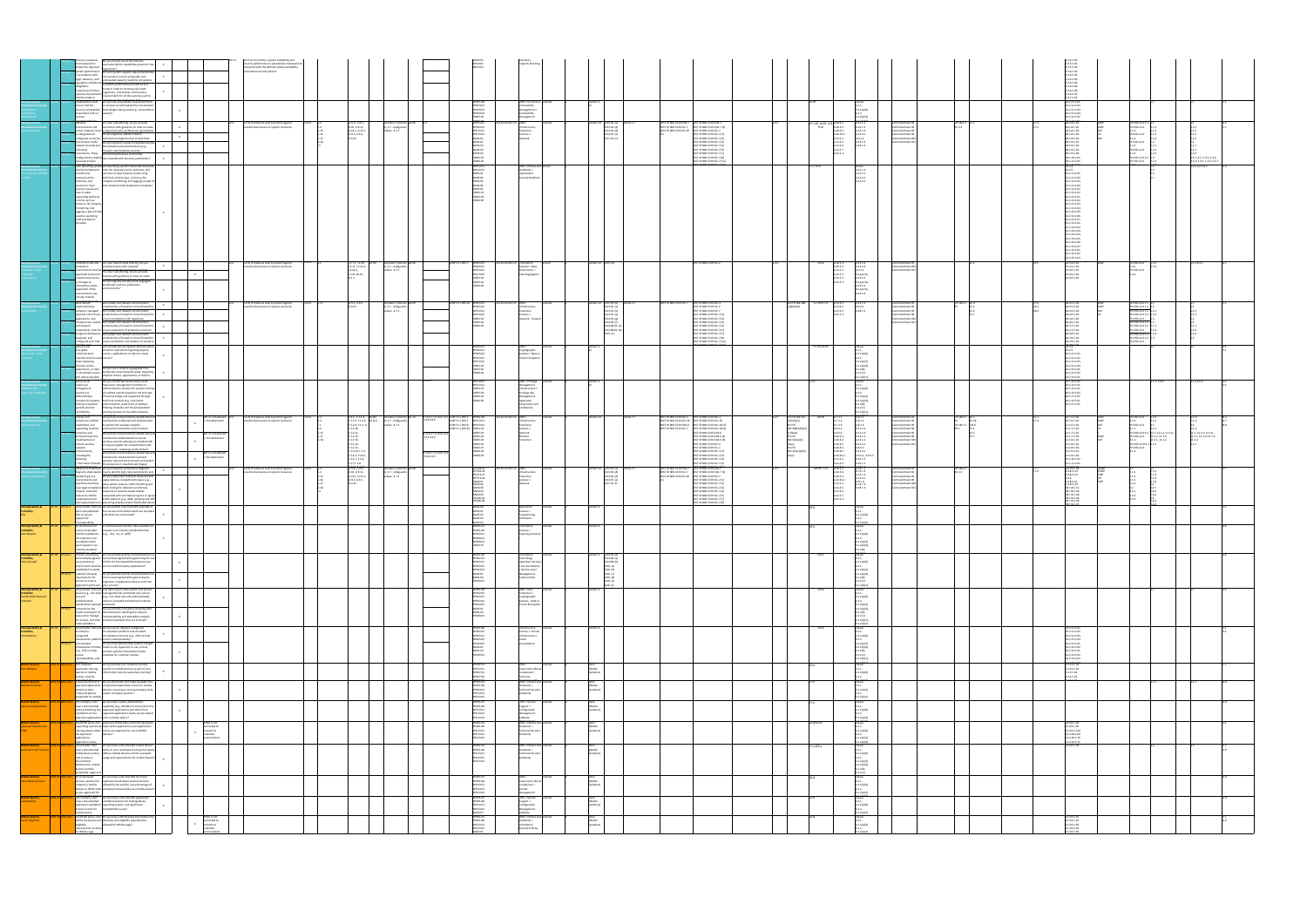|                                                                                   | Do you restrict use of the memory<br>planned, prepared,<br>and measured to<br>ersubscription capabilities present in the<br>deliver the required<br>ervisor? <b>Contract Contract Contract Contract Contract Contract Contract Contract Contract Contract Contract Contract Contract Contract Contract Contract Contract Contract Contract Contract Contract Contract Contract Contr</b><br>tem performance<br>our system capacity requiremen<br>ordance with<br>to account current, projected, and<br>ticipated capacity needs for all system<br>legal, statutory, and<br>ulatory complian<br>s system performance monitored and<br>obligations.<br>in order to continuously meet<br>Projections of future<br>egulatory, contractual, and business<br>capacity requirement<br>requirements for all the systems used to<br>shall be made to<br>Do security vulnerability assessment to<br>ensure that the<br>r services accommodate the virtualization<br>security vulnerability<br>inologies being used (e.g., virtualization<br>nt tools or<br>ervices<br>.<br>Ir your laaS offering, do you provide<br>nments and<br>customers with guidance on how to create<br>al instances shall a layered security architecture equivalence<br>signed and Do you regularly update network<br>be designed and<br>onfigured to restrict<br>hitecture diagrams that include data<br>tior traffic<br>you regularly review for appropriater<br>the allowed access/connectivity (e.g.,<br>trusted<br>firewall rules) between security<br>nections. These<br>all firewall access control lists<br>mented with business justification?<br>fiewed at least<br>Each operating system Are operating systems hardened to prov<br>shall be hardened to only the necessary ports, protocols, and<br>provide only<br>vices to meet business needs using<br>nical controls (e.g., antivirus, file<br>necessary ports,<br>protocols, and<br>services to meet<br>integrity monitoring, and logging) as part o<br>seline build standard or template<br>business needs and<br>have in place<br>supporting technical<br>controls such as:<br>antivirus, file integrity<br>monitoring, and<br>logging as part of their<br>baseline operating<br>build standard or | $\mathbf{x}$<br>$\mathbf{x}$ |                                                                                                          | (A4.1.0) The entity's system availability and<br>ecurity performance is periodically reviewed ar<br>ompared with the defined system availability<br>nd related security policies.<br>(S3.4) Procedures exist to protect agains<br>uthorized access to system resources. | G.10, G.9.11,<br>G.14.1, G.15.1,                                                                                                                                                                                            | 5), 4.7 - Safeguards,<br>Subsec. 4.7.3                                                       |                                                                                                                                                                                                                                                                                                                                                                   | 8AI10.01<br>8AI10.02<br><b>LPUUL UR</b><br>AP004.02<br>AP004.03<br>AP004.04<br>DSS05.03<br>05505.03<br>APO03.02<br>APO03.02<br>APO13.02<br>APO13.02<br>APO13.02<br>BAI03.03<br>BAI03.03<br>BAI03.04<br>BAI03.04<br>BAI03.04<br>BAI03.05<br>DS505.02<br>DS505.02<br>-<br>APO13.02<br>APO13.02<br>APO13.02<br>BAI03.04<br>BAI03.04<br>BAI03.05<br>DSS05.03<br>DSS05.03<br>DSS05.03 | RM > Thecat and<br>Vulnerability<br>Management<br>Management<br>0 SRM ><br>Infrastructure<br>Protection<br>Services ><br>Network<br>RM > Policies a<br>Standards ><br>Operational<br>curity Baseli |                              | main 10 6.03.03 (a)<br>6.03.03 (d)<br>6.03.04. (d)<br>6.04.07. (a)<br>$6.07.01.$ (c)                                                                    | NIST SP 800-53 R3 CM-7 NIST SP 800-53 R3 CM-7<br>NIST SP 800-53 R3 SC-7 NIST SP 800-53 R3 CM-7 (1)<br>NIST SP 800-53 R3 SC-20 NIST SP 800-53 R3 SC-7<br>NUT SP 800-53 R3 SC-7 (1)<br>NIST SP 800-53 R3 SC-7 (2)<br>NIST SP 800-53 R3 SC-7 (3)<br>NUT SP 800-53 R3 SC-7 (4)<br>NIST SP 800-53 R3 SC-7 (4)<br>NIST SP 800-53 R3 SC-7 (7)<br>NIST SP 800-53 R3 SC-7 (8)<br>NIST SP 800-53 R3 SC-7 (12)                                                                                                                                                                                     |                                                                                                                                                | A.10.6.2<br>A.10.9.1<br>A.10.10.2<br>A.11.4.1<br>9.m<br>A.114.5<br>A.114.6<br>A.114.7<br>A.15.1.4<br>1.110.h                                             | $6.1.1(e)(2)$<br>$6.1.2$<br>1.2(a)(1)<br>A.13.1.2<br>andment #2<br>A.14.1.2<br>A.12.4.1<br>A.9.1.2<br>EN tramboso<br>andment #10<br>A.13.1.3<br>A.18.1.4<br>andment #11<br>A.12.1.4<br>A.12.2.1<br>A.12.4.1<br>A.12.6.1                            |                                                   | 336.CO2<br>336.CO3<br>336.CO4<br>3.3.6.C.05.<br>3.3.6.C.06.<br>3.3.6.C.07.<br>$2.11 \cdot 0.02$<br>$2.11 \, \text{C}$ 03.<br>2.11.0.04<br>2.12.001<br>$\frac{22.2.000}{18.1.8001}$<br>18.1.8.C.02.<br>18.1.8.C.03.<br>18.1.8.C.04.<br>18.1.8.C.05.<br>18.1.9.C.01.<br>18.1.9.C.02.<br>8.1.9.C.03.<br>18.1.9.C.04.<br>1.10.C.01<br>11.C.01<br>2.2.11.0.01.<br>2.11.C.02<br>2.2.11.C.03.<br>$2.11 \, \text{C.04}$<br>2.12.C.01<br>2.2.12.C.02<br>2.13.0.01<br>13.C.02<br>2.2.13.C.03.<br>2.13.0.04<br>13.C.O<br>2.2.13.C.06.<br>2.13.0.07<br>2.14.0.01<br>2.14.C.02<br>2.2.14.0.03.<br>2.14.C.OK<br>2.14.C.05<br>2.2.14.C.06.<br>2.14.C.07.<br>2.15.C.01<br>2.2.15.C.02<br>2.15.003 | n tysk yn                                                                                                                                                                                                                                                                                                                                                                                                                                                                                | PCI DSS v2.0 1.1.2<br>112<br>112<br>112<br>10 DSS v2.0<br>113<br>115<br>10 DSS v2.0<br>12.12<br>116<br>10 DSS v2.0<br>12.12<br>12.0<br>10 DSS v2.0<br>12.12<br>12.1<br>12.1<br>12.12<br>12.12<br>12.12<br>$\frac{12.1}{1.2.2}$                                              | ----<br>1.3; 1.3.1; 1.3.2; 1.3.3<br>1.3.4; 1.3.5; 1.3.6; 1.3<br>2:2.5:5.1 |
|-----------------------------------------------------------------------------------|------------------------------------------------------------------------------------------------------------------------------------------------------------------------------------------------------------------------------------------------------------------------------------------------------------------------------------------------------------------------------------------------------------------------------------------------------------------------------------------------------------------------------------------------------------------------------------------------------------------------------------------------------------------------------------------------------------------------------------------------------------------------------------------------------------------------------------------------------------------------------------------------------------------------------------------------------------------------------------------------------------------------------------------------------------------------------------------------------------------------------------------------------------------------------------------------------------------------------------------------------------------------------------------------------------------------------------------------------------------------------------------------------------------------------------------------------------------------------------------------------------------------------------------------------------------------------------------------------------------------------------------------------------------------------------------------------------------------------------------------------------------------------------------------------------------------------------------------------------------------------------------------------------------------------------------------------------------------------------------------------------------------------------------------------------------------------------------------------------------------------------------------------------------------------------------------------------------------------------|------------------------------|----------------------------------------------------------------------------------------------------------|-------------------------------------------------------------------------------------------------------------------------------------------------------------------------------------------------------------------------------------------------------------------------|-----------------------------------------------------------------------------------------------------------------------------------------------------------------------------------------------------------------------------|----------------------------------------------------------------------------------------------|-------------------------------------------------------------------------------------------------------------------------------------------------------------------------------------------------------------------------------------------------------------------------------------------------------------------------------------------------------------------|----------------------------------------------------------------------------------------------------------------------------------------------------------------------------------------------------------------------------------------------------------------------------------------------------------------------------------------------------------------------------------|----------------------------------------------------------------------------------------------------------------------------------------------------------------------------------------------------|------------------------------|---------------------------------------------------------------------------------------------------------------------------------------------------------|-----------------------------------------------------------------------------------------------------------------------------------------------------------------------------------------------------------------------------------------------------------------------------------------------------------------------------------------------------------------------------------------------------------------------------------------------------------------------------------------------------------------------------------------------------------------------------------------|------------------------------------------------------------------------------------------------------------------------------------------------|----------------------------------------------------------------------------------------------------------------------------------------------------------|----------------------------------------------------------------------------------------------------------------------------------------------------------------------------------------------------------------------------------------------------|---------------------------------------------------|-----------------------------------------------------------------------------------------------------------------------------------------------------------------------------------------------------------------------------------------------------------------------------------------------------------------------------------------------------------------------------------------------------------------------------------------------------------------------------------------------------------------------------------------------------------------------------------------------------------------------------------------------------------------------------------|------------------------------------------------------------------------------------------------------------------------------------------------------------------------------------------------------------------------------------------------------------------------------------------------------------------------------------------------------------------------------------------------------------------------------------------------------------------------------------------|-----------------------------------------------------------------------------------------------------------------------------------------------------------------------------------------------------------------------------------------------------------------------------|---------------------------------------------------------------------------|
|                                                                                   | Production and non- For your SaaS or PaaS offering, do you<br>production<br>ride tenants with separate<br>nments shall b<br>.<br>your laaS offering, do you provide<br>ts with guidance on how to creat<br>horized access<br>Do you logically and physically segregate<br>or changes to<br>information assets<br>production and non-production<br>Fatements<br>Separation of the<br>ronments may<br>include: stateful                                                                                                                                                                                                                                                                                                                                                                                                                                                                                                                                                                                                                                                                                                                                                                                                                                                                                                                                                                                                                                                                                                                                                                                                                                                                                                                                                                                                                                                                                                                                                                                                                                                                                                                                                                                                              |                              |                                                                                                          | (S3.4) Procedures exist to protect agains<br>horized access to system resources                                                                                                                                                                                         | 2711220<br>2.17, 12.22.2<br>12.22.10-14                                                                                                                                                                                     | Schedule 1 (Section SA-0)<br>5), 4.7 - Safeguards<br>Subsec. 4.7.3                           | 08/T4.10S5.7 AP003.01                                                                                                                                                                                                                                                                                                                                             | APO03.02<br>AP013.01<br>AP013.02<br>DSS05.02<br>DSS05.05<br>DSS05.06                                                                                                                                                                                                                                                                                                             | 12.8 and 312.10 Information<br>Services > Data<br>remance ><br>uta Segregation                                                                                                                     |                              | omain 10 6.03. (d)                                                                                                                                      | NIST SP 800-53 R3 SC-2                                                                                                                                                                                                                                                                                                                                                                                                                                                                                                                                                                  |                                                                                                                                                | 09.d<br>A.10.1.4<br>A.10.3.2<br>A.11.1.1<br>A.12.5.1<br>A.12.5.2<br>A.12.5.3                                                                             | emmandment #<br>A.14.2.9<br>nandment #10<br>A.9.1.1<br>andment #11<br>Rantial,<br>R.1, partial,<br>R.1, partial,<br>R.1, partial,<br>R.1, partial,<br>R.1, partial,                                                                                |                                                   | 14.4.4.C.01.<br>4.4.5.C.01.<br>14.4.6.0.01.<br>14.4.6.0.02.<br>14.4.6.0.03.                                                                                                                                                                                                                                                                                                                                                                                                                                                                                                                                                                                                       | PCI DSS v2.0<br>6.4.1<br>PCI DSS v2.0                                                                                                                                                                                                                                                                                                                                                                                                                                                    |                                                                                                                                                                                                                                                                             |                                                                           |
|                                                                                   | system and network environments<br>Multi-tenant<br>organizationally-<br>protected by a firewall or virtual firewall to<br>Are system and network environments<br>owned or managed<br>(physical and virtual) protected by a firewall or virtual firewall to X<br>ations, and<br>ensure compliance with legislative,<br>infrastructure system<br>Are system and network environments<br>protected by a firewall or virtual firewall to<br>and network<br>noonents, shall be<br>sure separation of production and non-<br>system and network environments<br>designed, developed, An<br>deployed, and<br>configured such that<br>protected by a firewall or virtual firewall to<br>I ensure protection and isolation of sensitive<br>ecured and<br>encrypted<br>channels used when migrating physical                                                                                                                                                                                                                                                                                                                                                                                                                                                                                                                                                                                                                                                                                                                                                                                                                                                                                                                                                                                                                                                                                                                                                                                                                                                                                                                                                                                                                                 | $\mathbf{x}$                 |                                                                                                          | (S3.4) Procedures exist to protect against<br>uthorized access to system resources.                                                                                                                                                                                     | 9.2693                                                                                                                                                                                                                      | Schedule 1 (Section<br>S), 4.7 - Safeguards,<br>Subsec. 4.7.3                                | 4.1 DS5.10 APO03.01                                                                                                                                                                                                                                                                                                                                               | AP003.02<br>AP013.01<br>AP013.02<br>DSS05.02<br>DSS05.05<br>DSS05.05                                                                                                                                                                                                                                                                                                             | Protection<br>Services ><br>Network - Firewa<br>Cryptographic                                                                                                                                      |                              | ain 10 6.03.03 (b)<br>6.03.05. (a)<br>6.03.05. (b)<br>6.04.01. (a)<br>6.04.01. (g)<br>6.04.03. (c)<br>6.04.08.02. (a)<br>6.04.08.02. (b)<br>$6.05.$ (c) | IST SP 800-53 R3 SC-7<br>NIST SP 800-53 R3 AC-4<br>NIST SP 800-53 R3 SC-2<br>NIST SP 800-53 R3 SC-7<br>NIST SP 800-53 R3 SC-7 (1)<br>NIST SP 800-53 R3 SC-7 (2)<br>NIST SP 800-53 R3 SC-7 (3)<br>NIST SP 800-53 R3 SC-7 (4)<br>NIST SP 800-53 R3 SC-7 (5)<br>NIST SP 800-53 R3 SC-7 (7)<br>NIST SP 800-53 R3 SC-7 (8)<br>NIST SP 800-53 R3 SC-7 (12)                                                                                                                                                                                                                                    | 45 CFR 164.308 01.m;01.n<br>(a)(4)(i)(A)                                                                                                       | 114.5<br>A.11.6.1<br>A.11.6.2<br>A.15.1.4<br>01.m:09.m                                                                                                   | mandment #<br>A.9.4.1<br>A.18.1.4<br>nandment #2<br>andment #3<br>es trambnen<br>andment #1                                                                                                                                                        |                                                   | 18.4.5.0.02<br>18.4.5.C.03<br>18.4.6.C.01.<br>18.4.6.C.02.<br>18.4.6.C.03.<br>18.4.7.C.01<br>18.4.7.0.02<br>18.4.8.C.01<br>18.4.9.C.01.<br>8.4.9.0.02                                                                                                                                                                                                                                                                                                                                                                                                                                                                                                                             | 1DSSv2.0<br>PCI DSS v2.0 1.2 1.2<br>PCI DSS v2.0 1.1 1.2<br>PCI DSS v2.0 1.3<br>PCI DSS v2.0 1.1 1.4<br>DSS v2.0                                                                                                                                                                                                                                                                                                                                                                         | PCI DSS v2.0 1.2 1.2.3<br>PCI DSS v2.0 1.2 2.1<br>PCI DSS v2.0 2.2.3<br>PCI DSS v2.0 1.1 2.2.4<br>PCI DSS v2.0 1.2 2                                                                                                                                                        |                                                                           |
|                                                                                   | communication servers, ap<br>channels shall be used servers?<br>servers, applications, or data to virtual<br>when migrating<br>ysical servers<br>you use a network segregated from<br>applications, or data<br>production-level networks when migrating<br>to virtualized servers<br>hysical servers, applications, or data to<br>Access to all<br>Do you restrict personnel access to all<br>hypervisor<br>management<br>functions or<br>ervisor management functions or<br>inistrative consoles for systems hosti<br>intualized systems based on the principle<br>of least privilege and supported through<br>administrative<br>consoles for systems<br>chnical controls (e.g., two-factor<br>thentication, audit trails, IP address<br>hosting virtualized<br>systems shall be<br>restricted to<br>litering, firewalls and TLS-encapsulated<br>unications to the administrative                                                                                                                                                                                                                                                                                                                                                                                                                                                                                                                                                                                                                                                                                                                                                                                                                                                                                                                                                                                                                                                                                                                                                                                                                                                                                                                                                 |                              |                                                                                                          |                                                                                                                                                                                                                                                                         |                                                                                                                                                                                                                             |                                                                                              |                                                                                                                                                                                                                                                                                                                                                                   | APO03.02<br>APO03.02<br>APO13.01<br>APO13.02<br>APO13.02<br>OSS05.02<br>DSS05.05<br>DSS05.05<br><b>APO13 01</b><br>AP013.02<br>DSS05.02<br>DSS05.04<br>DSS06.03<br>DSS06.06                                                                                                                                                                                                      | iervices > Data-i<br>ansit Encryptio<br>SRM > Privilege<br>Management<br>Infrastructure ><br>Privilege Use<br>Management -<br>Hypervisor<br>Governance and<br>Compliance                           |                              |                                                                                                                                                         |                                                                                                                                                                                                                                                                                                                                                                                                                                                                                                                                                                                         |                                                                                                                                                |                                                                                                                                                          | 6.1.1(e)(2)<br>6.1.2(a)(1)<br>6.1.2(a)(2),<br>6.1.2(b)<br>6.1.2 (c)<br>1.2(c)(1)<br>Clause<br>6.1.1,<br>$6.1.1(e)(2)$<br>6.1.2<br>6.1.2(a)(1)<br>6.1.2(a)(2),<br>6.1.2(b)<br>6.1.2 (c)<br>6.1.2(c)(1)                                              |                                                   | 22.11.C.01.<br>2.2.11.0.02<br>2.11.C.03<br>22.11.C.04.<br>2.12.001<br>2.12.0.02.<br>6.1.13.C.01<br>1.14.C.01<br>6.1.15.0.01<br>1.15.0.02<br>6.1.17.C.02<br>16.1.19.C.01<br>1.27.0.01                                                                                                                                                                                                                                                                                                                                                                                                                                                                                              |                                                                                                                                                                                                                                                                                                                                                                                                                                                                                          | 1.366                                                                                                                                                                                                                                                                       |                                                                           |
|                                                                                   | licies and procedures established ar<br>Policies and<br>procedures shall be<br>inisms configured and implemented<br>established, and<br>protect the wireless network<br>nment perimeter and to restrict<br>pporting business<br>cesses and<br>Are policies and procedures established a<br>echnical measure<br>hanisms implemented to ensure<br>implemented, to<br>iless security settings are enabled with<br>ng encryption for authentication and<br>protect wireless<br>network<br>transmission, replacing vendor default<br>ronments.<br>e policies and procedures established and<br>echanisms implemented to protect<br>reless network environments and detect<br>including the<br>following:<br>• Perimeter firewalls<br>presence of unauthorized (rogue)<br>your network architecture diagrams<br>ietwork architecture                                                                                                                                                                                                                                                                                                                                                                                                                                                                                                                                                                                                                                                                                                                                                                                                                                                                                                                                                                                                                                                                                                                                                                                                                                                                                                                                                                                                     | $-$ x                        | WiFi is not allowed S3.4<br>he datacente<br>WiFi is not allowed<br>the datacenter<br>WiFi is not allowed | S3.4) Procedures exist to protect against<br>horized access to system resources.<br>nauthorized access to system resources.                                                                                                                                             | :3.1, F.1.2.4, 40 (B)<br>:1.2.5, F.1.2.6, 44 (C+)<br>F.1.2.8, F.1.2.9,<br>F.1.2.11,<br>F1212<br>F1213<br>F1214<br>F1215<br>F1224, F13,<br>F.1.4.2, F1.4.6,<br>F.1.4.7, F.1.6,<br>F.1.7.F.1.8.<br>9.17.6.9.<br>G.10, G.9.11, | Schedule 1 (Section SA-1)<br>5), 4.7 - Safeguards,<br>Subsec. 4.7.3<br>5), 4.7 - Safeguards, | $\begin{tabular}{ c c c c } \hline 3.103.113.123.133 &CO814.10555 &\textbf{\textit{MO0108}} \\ \hline 3.103.113.123.133 &CO814.10555 &\textbf{\textit{MO010}} \\ \hline & CO814.10558 &\textbf{\textit{MO010}} \\ \hline & CO814.10553 &\textbf{\textit{MO010}} \\ \hline \end{tabular} \caption{\footnotesize\begin{tabular}{ c c c c c c c c c c c c c c c c c$ |                                                                                                                                                                                                                                                                                                                                                                                  | $nd 312.10$ SRM ><br>Protection<br>Services ><br>Network -<br>Wireless<br>Protection<br>Infrastructure                                                                                             |                              | $6.03.03.$ (d)                                                                                                                                          | NIST SP 800-53 R3 AC-1 NIST SP 800-53 R3 AC-1<br>NIST SP 800-53 R3 AC-18 NIST SP 800-53 R3 AC-18<br>NIST SP 800-53 R3 CM-6 NIST SP 800-53 R3 AC-18 (1)<br>IST SP 800-53 R3 SC-7<br>NIST SP 800-53 R3 AC-18 (2)<br>NIST SP 800-53 R3 CM-6<br>NIST SP 800-53 R3 CM-6 (1)<br>NIST SP 800-53 R3 CM-6 (3)<br>NIST SP 800-53 R3 PE-4<br>NIST SP 800-53 R3 SC-7<br>NIST SP 800-53 R3 SC-7 (1)<br>NIST SP 800-53 R3 SC-7 (2)<br>NIST SP 800-53 R3 SC-7 (3)<br>NIST SP 800-53 R3 SC-7 (4)<br>IST SP 800-53 R3 CM-<br>NIST SP 800-53 R3 CM-7<br>NIST SP 800-53 R3 SC-7 NIST SP 800-53 R3 CM-7 (1) | 45 CFR 164.31<br>(e)(1)(2)(ii)<br>45 CFR<br>164.308(a)(5) <br>D) (New)<br>45 CFR<br>164.312(e)(1)<br>(New)<br>45 CFR<br>164.312(e)(2)<br>(New) | 09.m<br>A.7.1.3<br>7. 13<br>A 9.24<br>A 9.24<br>A 10.6.2<br>A 10.8.3<br>A 10.8.5<br>A 10.8.5<br>A 10.9.2<br>A 11.2.1<br>A 11.2.1<br>A.10.6.1<br>4.10.6.2 | A.8.1.1<br>A.8.1.2<br>A.8.1.3<br>ndment #2<br>EN trambnen<br>A3121<br>A3124<br>A3311<br>A321<br>A333<br>A3241<br>andment #4<br>nandment #5<br>es trambnemm<br>mandment #10<br>nandment #1<br>A9.2.1, A9.2.2<br>A.13.1.3<br>A.10.1.1<br>nandment #2 | $AC-18$<br>AC-18<br>CIP-007-3 - CM-6<br>R6.1 PE-4 | 7.6.0.02<br>1.1.6.0.01<br>11.1.7.0.01<br>1.1.7.0.02<br>11.1.7.C.03.<br>11.1.8.0.01.<br>11.1.8.0.02<br>11.1.8.C.03.<br>1.1.9.0.01.<br>1.1.9.0.02.<br>1.1.10.C.01.<br>11.0.01                                                                                                                                                                                                                                                                                                                                                                                                                                                                                                       | PCI DSS v2.0<br>1.2.3<br>PCI DSS v2.0                                                                                                                                                                                                                                                                                                                                                                                                                                                    | $\begin{array}{ll} 2.11 & 84.1 & 41.1 & 11.11a, 11.11b, \\ 97.1 & 055 & 92.0 & 411 & 111, 111a, 111.1b, \\ 97.1 & 055 & 92.0 & 111.1c, 111.1d, \\ 4.1.1 & 111.1, 111.2 & 111.1 & 111.2 \\ 97.1 & 055 & 92.0 & 11 & 91.3 \\ 97.1 & 95 & 92.0 & 11 & 91.3 \\ 99.1 & 95 & 92.$ | 1; 11.1a; 11.1b;<br>1c; 11.1.d; 11.1.1                                    |
| Interoperability &<br>Portability<br>APS                                          | diagrams shall clearly clearly identify high-risk environments and<br>identify high-risk Do you implement technical measures and<br>identify high-risk<br>environments and<br>y defense-in-depth techniques (e.g.,<br>data flows that may deep packet analysis, traffic throttling and<br>have legal compliance black-holing) for detection and timely<br>impacts. Technical response to network-based attacks<br>measures shall be associated with anomalous ingress or egre<br>bns batnemelomi<br>traffic patterns (e.g., MAC spoofing and ARI<br>shall apply defense-in- poisoning attacks) and/or distributed den<br>The provider shall use: Do you publish a list of all APIs available in<br>open and published the service and indicate which are standard<br>APIs to ensure and which are customized?                                                                                                                                                                                                                                                                                                                                                                                                                                                                                                                                                                                                                                                                                                                                                                                                                                                                                                                                                                                                                                                                                                                                                                                                                                                                                                                                                                                                                      |                              |                                                                                                          |                                                                                                                                                                                                                                                                         | 6.14.1, 6.15.1<br>G.9.2, G.9.3,                                                                                                                                                                                             | Subsec. 4.7.3                                                                                |                                                                                                                                                                                                                                                                                                                                                                   | AP003.01<br>AP013.02<br>AP013.02<br>AP013.02<br>AP013.02<br>BAD3.02<br>BAD3.03<br>BAD3.04<br>DS805.02<br>DS805.02<br>DS805.02<br>BAI02.04<br>8AI03.01<br>8AI03.02<br>8AI03.03                                                                                                                                                                                                    | Protection<br>Network<br>Application<br>Services ><br>Programming<br>Interfaces >                                                                                                                  |                              | 6.03.04. (d)<br>6.04.07. (a)<br>6.07.01.0                                                                                                               | NIST SP 800-53 R3 SC-20 NIST SP 800-53 R3 SC-7<br>eST SP 800-53 R3 SC-7 (1)<br>NIST SP 800-53 R3 SC-7 (2)<br>NIST SP 800-53 R3 SC-7 (3)<br>NEST SP 800-53 R3 SC-7 (4)<br>NIST SP 800-53 R3 SC-7 (4)<br>NIST SP 800-53 R3 SC-7 (7)<br>IST SP 800-53 R3 SC-7 (8)                                                                                                                                                                                                                                                                                                                          |                                                                                                                                                | A<br>1091<br>A 10102<br>A 1145<br>A 1145<br>A 1145<br>A.15.1.4                                                                                           | A 13.1.2<br>A 14.1.2<br>A 12.4.1<br>A 13.1.3<br>A 18.1.4<br>EN tramboso<br>nandment #10<br>andment #11<br>5.1.1(e)(2)                                                                                                                              |                                                   | 32.12CM<br>338C.04<br>338C.01<br>433<br>438C.01<br>18.1.8C.02<br>18.1.8C.03<br>18.1.8C.03<br>18.1.8C.03<br>18.1.8C.03                                                                                                                                                                                                                                                                                                                                                                                                                                                                                                                                                             | $\begin{array}{r} 1.1.2 \\ 1.1.3 \\ 1.1.5 \\ 1.1.6 \\ 1.2 \end{array}$<br>$\begin{array}{@{}c@{\hspace{1em}}c@{\hspace{1em}}c@{\hspace{1em}}c@{\hspace{1em}}c@{\hspace{1em}}c@{\hspace{1em}}c@{\hspace{1em}}c@{\hspace{1em}}c@{\hspace{1em}}c@{\hspace{1em}}c@{\hspace{1em}}c@{\hspace{1em}}c@{\hspace{1em}}c@{\hspace{1em}}c@{\hspace{1em}}c@{\hspace{1em}}c@{\hspace{1em}}c@{\hspace{1em}}c@{\hspace{1em}}c@{\hspace{1em}}c@{\hspace{1em}}c@{\hspace{1em}}c@{\hspace{1em}}c@{\hspace{$ |                                                                                                                                                                                                                                                                             |                                                                           |
| Interoperability &<br>Portability<br>Data Request                                 | support for<br>interoperability<br>All structured and<br>unstructured customer data available<br>$\begin{tabular}{ll} \bf unstructured data & \tt request in an industry-star\\ \bf shall be available to & \tt (e.g., .doc, .ds, or .pdf)? \end{tabular}$<br>request in an industry-standard format<br>the customer and<br>provided to them<br>aquest in a<br>industry-standard                                                                                                                                                                                                                                                                                                                                                                                                                                                                                                                                                                                                                                                                                                                                                                                                                                                                                                                                                                                                                                                                                                                                                                                                                                                                                                                                                                                                                                                                                                                                                                                                                                                                                                                                                                                                                                                   |                              |                                                                                                          |                                                                                                                                                                                                                                                                         |                                                                                                                                                                                                                             |                                                                                              |                                                                                                                                                                                                                                                                                                                                                                   | 8AI03.04<br>APO01.03<br>AP001.06<br>AP003.01<br>AP008.01<br>AP009.03<br>DSS04.07                                                                                                                                                                                                                                                                                                 | formation<br>Services ><br><b>Neporting Servic</b>                                                                                                                                                 |                              |                                                                                                                                                         |                                                                                                                                                                                                                                                                                                                                                                                                                                                                                                                                                                                         |                                                                                                                                                |                                                                                                                                                          | 5.1.1(e)(2)<br>$6.1.2(a)(1)$<br>$6.1.2(a)(2)$<br>6.1.2(b)                                                                                                                                                                                          |                                                   |                                                                                                                                                                                                                                                                                                                                                                                                                                                                                                                                                                                                                                                                                   |                                                                                                                                                                                                                                                                                                                                                                                                                                                                                          |                                                                                                                                                                                                                                                                             |                                                                           |
| Interoperability &<br>Portability<br>Policy & Legof                               | IPY-03 IPY-03.1 Policies, procedures, Do you provide policies and procedures (i<br>Formula provides and provide provide provides and multiplification of APIs for interoperability between your<br>upon providions<br>and/or terms shall be service and third-party applications?<br>stablished to satisfy<br>Do you provide policies and procedures (i.<br>customer (tenant)<br>requirements for<br>requirements for service level agreements) governing the<br>service-to-service migration of application data to and from<br>application (API) and vour service?<br>The provider shall use Can data import, data export, and service                                                                                                                                                                                                                                                                                                                                                                                                                                                                                                                                                                                                                                                                                                                                                                                                                                                                                                                                                                                                                                                                                                                                                                                                                                                                                                                                                                                                                                                                                                                                                                                           |                              |                                                                                                          |                                                                                                                                                                                                                                                                         |                                                                                                                                                                                                                             |                                                                                              |                                                                                                                                                                                                                                                                                                                                                                   | APO01.08<br>AP002.05<br>AP003.01<br>AP003.02<br>AP004.02<br>BAI02.04<br>AP009.03<br>APO01.08                                                                                                                                                                                                                                                                                     | Information<br>Technology<br>Operation Services<br>> Service Delivery<br>ovide<br>> Service Level<br>Management -<br>External SLA's<br>RM > Data                                                   |                              | main 3 6.04.03. (b)<br>6.04.08. (a)<br>6.04.08. (b)<br>6.06. (a)<br>$6.06.$ (b)<br>6.06. (c)<br>6.06. (d)<br>6.06. (e)<br>6.06. (f)                     |                                                                                                                                                                                                                                                                                                                                                                                                                                                                                                                                                                                         |                                                                                                                                                | 05k<br>09.5                                                                                                                                              | .<br>Nause<br>6.1.1,<br>6.1.1(e)(2)<br>6.1.2<br>$\begin{array}{l} 6.1.2(a)(1)\\ 6.1.2(a)(2),\\ 6.1.2(b)\\ 6.1.2(c)(1),\\ 6.1.2(c)(1),\\ \text{Cause} \end{array}$                                                                                  |                                                   |                                                                                                                                                                                                                                                                                                                                                                                                                                                                                                                                                                                                                                                                                   |                                                                                                                                                                                                                                                                                                                                                                                                                                                                                          |                                                                                                                                                                                                                                                                             |                                                                           |
| <b>Interoperability &amp;</b><br>Portability<br>Standardized Network<br>Protocols | oncure (e.g., non-clear management be conducted over secure<br>text and (e.g., non-clear text and authenticated)<br>authenticated) industry accepted standardized network<br>standardized network protocols?<br>protocols for the Do you provide consumers (tenants) with<br>standardized network. Brotocols (<br>geodocids for the Do you provide consumers (tenants) with<br>import and seport of documentation detailing the relevant<br>data and to manage decumentation detailing the relevant<br>the service, and<br>make available a<br>The provider shall use Do you use an industry-recognized                                                                                                                                                                                                                                                                                                                                                                                                                                                                                                                                                                                                                                                                                                                                                                                                                                                                                                                                                                                                                                                                                                                                                                                                                                                                                                                                                                                                                                                                                                                                                                                                                            |                              |                                                                                                          |                                                                                                                                                                                                                                                                         |                                                                                                                                                                                                                             |                                                                                              |                                                                                                                                                                                                                                                                                                                                                                   | APO0108<br>APO03.01<br>APO03.02<br>APO04.02<br>BAI02.04<br>BAI02.04<br>APO09.03<br>AP001.08                                                                                                                                                                                                                                                                                      | Protection ><br>Cryptographic<br>Services - Data-In-<br>Transit Encryption                                                                                                                         |                              |                                                                                                                                                         |                                                                                                                                                                                                                                                                                                                                                                                                                                                                                                                                                                                         |                                                                                                                                                | 09.5                                                                                                                                                     | 6.1.1(e)(2)<br>$6.1.2(a)(1)$<br>$6.1.2(a)(2)$ ,<br>$6.1.2(b)$<br>$6.1.2(c)(1)$ ,<br>$6.1.2(c)(2)$<br>Clause<br>6.1.1,                                                                                                                              |                                                   |                                                                                                                                                                                                                                                                                                                                                                                                                                                                                                                                                                                                                                                                                   |                                                                                                                                                                                                                                                                                                                                                                                                                                                                                          |                                                                                                                                                                                                                                                                             |                                                                           |
| Interoperability &<br>Portability<br>Virtuolization<br><b>Mobile Security</b>     | The proton state was controlled that the controlled proton and standard entropy in the controlled that the controlled the determined state of the controlled that the controlled the controlled that the controlled that the<br>ensure<br>interoperability, and<br>available for customer review?<br>chall have<br>Anti-malware Do you provide anti-malware training                                                                                                                                                                                                                                                                                                                                                                                                                                                                                                                                                                                                                                                                                                                                                                                                                                                                                                                                                                                                                                                                                                                                                                                                                                                                                                                                                                                                                                                                                                                                                                                                                                                                                                                                                                                                                                                               |                              |                                                                                                          |                                                                                                                                                                                                                                                                         |                                                                                                                                                                                                                             |                                                                                              |                                                                                                                                                                                                                                                                                                                                                                   | AP002.05<br>AP003.01<br>AP003.02<br>BAI02.04<br>BAI02.04<br>AP009.03<br>AP001.03                                                                                                                                                                                                                                                                                                 | Services > Virtual<br>Infrastructure ><br>Server<br>Server<br>Virtualization                                                                                                                       |                              |                                                                                                                                                         |                                                                                                                                                                                                                                                                                                                                                                                                                                                                                                                                                                                         |                                                                                                                                                |                                                                                                                                                          | 6.1.1(e)(2)<br>6.1.2<br>$\begin{array}{l} 6.1.2(a)(1)\\ 6.1.2(a)(2),\\ 6.1.2(b)\\ 6.1.2(c) \end{array}$<br>6.1.2(c)(1).                                                                                                                            |                                                   | 110.02<br>2.11.C.03.<br>2.11.C.04.<br>22.12.C.01.<br>2.12.0.02.<br>2.13.C.01.<br>2.13.C.02.<br>2.13.0.03.<br>$\frac{221300}{333001}$                                                                                                                                                                                                                                                                                                                                                                                                                                                                                                                                              |                                                                                                                                                                                                                                                                                                                                                                                                                                                                                          |                                                                                                                                                                                                                                                                             |                                                                           |
| <b>Anti-Malware</b><br>-<br>Mobile Security<br>Application Stores                 | awareness training, specific to mobile devices as part of your<br>specific to mobile information security awareness training?<br>devices, shall be<br>A documented list of Do you document and make available lists                                                                                                                                                                                                                                                                                                                                                                                                                                                                                                                                                                                                                                                                                                                                                                                                                                                                                                                                                                                                                                                                                                                                                                                                                                                                                                                                                                                                                                                                                                                                                                                                                                                                                                                                                                                                                                                                                                                                                                                                                |                              |                                                                                                          |                                                                                                                                                                                                                                                                         |                                                                                                                                                                                                                             |                                                                                              |                                                                                                                                                                                                                                                                                                                                                                   | AP013.01<br>AP007.03<br>AP007.06<br>APO01.04                                                                                                                                                                                                                                                                                                                                     | vernance Risk<br>Compliance ><br>Technical<br>SRM > Policies and o<br>Standards >                                                                                                                  | Guidance)<br>Guidance)       |                                                                                                                                                         |                                                                                                                                                                                                                                                                                                                                                                                                                                                                                                                                                                                         |                                                                                                                                                |                                                                                                                                                          | 6.1.1, 6.1.1(e)(2)                                                                                                                                                                                                                                 |                                                   | 3.3.13.C.02<br>5.2.3.C.02<br>9.1.4.0.01                                                                                                                                                                                                                                                                                                                                                                                                                                                                                                                                                                                                                                           |                                                                                                                                                                                                                                                                                                                                                                                                                                                                                          |                                                                                                                                                                                                                                                                             |                                                                           |
| Mobile Security<br>Approved Applications                                          | $\label{prop:optimal} \begin{minipage}{0.9\textwidth} \begin{tabular}{p{0.85\textwidth}} \textbf{approduct not} & or you not to be used to make its its approach. \end{tabular} \end{minipage} \begin{minipage}{0.9\textwidth} \begin{tabular}{p{0.85\textwidth}} \textbf{approduct of a potential} & or to the other words. \end{tabular} \end{minipage} \begin{minipage}{0.9\textwidth} \begin{tabular}{p{0.85\textwidth}} \textbf{approduct of a field} & so that the other words are not in the other words. \end{tabular} \end{minipage} \begin{minipage}{0.9\textwidth} \begin{tabular}{p{$<br>eccept advertise in the very state and it of the company shall<br>The company shall the you have a policy enforcement<br>have a documented capability (e.g., XACML) to ensure that only                                                                                                                                                                                                                                                                                                                                                                                                                                                                                                                                                                                                                                                                                                                                                                                                                                                                                                                                                                                                                                                                                                                                                                                                                                                                                                                                                                                                                                       |                              |                                                                                                          |                                                                                                                                                                                                                                                                         |                                                                                                                                                                                                                             |                                                                                              |                                                                                                                                                                                                                                                                                                                                                                   | AP001.08<br>AP004.02<br>AP013.01<br>AP013.02<br>AP001.03<br>AP001.08<br>AP013.01<br>AP013.02<br>AP013.03                                                                                                                                                                                                                                                                         | Technical Securit<br>Standards<br>ITOS > Service<br>Support ><br>Configuration<br>Management -<br>Software                                                                                         | None<br>(Mobile<br>Guidance) |                                                                                                                                                         |                                                                                                                                                                                                                                                                                                                                                                                                                                                                                                                                                                                         |                                                                                                                                                |                                                                                                                                                          | 6.1.1(e)(2)<br>6.1.2<br>1.2(a)(1)<br>Clause<br>6.1.1,<br>6.1.1(e)(2)                                                                                                                                                                               |                                                   |                                                                                                                                                                                                                                                                                                                                                                                                                                                                                                                                                                                                                                                                                   |                                                                                                                                                                                                                                                                                                                                                                                                                                                                                          |                                                                                                                                                                                                                                                                             |                                                                           |
| Mobile Security<br>Approved Software for<br>8YOD                                  | policy prohibiting the approved applications and those from<br>installation of non- approved application stores can be loaded<br>approved applications onto a mobile device?<br>.<br>The BYOD policy and Does your BYOD policy and training clearly<br>supporting awareness state which applications and applications<br>training clearly states stores are approved for use on BYOD<br>the approved devices?<br>applications,                                                                                                                                                                                                                                                                                                                                                                                                                                                                                                                                                                                                                                                                                                                                                                                                                                                                                                                                                                                                                                                                                                                                                                                                                                                                                                                                                                                                                                                                                                                                                                                                                                                                                                                                                                                                     |                              | BYOD is not<br>permitted to<br>connect to<br>customer                                                    |                                                                                                                                                                                                                                                                         |                                                                                                                                                                                                                             |                                                                                              |                                                                                                                                                                                                                                                                                                                                                                   | AP00103<br>AP00108<br>AP01301<br>AP01302<br>AP01303                                                                                                                                                                                                                                                                                                                              | :<br>RM > Policies an<br>Standards ><br>Standards ><br>Technical Security<br>Standards                                                                                                             | <b>Suidance)</b>             |                                                                                                                                                         |                                                                                                                                                                                                                                                                                                                                                                                                                                                                                                                                                                                         |                                                                                                                                                | 02.d;02.e                                                                                                                                                | 5.1.2(a)(1)<br>Clause<br>6.1.1,<br>6.1.1(e)(2)<br>6.1.2                                                                                                                                                                                            |                                                   | 21.4.6.C.02<br>21.4.9.C.06<br>21.4.9.C.014<br>21.4.10.C.09                                                                                                                                                                                                                                                                                                                                                                                                                                                                                                                                                                                                                        |                                                                                                                                                                                                                                                                                                                                                                                                                                                                                          |                                                                                                                                                                                                                                                                             |                                                                           |
| Mobile Security<br>Awareness and Training                                         | application stores,<br>The provider shall Do you have a documented mobile device<br>have a documented policy in your employee training that clearly<br>mobile device policy<br>that includes a loss performance of the accepted of the state of the stage and requirements for mobile devices<br>documented devices:<br>definition for mobile<br>devices and the                                                                                                                                                                                                                                                                                                                                                                                                                                                                                                                                                                                                                                                                                                                                                                                                                                                                                                                                                                                                                                                                                                                                                                                                                                                                                                                                                                                                                                                                                                                                                                                                                                                                                                                                                                                                                                                                   |                              | atvironments                                                                                             |                                                                                                                                                                                                                                                                         |                                                                                                                                                                                                                             |                                                                                              |                                                                                                                                                                                                                                                                                                                                                                   | AP001.03<br>AP001.08<br>AP013.01<br>AP013.02<br>AP013.03                                                                                                                                                                                                                                                                                                                         | SRM > Policies and p<br>Standards ><br>Technical Security<br><b>Standards</b>                                                                                                                      |                              |                                                                                                                                                         |                                                                                                                                                                                                                                                                                                                                                                                                                                                                                                                                                                                         |                                                                                                                                                | 1.x,02.e                                                                                                                                                 | 1.2(a)(1)<br>6.1.2(a)(2)<br>Clause<br>6.1.1,<br>6.1.1(e)(2)<br>6.1.2<br>$6.1.2(a)(1)$<br>$6.1.2(a)(2)$ ,<br>$6.1.2(b)$<br>$6.1.2(c)$                                                                                                               |                                                   | 4.10.C.10<br>.4.10.C.11<br>4.6.C.02                                                                                                                                                                                                                                                                                                                                                                                                                                                                                                                                                                                                                                               |                                                                                                                                                                                                                                                                                                                                                                                                                                                                                          |                                                                                                                                                                                                                                                                             |                                                                           |
| -<br>Mobile Security<br>Cloud Based Services                                      | acceptable usage and<br>All doud-based Do you have a documented list of pre-<br>services used by the approved cloud based services that are<br>company's mobile allowed to be used for use and storage of<br>devices or BYOD shall company business data via a mobile device?<br>be pre-approved for                                                                                                                                                                                                                                                                                                                                                                                                                                                                                                                                                                                                                                                                                                                                                                                                                                                                                                                                                                                                                                                                                                                                                                                                                                                                                                                                                                                                                                                                                                                                                                                                                                                                                                                                                                                                                                                                                                                               |                              |                                                                                                          |                                                                                                                                                                                                                                                                         |                                                                                                                                                                                                                             |                                                                                              |                                                                                                                                                                                                                                                                                                                                                                   | AP001.03<br>AP001.08<br>AP013.01<br>AP013.02<br>AP013.03                                                                                                                                                                                                                                                                                                                         | Compliance ><br>Management                                                                                                                                                                         | Guidance)                    |                                                                                                                                                         |                                                                                                                                                                                                                                                                                                                                                                                                                                                                                                                                                                                         |                                                                                                                                                |                                                                                                                                                          | 6.1.1(e)(2)<br>1.2(a)(1)                                                                                                                                                                                                                           |                                                   |                                                                                                                                                                                                                                                                                                                                                                                                                                                                                                                                                                                                                                                                                   |                                                                                                                                                                                                                                                                                                                                                                                                                                                                                          |                                                                                                                                                                                                                                                                             |                                                                           |
| Mobile Security<br>Compatibility                                                  | The company shall Do you have a documented application<br>have a documented validation process for testing device,<br>application validation process for testing device,<br>process to test for compatibility issues?                                                                                                                                                                                                                                                                                                                                                                                                                                                                                                                                                                                                                                                                                                                                                                                                                                                                                                                                                                                                                                                                                                                                                                                                                                                                                                                                                                                                                                                                                                                                                                                                                                                                                                                                                                                                                                                                                                                                                                                                              |                              |                                                                                                          |                                                                                                                                                                                                                                                                         |                                                                                                                                                                                                                             |                                                                                              |                                                                                                                                                                                                                                                                                                                                                                   | AP001.03<br>AP001.08<br>AP013.01<br>AP013.02                                                                                                                                                                                                                                                                                                                                     | ITOS > Service<br>Support ><br>Configuration<br>Management -                                                                                                                                       | None<br>(Mobile              |                                                                                                                                                         |                                                                                                                                                                                                                                                                                                                                                                                                                                                                                                                                                                                         |                                                                                                                                                |                                                                                                                                                          | $6.1.1$ ,<br>$6.1.1(e)(2)$                                                                                                                                                                                                                         |                                                   |                                                                                                                                                                                                                                                                                                                                                                                                                                                                                                                                                                                                                                                                                   |                                                                                                                                                                                                                                                                                                                                                                                                                                                                                          |                                                                                                                                                                                                                                                                             |                                                                           |
| -<br>Mobile Security<br><i>Device Eligibility</i>                                 | mobile device,<br>1 The BYOD policy shall Do you have a BYOD policy that defines the<br>define the device and device(s) and eligibility requirements<br>eligibility<br>requirements to allow<br>requirements to allow<br>for BYOD usage.                                                                                                                                                                                                                                                                                                                                                                                                                                                                                                                                                                                                                                                                                                                                                                                                                                                                                                                                                                                                                                                                                                                                                                                                                                                                                                                                                                                                                                                                                                                                                                                                                                                                                                                                                                                                                                                                                                                                                                                           |                              | rOD is no<br>permitted to<br>connect to<br>customer                                                      |                                                                                                                                                                                                                                                                         |                                                                                                                                                                                                                             |                                                                                              |                                                                                                                                                                                                                                                                                                                                                                   | AP001.03<br>AP001.08<br>AP013.01<br>AP013.02                                                                                                                                                                                                                                                                                                                                     | SRM > Policies a<br>Standards ><br>Information<br>curity Policie                                                                                                                                   | None<br>(Mobile<br>Guidance) |                                                                                                                                                         |                                                                                                                                                                                                                                                                                                                                                                                                                                                                                                                                                                                         |                                                                                                                                                |                                                                                                                                                          | Clause<br>6.1.1,<br>6.1.1(e)(2)                                                                                                                                                                                                                    |                                                   | 21.4.9.0.02<br>21.4.9.C.03<br>4.9.0.04                                                                                                                                                                                                                                                                                                                                                                                                                                                                                                                                                                                                                                            |                                                                                                                                                                                                                                                                                                                                                                                                                                                                                          |                                                                                                                                                                                                                                                                             |                                                                           |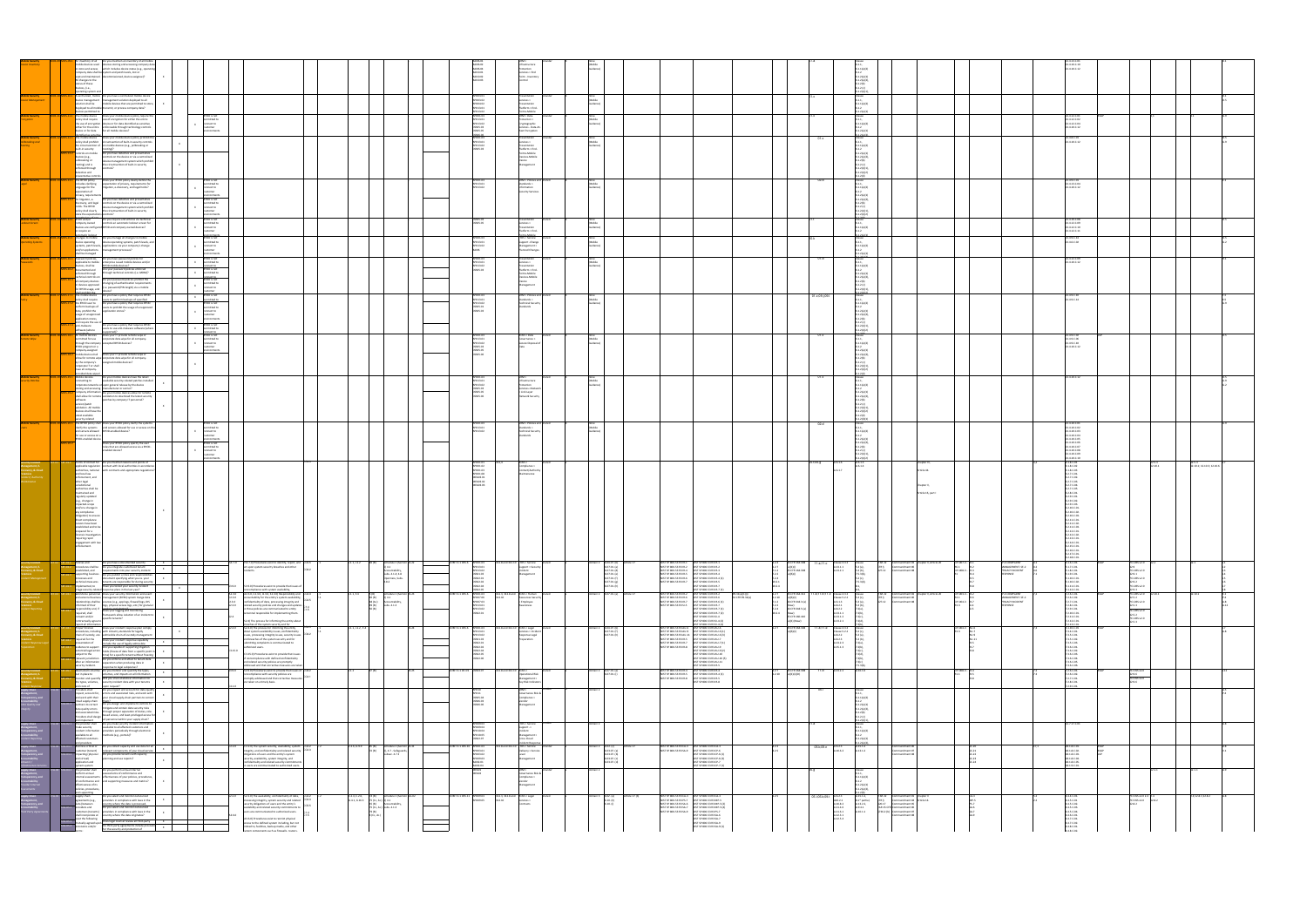|                                        |                                                                                                                                        | inventory of all Do you maintain an inventory of all mobile                                                                                                                                                                                                                                                                                                                                                                             |                                                                                  |                                                                                                                                                                                                                                                                                                                                                                         |                                                          |                                                                                                                                                                                                                                                                                                                                 |                                                                                  |                                                                                            |                                                              |                                                  |                        |                                                                                                                                                                                                                                                              |                                                                                                         |                                                                                                              |                                                                                                                                                                                        |                                                                          |                                                        |                                                                 |                                                                                              |                                                                                      |                           |  |
|----------------------------------------|----------------------------------------------------------------------------------------------------------------------------------------|-----------------------------------------------------------------------------------------------------------------------------------------------------------------------------------------------------------------------------------------------------------------------------------------------------------------------------------------------------------------------------------------------------------------------------------------|----------------------------------------------------------------------------------|-------------------------------------------------------------------------------------------------------------------------------------------------------------------------------------------------------------------------------------------------------------------------------------------------------------------------------------------------------------------------|----------------------------------------------------------|---------------------------------------------------------------------------------------------------------------------------------------------------------------------------------------------------------------------------------------------------------------------------------------------------------------------------------|----------------------------------------------------------------------------------|--------------------------------------------------------------------------------------------|--------------------------------------------------------------|--------------------------------------------------|------------------------|--------------------------------------------------------------------------------------------------------------------------------------------------------------------------------------------------------------------------------------------------------------|---------------------------------------------------------------------------------------------------------|--------------------------------------------------------------------------------------------------------------|----------------------------------------------------------------------------------------------------------------------------------------------------------------------------------------|--------------------------------------------------------------------------|--------------------------------------------------------|-----------------------------------------------------------------|----------------------------------------------------------------------------------------------|--------------------------------------------------------------------------------------|---------------------------|--|
|                                        | mobile devices used de<br><b>NI changes to the</b><br>status of these<br>devices, (i.e.,                                               | vices storing and accessing company d<br>to store and access which includes device status (e.g., operating<br>company data shall be system and patch levels, lost or<br>kept and maintained. decommissioned, device assignee)?                                                                                                                                                                                                          |                                                                                  |                                                                                                                                                                                                                                                                                                                                                                         |                                                          |                                                                                                                                                                                                                                                                                                                                 | 8AI06.02<br>8AI06.04<br>8AI10.01<br>8AI10.02<br>BAI10.03                         | Protection<br>Services > End<br>Point - Inventory                                          | (Mobile<br>Guidance)                                         |                                                  |                        |                                                                                                                                                                                                                                                              |                                                                                                         |                                                                                                              | 6.1.1(e)(2)<br>6.1.2(a)(1)<br>6.1.2(a)(2),<br>6.1.2 (c)<br>6.1.2 (c)                                                                                                                   |                                                                          |                                                        |                                                                 | 21.4.10.C.10<br>21.4.10.C.12                                                                 |                                                                                      |                           |  |
| obile Security<br>e Managemen          | perating system an                                                                                                                     | A centralized, mobile    Do you have a centralized mobile device<br>device management      management solution deployed to all<br>solution shall be mobile devices that are permitted to sto<br>deployed to all mobile transmit, or process company data?                                                                                                                                                                               |                                                                                  |                                                                                                                                                                                                                                                                                                                                                                         |                                                          |                                                                                                                                                                                                                                                                                                                                 | APO03.02<br>AP004.02<br>AP013.01                                                 | ervices ><br>Platform > End                                                                | (Mobile                                                      |                                                  |                        |                                                                                                                                                                                                                                                              |                                                                                                         |                                                                                                              | 1.2(c)(1)<br>Clause<br>6.1.1,<br>6.1.1(e)(2)                                                                                                                                           |                                                                          |                                                        |                                                                 |                                                                                              |                                                                                      |                           |  |
| <b>Aobile Security</b>                 | is permitted to                                                                                                                        | the use of encryption<br>either for the entire device or for data identified as sensitive<br>either for the entire enforceable through technology controls                                                                                                                                                                                                                                                                              | rOD is not<br>permitted to<br>connect to                                         |                                                                                                                                                                                                                                                                                                                                                                         |                                                          |                                                                                                                                                                                                                                                                                                                                 | AP013.02<br>AP013.01<br>AP013.02<br>DSS05.03<br>DSS05.05                         | s-Mobile<br>SRM > Data<br>Protection ><br>Cryptographic<br>Services - Data-At              | None<br>(Mobile<br>Guidance)                                 |                                                  |                        |                                                                                                                                                                                                                                                              |                                                                                                         |                                                                                                              | 1.2(a)(1)<br>Clause<br>6.1.1,<br>$6.1.1(e)(2)$<br>$6.1.2$                                                                                                                              |                                                                          |                                                        |                                                                 | 21.4.12.C.02<br>21.4.12.0.04<br>21.4.10.C.12                                                 |                                                                                      |                           |  |
| <b>Mobile Security</b>                 |                                                                                                                                        | device or for data for all mobile devices?<br>identified as sensitive<br>The mobile device Does your mobile device policy prohibit th<br>policy shall prohibit circumvention of built-in security controls<br>the circumvention of on mobile devices (e.g., jailbreaking or                                                                                                                                                             | annents                                                                          |                                                                                                                                                                                                                                                                                                                                                                         |                                                          |                                                                                                                                                                                                                                                                                                                                 | DSS06.06<br>APO01.03<br>AP013.01<br>AP013.02                                     | Encryption<br>Presentation<br>Services >                                                   | suidance)                                                    |                                                  |                        |                                                                                                                                                                                                                                                              |                                                                                                         |                                                                                                              | 6.1.2(a)(1)<br>$-2.2$ (a)(2)<br>6.1.1(e)(2)                                                                                                                                            |                                                                          |                                                        |                                                                 | 1480.01<br>21.4.10.C.12                                                                      |                                                                                      |                           |  |
|                                        | built-in security<br>controls on mobile<br>devices (e.g.,<br>jailbreaking or<br>rooting) and is<br>enforced through<br>electrics ----- | rooting)?<br>rooting)?<br>Do you have detective and preventative<br>controls on the device or via a centralized<br>device management system which prohibit<br>the circumvention of built-in security<br>controls?                                                                                                                                                                                                                       |                                                                                  |                                                                                                                                                                                                                                                                                                                                                                         |                                                          |                                                                                                                                                                                                                                                                                                                                 | DSS05.03                                                                         | Presentation<br>Platform > End-<br>Points-Mobile<br>Devices-Mobile<br>Device<br>Management |                                                              |                                                  |                        |                                                                                                                                                                                                                                                              |                                                                                                         |                                                                                                              | $\begin{array}{l} 6.1.2\left(a\right)\left(1\right)\\ 6.1.2\left(a\right)\left(2\right),\\ 6.1.2\left(b\right)\\ 6.1.2\left(c\right)\\ 6.1.2\left(c\right)\left(1\right), \end{array}$ |                                                                          |                                                        |                                                                 |                                                                                              |                                                                                      |                           |  |
| <b>Mobile Security</b>                 | detective and<br>preventative control<br>The BYOD policy<br>includes clarifying                                                        | Does your BYOD policy clearly define the<br>expectation of privacy, requirements for<br>litigation, e-discovery, and legal holds?                                                                                                                                                                                                                                                                                                       | BYOD is not<br>permitted to<br>of tome                                           |                                                                                                                                                                                                                                                                                                                                                                         |                                                          |                                                                                                                                                                                                                                                                                                                                 | AP013.01<br>AP013.02                                                             | Standards ><br>Information                                                                 | (Mobile                                                      |                                                  |                        |                                                                                                                                                                                                                                                              |                                                                                                         | 02.d                                                                                                         | 6.1.2(c)(2)<br>Clause<br>6.1.1,<br>6.1.1(e)(2)                                                                                                                                         |                                                                          |                                                        |                                                                 | 21.4.9.0.0<br>21.4.13.C.04<br>21.4.10.C.12                                                   |                                                                                      |                           |  |
|                                        | language for the<br>expectation of                                                                                                     | experiences<br>on the respective and the principle of the respective and preventative<br>discovery, and legal<br>the controls on the device or via a centralized<br>theories, and Italian device management system which prohibit<br>policy a                                                                                                                                                                                           | environments<br>BYOD is not<br>permitted to<br>onnect to                         |                                                                                                                                                                                                                                                                                                                                                                         |                                                          |                                                                                                                                                                                                                                                                                                                                 |                                                                                  | <b>Icurity Service</b>                                                                     |                                                              |                                                  |                        |                                                                                                                                                                                                                                                              |                                                                                                         |                                                                                                              | 6.1.2(a)(1)<br>6.1.2(a)(2),<br>6.1.2 (c)<br>6.1.2 (c)                                                                                                                                  |                                                                          |                                                        |                                                                 |                                                                                              |                                                                                      |                           |  |
| <b>Mobile Security</b>                 | tate the expectati<br>company owned                                                                                                    | BYOD and/or Do you require and enforce via technica<br>controls an automatic lockout screen for                                                                                                                                                                                                                                                                                                                                         | memno<br>BYOD is not<br>permitted to                                             |                                                                                                                                                                                                                                                                                                                                                                         |                                                          |                                                                                                                                                                                                                                                                                                                                 | 605.03<br>05505.05                                                               | resentation<br>ervices >                                                                   |                                                              |                                                  |                        |                                                                                                                                                                                                                                                              |                                                                                                         |                                                                                                              | 6.1.2(c)(1),<br>6.1.2(c)(2)<br>Clause<br>6.1.1,                                                                                                                                        |                                                                          |                                                        |                                                                 | 21.4.10.0.08<br>21.4.12.C.09                                                                 |                                                                                      |                           |  |
| <b>Mobile Security</b><br>ting Systemi | require an<br>automatic lockout<br>Changes to mobile                                                                                   | vices are configured BYOD and company owned devices?<br>Do you manage all changes to mobile<br>device operating device operating systems, patch levels, and<br>systems, patch levels, applications via your company's change<br>and/or applications management processes?                                                                                                                                                               | <i>istomer</i><br>environments<br>BYOD is not<br>permitted to<br>connect to      |                                                                                                                                                                                                                                                                                                                                                                         |                                                          |                                                                                                                                                                                                                                                                                                                                 | APO01.03<br>AP013.01<br>AP013.02                                                 | atform > En<br>Points-Mobile<br>(TOS > Service<br>Support -Change<br>Management >          | (Mobile<br>Guidance                                          |                                                  |                        |                                                                                                                                                                                                                                                              |                                                                                                         |                                                                                                              | 6.1.1(e)(2)<br>6.1.2(a)(1)<br>Clause<br>6.1.1,<br>6.1.1(e)(2)                                                                                                                          |                                                                          |                                                        |                                                                 | 21.4.12.C.10<br>21.4.12.C.11<br>14.9.0.14<br>21.4.6.0.02                                     |                                                                                      |                           |  |
| Mobile Security                        | shall be managed<br>Password policies.                                                                                                 | Do you have password policies for<br>applicable to mobile enterprise issued mobile devices and/or                                                                                                                                                                                                                                                                                                                                       | customer<br>BYOD is not<br>permitted to                                          |                                                                                                                                                                                                                                                                                                                                                                         |                                                          |                                                                                                                                                                                                                                                                                                                                 | <b>BAIC6</b><br>APO01.03<br>AP013.01<br>AP013.02<br>DSS05.03                     | nned Changes<br>Presentation<br>Services ><br>Presentation                                 | (Mobile                                                      |                                                  |                        |                                                                                                                                                                                                                                                              |                                                                                                         | 01.d                                                                                                         | 6.1.2(a)(1)<br>Clause<br>6.1.1,<br>6.1.1(e)(2)                                                                                                                                         |                                                                          |                                                        |                                                                 | 14.12.00<br>21.4.10.C.12                                                                     |                                                                                      |                           |  |
|                                        | devices, shall be<br>documented and<br>inforced through                                                                                | 8YOD mobile devices?<br>Are your password policies enforced<br>through technical controls (i.e. MDM)?<br>Technical controls on<br>all company devices<br>or devices approved changing of authentication requirements<br>or devices approved (i.e. password/PIN length) via a mobile<br>for BYOD usage, and (i.e., password/PIN length) via a mobile                                                                                     | connect to<br>BYOD is not<br>of baffim<br>FOD is not                             |                                                                                                                                                                                                                                                                                                                                                                         |                                                          |                                                                                                                                                                                                                                                                                                                                 |                                                                                  | <b>Platform &gt; End</b><br>Points-Mobile<br>Devices-Mobile<br>Device<br>Management        |                                                              |                                                  |                        |                                                                                                                                                                                                                                                              |                                                                                                         |                                                                                                              | 6.1.2(a)(1)<br>$6.1.2(a)(2),$<br>$6.1.2(b)$<br>$6.1.2(c)(1),$                                                                                                                          |                                                                          |                                                        |                                                                 |                                                                                              |                                                                                      |                           |  |
| <b>Mobile Security</b>                 | thall nothibit the<br>The mobile device<br>policy shall require<br>the BYOD user to                                                    | evice:<br>to you have a policy that requires BYOE<br>users to perform backups of specified<br>Do you have a policy that requires BYOD                                                                                                                                                                                                                                                                                                   | of fonec<br>FOD is not<br>permitted to<br>n'OD is not                            |                                                                                                                                                                                                                                                                                                                                                                         |                                                          |                                                                                                                                                                                                                                                                                                                                 | PO01.03<br>AP013.01<br>AP013.02<br>DSS05.01                                      | M > Policies<br>tandards ><br>'echnical Secur                                              | <b>Guidance</b>                                              |                                                  |                        |                                                                                                                                                                                                                                                              |                                                                                                         | 01.x;09.j:09.                                                                                                | 1.2(cld)).<br>lause<br>6.1.1(e)(2)                                                                                                                                                     |                                                                          |                                                        |                                                                 | 21.4.9.0.14                                                                                  |                                                                                      |                           |  |
|                                        | application stores,<br>and require the use of<br>anti-malware<br>software (where                                                       | perform backups of seens to prohibit the usage of unapproved<br>data, prohibit the application stores?<br>usage of unapproved<br>Do you have a policy that requires BYOD                                                                                                                                                                                                                                                                | permitted to<br>onnect to<br>stnemnonium<br>ton a dOY                            |                                                                                                                                                                                                                                                                                                                                                                         |                                                          |                                                                                                                                                                                                                                                                                                                                 | DSS05.03                                                                         | tandards                                                                                   |                                                              |                                                  |                        |                                                                                                                                                                                                                                                              |                                                                                                         |                                                                                                              | 6.1.2<br>$6.12(a)(1)$<br>$6.12(a)(2)$ ,<br>$6.12(b)$<br>$6.12(c)(1)$ ,<br>$6.12(c)(2)$                                                                                                 |                                                                          |                                                        |                                                                 |                                                                                              |                                                                                      |                           |  |
| <b>Mobile Security</b>                 | All mobile devices<br>BYOD program or a                                                                                                | users to use anti-malware software (where<br>supported)?<br>Does your IT provide remote wipe or<br>permitted for use<br>permitted for use corporate data wipe for all company-<br>through the company accepted BYOD devices?                                                                                                                                                                                                            | permitted to<br>connect to<br>BYOD is not<br>mitted to<br>connect to<br>customer |                                                                                                                                                                                                                                                                                                                                                                         |                                                          |                                                                                                                                                                                                                                                                                                                                 | AP013.01<br>AP013.02<br>DSS05.03<br>DSS05.03                                     | S > Dista<br>e Disposa                                                                     | (Mobile<br>Guidance)                                         |                                                  |                        |                                                                                                                                                                                                                                                              |                                                                                                         |                                                                                                              | $6.1.1,$<br>$6.1.1(e)(2)$<br>$6.1.2$                                                                                                                                                   |                                                                          |                                                        |                                                                 | 21.4.9.0.06<br>21.4.9.0.10<br>21.4.10.C.12                                                   |                                                                                      |                           |  |
|                                        |                                                                                                                                        | company-assigned<br><mark>Company-assigned</mark><br><b>Does your IT provide remote wipe of</b><br>allow for remote wipe corporate data wipe for all company-<br>by the company's assigned mobile devices?<br>corporate IT or shall                                                                                                                                                                                                     |                                                                                  |                                                                                                                                                                                                                                                                                                                                                                         |                                                          |                                                                                                                                                                                                                                                                                                                                 | DSS05.06                                                                         |                                                                                            |                                                              |                                                  |                        |                                                                                                                                                                                                                                                              |                                                                                                         |                                                                                                              | $6.1.2(a)(1)$<br>$6.1.2(a)(2)$ ,<br>$6.1.2(b)$<br>$6.1.2(c)$<br>6.1.2(c)(1)                                                                                                            |                                                                          |                                                        |                                                                 |                                                                                              |                                                                                      |                           |  |
| <b>Mobile Security</b>                 | have all company-<br>provided data wiped<br>Mobile devices<br>connecting to                                                            | to your mobile devices have the latest<br>available security-related patches installe<br>corporate networks or upon general release by the device                                                                                                                                                                                                                                                                                       |                                                                                  |                                                                                                                                                                                                                                                                                                                                                                         |                                                          |                                                                                                                                                                                                                                                                                                                                 | AP001.03<br>AP013.01                                                             | noiton                                                                                     |                                                              |                                                  |                        |                                                                                                                                                                                                                                                              |                                                                                                         | 01x                                                                                                          | 6.1.2(c)(2)<br>6.1.1(e)(2)                                                                                                                                                             |                                                                          |                                                        |                                                                 | 21.4.10.C.12                                                                                 |                                                                                      |                           |  |
|                                        | software<br>version/patch<br>validation. All mobile                                                                                    | Comporate networks of typer general vertices and the second control and accessing mianufacturer or carrier?<br>The company information to pay and mobile devices allow for remote<br>and allow for remote validation to download the                                                                                                                                                                                                    |                                                                                  |                                                                                                                                                                                                                                                                                                                                                                         |                                                          |                                                                                                                                                                                                                                                                                                                                 | AP013.02<br>DSS05.03<br>DSS05.05<br>DSS05.06                                     | Services->Netwo<br>> Link Layer<br>Network Security                                        |                                                              |                                                  |                        |                                                                                                                                                                                                                                                              |                                                                                                         |                                                                                                              | $6.12(a)(1)$<br>$6.12(a)(2)$ ,<br>$6.12(b)$<br>$6.12(c)(1)$ ,<br>$6.12(c)(2)$                                                                                                          |                                                                          |                                                        |                                                                 |                                                                                              |                                                                                      |                           |  |
| <b>Mobile Security</b>                 | devices shall have the<br>latest available<br>curity-related                                                                           | The BYOD policy shall Does your BYOD policy clarify the systems                                                                                                                                                                                                                                                                                                                                                                         | OD is not<br>permitted to                                                        |                                                                                                                                                                                                                                                                                                                                                                         |                                                          |                                                                                                                                                                                                                                                                                                                                 | AP013.01                                                                         | > Policies ar                                                                              | (Mobile                                                      |                                                  |                        |                                                                                                                                                                                                                                                              |                                                                                                         |                                                                                                              | 6.1.2(d)<br>1.2(d)(1)                                                                                                                                                                  |                                                                          |                                                        |                                                                 | 21.4.10.C.02                                                                                 |                                                                                      |                           |  |
|                                        | <b>SYOD-enabled device</b>                                                                                                             | clarify the systems and servers allowed for use or access on the<br>and servers allowed BYOD-enabled device?<br>for use or access on a<br>Does your BYOD policy specify the user<br>roles that are allowed access via a BYOD-                                                                                                                                                                                                           | stomer<br>environment<br>BYOD is not<br>of battimna                              |                                                                                                                                                                                                                                                                                                                                                                         |                                                          |                                                                                                                                                                                                                                                                                                                                 | 49013.02                                                                         | tandards ><br>'echnical Secur<br>dards                                                     |                                                              |                                                  |                        |                                                                                                                                                                                                                                                              |                                                                                                         |                                                                                                              | $6.1.1$ ,<br>$6.1.1(e)(2)$<br>$6.1.2$<br>6.1.2(a)(1)<br>$6.1.2(a)(2),$<br>$6.1.2(b)$<br>$6.1.2(c)$                                                                                     |                                                                          |                                                        |                                                                 | 21.4.10.C.03<br>21.4.10.C.04<br>21.4.10.C.05<br>21.4.10.C.06<br>21.4.10.C.07                 |                                                                                      |                           |  |
|                                        | Points of contact for                                                                                                                  | nabled device?<br>Do you maintain liaisons and points of                                                                                                                                                                                                                                                                                                                                                                                |                                                                                  |                                                                                                                                                                                                                                                                                                                                                                         |                                                          |                                                                                                                                                                                                                                                                                                                                 | 000101<br>APO01.02                                                               | xiance >                                                                                   |                                                              |                                                  |                        |                                                                                                                                                                                                                                                              |                                                                                                         | 06.f;05.g                                                                                                    | 6.1.2(c)(1)<br>A.6.1.3<br>A.6.1.4                                                                                                                                                      |                                                                          |                                                        |                                                                 | 21.4.10.C.08<br>21.4.10.C.09<br>21.4.10.C.10<br>3.1.8.C.01<br>3.1.8.C.02<br>3.1.8.C.03       | 12.10.1                                                                              | 12.10.1; 12.10.3; 12.10.6 |  |
|                                        | enforcement, and<br>other legal<br>jurisdictional<br>authorities shall be                                                              | applicable regulation contact with local authorities in accordance<br>authorities, national with contracts and appropriate regulations<br>and local law                                                                                                                                                                                                                                                                                 |                                                                                  |                                                                                                                                                                                                                                                                                                                                                                         |                                                          |                                                                                                                                                                                                                                                                                                                                 | AP001.03<br>AP001.08<br>MEA03.01<br>MEA03.02<br>MEA03.03                         | act/Authorit                                                                               |                                                              |                                                  |                        |                                                                                                                                                                                                                                                              |                                                                                                         |                                                                                                              |                                                                                                                                                                                        | irticle 44.                                                              |                                                        |                                                                 | 3.2.7.C.01                                                                                   |                                                                                      |                           |  |
|                                        | aintained and<br>regularly updated<br>(e.g., change in<br>spacted-scope                                                                |                                                                                                                                                                                                                                                                                                                                                                                                                                         |                                                                                  |                                                                                                                                                                                                                                                                                                                                                                         |                                                          |                                                                                                                                                                                                                                                                                                                                 |                                                                                  |                                                                                            |                                                              |                                                  |                        |                                                                                                                                                                                                                                                              |                                                                                                         |                                                                                                              |                                                                                                                                                                                        | Article 16, part I                                                       |                                                        |                                                                 | %27.001<br>%27.002<br>%27.004<br>%27.005<br>%28.001<br>%29.002<br>%29.002                    |                                                                                      |                           |  |
|                                        | and/or a change in<br>any compliance<br>deligation) to ensur<br>compliance<br>have bee<br>ablished and to                              |                                                                                                                                                                                                                                                                                                                                                                                                                                         |                                                                                  |                                                                                                                                                                                                                                                                                                                                                                         |                                                          |                                                                                                                                                                                                                                                                                                                                 |                                                                                  |                                                                                            |                                                              |                                                  |                        |                                                                                                                                                                                                                                                              |                                                                                                         |                                                                                                              |                                                                                                                                                                                        |                                                                          |                                                        |                                                                 | 3.2.10.C.01.<br>3.2.10.C.02.<br>3.2.10.C.03.<br>3.2.11.C.01.<br>3.2.11.C.02.<br>3.2.11.C.03. |                                                                                      |                           |  |
|                                        | epared for a<br>investigat<br>biqsa gniniupo<br>ingagement with law<br>.cment.                                                         |                                                                                                                                                                                                                                                                                                                                                                                                                                         |                                                                                  |                                                                                                                                                                                                                                                                                                                                                                         |                                                          |                                                                                                                                                                                                                                                                                                                                 |                                                                                  |                                                                                            |                                                              |                                                  |                        |                                                                                                                                                                                                                                                              |                                                                                                         |                                                                                                              |                                                                                                                                                                                        |                                                                          |                                                        |                                                                 | 3.2.12 C.01.<br>3.2.12.C.02.<br>3.2.13.C.01.<br>3.2.14.C.01.<br>3.2.15.0.01.<br>12.16.C.01   |                                                                                      |                           |  |
|                                        | Policies and<br>ocedures shall be<br>tablished, and                                                                                    | .<br>Do you have a documented security<br>Do you integrate customized tenant<br>$x =$                                                                                                                                                                                                                                                                                                                                                   |                                                                                  | (IS3.7.0) Procedures exist to identify, report, and CCS.5<br>act upon system security breaches and other                                                                                                                                                                                                                                                                |                                                          | Schedule 1 (Secti                                                                                                                                                                                                                                                                                                               | BIT 4.1 DSS.6 AP001.03<br>AP013.01                                               | 2.8 and 312.10 ITOS > Service<br>Support > Secu<br>Incident                                | ain 2 6.04.07. (b)<br>6.07.01. (a)<br>6.07.01. (d)           |                                                  |                        | NIST SP RODAR RAIRLY MIST SP RODAR RAIRLY<br>NIST SP 800-53 R3 IR-2 NIST SP 800-53 R3 IR-2<br>NIST SP 800-53 R3 IR-4 NIST SP 800-53 R3 IR-3                                                                                                                  | 45 CFR 164.308<br>(a)(1)(i)<br>45 CFR 164.308                                                           | 11.a;11.c<br>Clause 4.3.3<br>A.13.1.1<br>A.13.2.1                                                            | CFR 5<br>127.12                                                                                                                                                                        | Commandment #2 Chapter II, Article 20<br>a# trambnent<br>as transporting | CIP-007-3 - IR                                         | <b>P-4 COMPLAINT</b><br>MANAGEMENT. SE-2<br>PRIVACY INCIDENT    | 3.2.17.C.01.<br>3.2.18.C.01.<br>5.1.6.CO1<br>5.1.7.C.01.<br>5.1.8.C.01                       | PCI-DSS v2.0                                                                         |                           |  |
|                                        | pporting business<br>rocesses and                                                                                                      | uirements into your security incident<br>you publish a roles and responsibilities<br>document specifying what you vs. your<br>,<br>Technical measures <b>Exercats are responsible for during security</b><br>implemented, to<br>triage security-related response plans in the last year?<br>Workforce personnel Does your security information and event                                                                                | $\mathbf{x}$                                                                     | ) Procedures exist to provide that issues                                                                                                                                                                                                                                                                                                                               |                                                          | Accountability,<br>Subs. 4.1.4: 4.8<br>Openness, Subs.                                                                                                                                                                                                                                                                          | AP013.02<br>DSS01.03<br>DSS02.01<br>DSS02.04<br>DSS02.04<br>DSS02.05             | lanagement                                                                                 | 6.07.01. (e)<br>6.07.01. (f)<br>6.07.01. (g)<br>6.07.01. (h) | NIST SP 800-53 R3 IR-5<br>NIST SP 800-53 R3 IR-6 |                        | NET SP 800-53 R3 IR-4<br>NIST SP 800-53 R3 IR-4<br>NIST SP 800-53 R3 IR-7 NIST SP 800-53 R3 IR-5<br>NIST SP 800-53 R3 IR-7<br>NIST SP 800-53 R3 IR-7 (1                                                                                                      | a)(6)(i)                                                                                                |                                                                                                              | Clause<br>5.3 (a),<br>5.3 (b),<br>7.5.3(b),<br>5.2 (c),<br>7.5.3(d),                                                                                                                   |                                                                          | R6.1 IR-2<br>CIP-008-3 - IR-3<br>R1 IR-4<br>IR-5       | RESPONSE                                                        | 5.1.9.C.01.<br>5.1.10.C.01.<br>5.1.10.C.02.<br>i.1.11.C.01.<br>i.1.12.C.01.                  | 11.7<br>PCI-DSS v2.0<br>PCI-DSS v2.0<br>PCI-DSS v2.0<br>PCI-DSS v2.0<br>PCI-DSS v2.0 |                           |  |
|                                        | cternal business ma<br>ned of their<br>equired, shall                                                                                  | agement (SIEM) system merge data<br>onships shall be sources (e.g., app logs, firewall logs, IDS<br>logs, physical access logs, etc.) for granular<br>insibility and, if Does your logging and monitoring                                                                                                                                                                                                                               | A2.3.0                                                                           | noncompliance with system availability,<br>(A2.3.0, C2.3.0, I2.3.0, S2.3.0) Responsibility and<br>ccountability for the entity's system availability.<br>confidentiality of data, processing integrity and<br>related security policies and changes and updates<br>to those policies are communicated to entity<br>C1.5<br>personnel responsible for implementing them. | $5 (B)$<br>$46 (B)$<br>$48 (A*)$<br>$49 (B)$<br>$50 (B)$ | <b>Schodule 1 (Section</b><br>5) 4.1<br>Accountability,<br>Subs. 4.1.3                                                                                                                                                                                                                                                          | 4.1 DS5.6 APO01.03<br>AP007.06<br>AP007.08<br>AP013.01<br>AP013.02<br>DSS02.01   | BOSS > Human<br>3 317 8 and<br>urces Secu<br>> Employee                                    | $6.07.01$ : (a)                                              |                                                  | NIST SP 800-53 R3 IR-2 | NIST SP 800-53 R3 IR-2<br>NIST SP 800-53 R3 IR-6 NIST SP 800-53 R3 IR-6<br>NIST SP 800-53 R3 IR-7 NIST SP 800-53 R3 IR-6 (1)<br>34 CFR 99.32(a)<br>NIST SP 800-53 R3 SI-5 NIST SP 800-53 R3 IR-7<br>NIST SP 800-53 R3 IR-7 (1)<br>NIST SP 800-53 R3 IR-7 (2) | 45 CFR 164.312<br>(a)(6)(i)<br>16 CFR 318.3 (a)<br>(New)<br>16 CFR 318.5 (a)<br>(New)<br>45 CFR 160.410 | a;11b;11.c Clause 4.3.3<br>clause 5.2.2<br>A.6.1.3<br>A.8.2.2<br>A.3.3.1<br>A.13.1.2<br>A.13.1.2<br>A.13.2.1 | Clause<br>Cláuse<br>5.2 (c),<br>5.3 (b),<br>5.3 (b),<br>7.2 (b),<br>7.2 (c),<br>7.2 (c),<br>7.2 (d),                                                                                   | nandment #2 Chapter II, Article 20<br>andment #6<br>84 Insertions        | $1P-003-3-1R-$<br>R4.1 IR-6<br>CIP-004-3 IR-7<br>\$1-4 | 4 COMPLAINT<br>MANAGEMENT. SE-2<br>PRIVACY INCIDENT<br>RESPONSE | 7.2.6.C.01<br>7.2.6.C.02<br>7.2.7.C.01<br>7.2.8.C.01<br>7.2.9.0.01.<br>7.2.10.0.01.          | 12.5.2<br>PCI-DSS v2.0<br>12.5.3<br>PCI-DSS v2.0                                     |                           |  |
|                                        | nsent and/or<br>tually agree<br>report all information<br>Proper forensic                                                              | framework allow isolation of an incident to<br>specific tenants?<br>loes your incident response plan com                                                                                                                                                                                                                                                                                                                                |                                                                                  | (\$2.4) The process for informing the entity ab<br>breaches of the system security and for<br>(S2.4.0) The process for informing the entity                                                                                                                                                                                                                             |                                                          |                                                                                                                                                                                                                                                                                                                                 |                                                                                  | S>Legal<br>rvices > Incide                                                                 |                                                              |                                                  |                        | NIST SP 800-53 R3 SI-4<br>(IST SP 800-53 R3 SI-4 (2)<br>NIST SP 800-53 R3 SI-4 (4)<br>IST SP 800-53 R3 AU-6 NIST SP 800-53 R3 AU-6<br>NIST SP 800-53 R3 AU-9 NIST SP 800-53 R3 AU-6 (1)                                                                      | $(1)$ (New)<br>45 CFR 164.308<br>(16)(5)                                                                | Clause 4.3.3                                                                                                 |                                                                                                                                                                                        |                                                                          | 4004-3 AU                                              |                                                                 | 7.2.11.C.01.<br>7.2.12.C.01.<br>7.2.13.C.01<br>5.1.10.C.01                                   | 12.5.2<br>PCI-DSS v2.0                                                               |                           |  |
|                                        | o noitstines<br>nce to support                                                                                                         | procedures, including with industry standards for legally<br>chain of custody, are admissible chain-of-custody management<br>required for the Does your incident response capability<br>include the use of legally admissible<br>ence to support<br>initial legal action<br>initial legal action inoids (freeze of data from a specific point in<br>ect to the<br>initial for a specific tenant without freezing<br>uset initialization |                                                                                  | about system availability issues, confidentiality<br>issues, processing integrity issues, security issues<br>and breaches of the system security and for<br>submitting complaints is communicated to<br>uthorized users.                                                                                                                                                |                                                          |                                                                                                                                                                                                                                                                                                                                 | AP013.01<br>AP013.02<br>DSS01.03<br>DSS02.01<br>DSS02.04<br>DSS02.04<br>DSS02.04 | Isponse Legal<br>Preparation                                                               | 6.07.01. (f)<br>6.07.01. (h)                                 |                                                  | NIST SP 800-53 R3 IR-8 | NIST SP 800-53 R3 AU-11 NIST SP 800-53 R3 AU-6 (3)<br>NIST SP 800-53 R3 AU-11 NIST SP 800-53 R3 AU-6 (3)<br>NIST SP 800-53 R3 IR-7 NIST SP 800-53 R3 AU-7 (1)<br>NEST SP 800-53 R3 AU-9<br>NIST SP 800-53 R3 AU-9<br>NIST SP 800-53 R3 AU-9 (2)              |                                                                                                         | Clause 5.2.2<br>A.8.2.2<br>A.8.2.3<br>A.13.2.3<br>A.15.1.3                                                   | ana<br>5.3 (a),<br>5.3 (b),<br>7.2 (c),<br>7.2 (c),<br>7.3 (b),<br>7.5 (c)                                                                                                             |                                                                          | AU-9<br>AU-11                                          |                                                                 | 7.3.4.C.01.<br>7.3.5.C.01.<br>7.3.5.C.02.<br>7.3.5.C.03.<br>7.3.6.C.01.<br>7.3.6.C.03.       |                                                                                      |                           |  |
|                                        | ubject to the<br>rant jurisdiction                                                                                                     | Do you enforce and attest to tenant da<br>after an information<br>separation when producing data in<br>security incident. response to legal subpoenas?<br>Mechanisms shall be Do you monitor and quantify the types,<br>$-$ X $-$                                                                                                                                                                                                       |                                                                                  | (C3.15.0) Procedures exist to provide that issues<br>of noncompliance with defined confidentiality<br>and related security policies are promptly<br>addressed and that corrective measures are tak<br>(\$3.9.0) Procedures exist to provide that issues of CCI                                                                                                          |                                                          |                                                                                                                                                                                                                                                                                                                                 | DSS02.06<br>BIT 4.1 DS 4.9 DSS04.07                                              | 312.8 and 312.10 BOSS >                                                                    | main 2 6.07.01. (a)                                          |                                                  |                        | NIST SP 800-53 R3 AU-10<br>NIST SP 800-53 R3 AU-10 (5)<br>NIST SP 800-53 R3 AU-11<br>415T SP 800-53 R3 IR-5<br>15T SP 800-53 R3 IR-4 NIST SP 800-53 R3 IR-4                                                                                                  | 27 45 CFR 164.308                                                                                       | $-11.6$                                                                                                      | A.16.1.6                                                                                                                                                                               |                                                                          | $P-008-3 - 18-4$                                       |                                                                 | 7.3.6.C.04.<br>7.3.6.C.05.<br>7.3.6.C.06.<br>7.2.6.C.01.                                     | PCI DSS v2.0                                                                         |                           |  |
|                                        | ed costs of<br>roviders shall                                                                                                          | put in place to<br>monitor and quantify Will you share statistical information for<br>monitor and quantify Will you share statistical information for<br>he types, volumes, security incident data with your tenants<br>upon request?<br>Do you inspect and account for data quali                                                                                                                                                      |                                                                                  | noncompliance with security policies are<br>promptly addressed and that corrective me<br>are taken on a timely basis.                                                                                                                                                                                                                                                   |                                                          |                                                                                                                                                                                                                                                                                                                                 |                                                                                  | Operational Risk<br>c tnsmegsn<br>Key Risk Indicat                                         | 7.01(0)                                                      |                                                  |                        | NIST SP 800-53 R3 IR-5<br>NIST SP 800-53 R3 IR-6<br>NIST SP 800-53 R3 IR-8<br>NIST SP 800-53 R3 IR-8<br>NIST SP 800-53 R3 IR-8                                                                                                                               | (1)(i)(D)                                                                                               |                                                                                                              |                                                                                                                                                                                        |                                                                          |                                                        |                                                                 | 7.26.002<br>7.2.7.C.01.<br>7.28.C.01                                                         | 12.9.6<br>PCI DSS v2.0                                                               |                           |  |
|                                        | rtners to correct                                                                                                                      | spect, account for, errors and associated risks, and work with<br>work with their<br>spay-chain means and supply-chain partners to correct<br>d supply-chain them?<br>ners to correct mitigate and contain data security risks<br>through proper separation of duties, role-                                                                                                                                                            |                                                                                  |                                                                                                                                                                                                                                                                                                                                                                         |                                                          |                                                                                                                                                                                                                                                                                                                                 | AP011<br>DSS05.04<br>DSS06.03<br>DSS06.06                                        | Imance Ris<br>Compliance ><br>Vendor<br>Management                                         |                                                              |                                                  |                        |                                                                                                                                                                                                                                                              |                                                                                                         |                                                                                                              | 1.1(e)(2)<br>6.1.2(a)(1)<br>6.1.2(a)(2),<br>6.1.2(b)<br>6.1.2 (c)                                                                                                                      |                                                                          |                                                        |                                                                 |                                                                                              |                                                                                      |                           |  |
|                                        |                                                                                                                                        | and associated risks. Introduct proper separator or outer, to<br>a consider shall design Based access, and least-privileged access for<br>and intelement all personnel within your supply chain?<br>The provider shall $\Box$ Do you mak                                                                                                                                                                                                |                                                                                  |                                                                                                                                                                                                                                                                                                                                                                         |                                                          |                                                                                                                                                                                                                                                                                                                                 | 1009.03                                                                          | FOS > Service<br>Incident                                                                  |                                                              |                                                  |                        |                                                                                                                                                                                                                                                              |                                                                                                         |                                                                                                              | 6.1.2(c)(1),<br>Clause<br>6.1.1,<br>6.1.1(e)(2)<br>6.1.2                                                                                                                               |                                                                          |                                                        |                                                                 | 2.7.17.C.01                                                                                  |                                                                                      |                           |  |
|                                        | ailable to all<br>ness-critical or<br>tomer (tenant)                                                                                   | nethods (e.g., portals)?<br>to you collect capacity and use data for<br>$\mathbf{x}$<br>ce you concer capacity and can out to an<br>relevant components of your cloud service                                                                                                                                                                                                                                                           |                                                                                  | (C2.2.0) The system security, availability, system CC2.<br>integrity, and confidentiality and related security CC2.3                                                                                                                                                                                                                                                    |                                                          | <b>Schonisle 1 Kerti</b><br>Subsec. 4.7.3                                                                                                                                                                                                                                                                                       | AP009.04<br>AP010.04<br>AP010.05<br>DSS02.07<br>11DS5.10 APO01.03                | Management ><br>ross Cloud<br>TOS > Service prov<br>Delivery > Service                     | 6.02.41<br>03.07. (a)                                        |                                                  |                        | NIST SP 800-53 R3 CA-3 NIST SP 800-53 R3 CA-3<br>ST SP 800-53 R3 SA-9 NIST SP 800-53 R3 CP-6                                                                                                                                                                 |                                                                                                         | 05.k;09.n<br>4.6.2.3<br>A.10.6.2                                                                             | 1.2(a)(1)<br>A.13.1.2                                                                                                                                                                  | andment #                                                                |                                                        |                                                                 | 18.1.8.0.0<br>18.1.8.C.02                                                                    |                                                                                      |                           |  |
|                                        | acting (physical<br>(roual)<br>bns not<br>m-system                                                                                     | nning and use reports?<br>The provider shall Do you perform annual internal<br>perform annual assessments of conformance and<br>internal assessments effectiveness of your policies, procedures,                                                                                                                                                                                                                                        |                                                                                  | obligations of users and the entity's system<br>security, availability, system integrity, and<br>sers are communicated to authorized users                                                                                                                                                                                                                              |                                                          |                                                                                                                                                                                                                                                                                                                                 | AP003.03<br>AP003.02<br>AP009.03<br>BAI02.01<br>BAI02.04                         | Level<br>Management                                                                        | 6.03.07. (b)<br>6.03.07.64<br>03.07. (d)                     |                                                  |                        | NIST SP 800-53 R3 CP-6 (1)<br>NIST SP 800-53 R3 CP-6 (3)<br>IST SP 800-53 R3 CP-7<br>NIST SP 800-53 R3 CP-7 (1)                                                                                                                                              |                                                                                                         |                                                                                                              | mandment #                                                                                                                                                                             |                                                                          | SC-22<br>SC-23                                         |                                                                 | 18.1.8.C.03.<br>18.1.8.C.04.<br>18.1.8.C.05.<br>8.1.9.C.01                                   |                                                                                      |                           |  |
|                                        | mance and<br>cies, procedure                                                                                                           | d supporting measures and metrics?                                                                                                                                                                                                                                                                                                                                                                                                      |                                                                                  |                                                                                                                                                                                                                                                                                                                                                                         |                                                          |                                                                                                                                                                                                                                                                                                                                 |                                                                                  | Compliance ><br>Vendor                                                                     |                                                              |                                                  |                        |                                                                                                                                                                                                                                                              |                                                                                                         |                                                                                                              | Clause<br>6.1.1,<br>6.1.1(e)(2)<br>$6.1.2$<br>$6.1.2(a)(1)$<br>$6.1.2(a)(2)$ ,                                                                                                         |                                                                          |                                                        |                                                                 |                                                                                              |                                                                                      |                           |  |
|                                        | d supporting<br>poly chain<br>ments (e.g.,<br>As) between<br>oviders and<br>ers (tenants)                                              | you select and monitor outsource<br>providers in compliance with laws in the<br>country where the data is processed,<br>Do you select and monitor outsourced<br>rs in compliance with laws in the                                                                                                                                                                                                                                       |                                                                                  | (\$2.2.0) The availability, confidentiality of data.<br>processing integrity, system security and related CC2.3<br>security obligations of users and the entity's<br>accuracy were processed security commitments to CCS.5<br>availability and related security commitments to<br>ers are communicated to authorized users.                                             |                                                          | $\begin{array}{ll} \mbox{c.2.4, $C.2.6$,} & \mbox{[24] (8)} & \mbox{Scheedale }, \\[.2.4, 0.16.3, 2.5] & \mbox{[25] (C_7, A)} & \mbox{[3] 4.1} \\[.2.4, 0.16.3, 2.5] & \mbox{[26] (A)} & \mbox{Accountability.} \\[.2.4, 0.2] & \mbox{[26] (A)} & \mbox{[30] (B)} \\[.2.4, 0.2] & \mbox{[30] (B)} & \mbox{[30] (C_7, A)} \\[.2$ | 08/T4.10SS.11 AP009.03<br>APO09.05                                               | 312.3, 312.8 and BOSS > Legal<br>312.10<br>Services ><br>Contracts                         | main 3 6.02. (e)<br>6.10. (h)<br>6.10. (i)                   |                                                  | NIST SP 800-53 R3 SA-9 | NIST SP 800-53 R3 CA-3 NIST SP 800-53 R3 CA-3<br>NUT SP 800-53 RS PS-7<br>NIST SP 800-53 RS PS-7<br>NIST SP 800-53 RS SA-6 NIST SP 800-53 RS MP-5 (2)<br>NIST SP 800-53 R3 SA-7 NIST SP 800-53 R3 MP-5 (4)<br>45T SP 800-53 R3 PS-7                          |                                                                                                         | 05.105.k:09.t A.6.2.3<br>A10.2.1<br>A.10.8.2<br>A.11.4.6<br>A.11.6.1                                         | A.15.1.2,<br>8.1* partial,<br>A.13.2.2,<br>A.9.4.1<br>CFR 5<br>120.17 Commandment #5<br>EAR 15 CFR Commandment #5<br>5736.2 (b) O                                                      | ommandment #1 Chapter II<br>Commandment #4 Article 14.<br>nandment #7    |                                                        |                                                                 | 4.4.4.C.O.<br>4.4.5.C.01<br>4.4.5.C.02.<br>4.4.5.C.03.<br>4.4.5.C.04.                        | CI DSS v2.0 2.4<br>PCI DSS v2.0 12.8.2<br>128.2                                      | 4:12.8.1:12.8.2           |  |
|                                        | ist the following<br>stually-agreed upo<br>ions and/or                                                                                 | incorporate at country where the data originates?<br>Does legal counsel review all third-party XX<br>party agreements include pro<br>$\mathbf{x}$<br>the security and protection of                                                                                                                                                                                                                                                     |                                                                                  | (A3.6.0) Procedures exist to restrict physical<br>access to the defined system including, but not<br>limited to, facilities, backup media, and other                                                                                                                                                                                                                    |                                                          |                                                                                                                                                                                                                                                                                                                                 |                                                                                  |                                                                                            |                                                              |                                                  |                        | NIST SP 800-53 R3 SA-6<br>NIST SP 800-53 R3 SA-7<br>0-A2 ER E2-008 92 T2N<br>NIST SP 800-53 R3 SA-9 (1)                                                                                                                                                      |                                                                                                         | A.12.3.1<br>4.12.5.4                                                                                         |                                                                                                                                                                                        | andment i                                                                |                                                        |                                                                 | 4.4.6.C.01.<br>4.4.7.C.01.<br>4.4.7.C.02.<br>4.4.8.C.01.                                     |                                                                                      |                           |  |